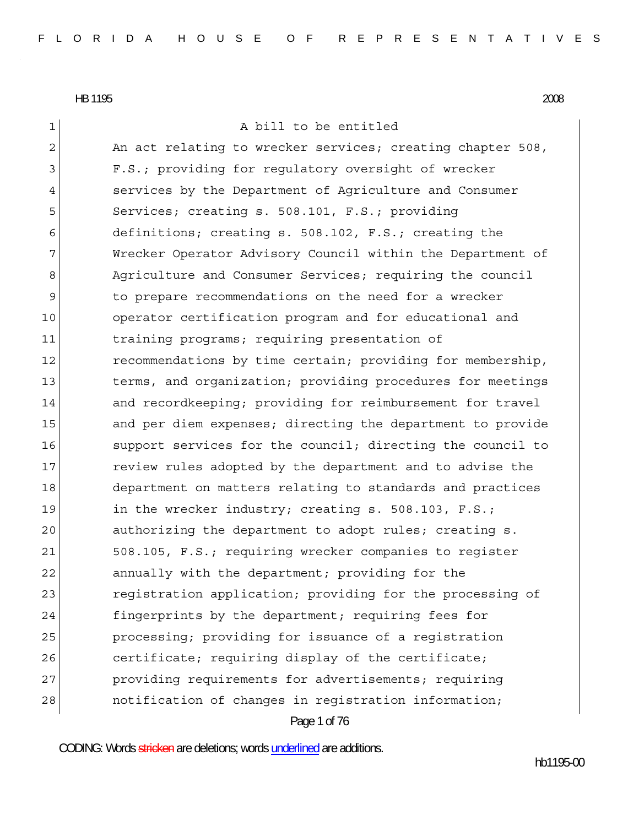| $\mathbf 1$    | A bill to be entitled                                      |
|----------------|------------------------------------------------------------|
| $\overline{c}$ | An act relating to wrecker services; creating chapter 508, |
| 3              | F.S.; providing for regulatory oversight of wrecker        |
| 4              | services by the Department of Agriculture and Consumer     |
| 5              | Services; creating s. 508.101, F.S.; providing             |
| 6              | definitions; creating s. 508.102, F.S.; creating the       |
| 7              | Wrecker Operator Advisory Council within the Department of |
| 8              | Agriculture and Consumer Services; requiring the council   |
| 9              | to prepare recommendations on the need for a wrecker       |
| 10             | operator certification program and for educational and     |
| 11             | training programs; requiring presentation of               |
| 12             | recommendations by time certain; providing for membership, |
| 13             | terms, and organization; providing procedures for meetings |
| 14             | and recordkeeping; providing for reimbursement for travel  |
| 15             | and per diem expenses; directing the department to provide |
| 16             | support services for the council; directing the council to |
| 17             | review rules adopted by the department and to advise the   |
| 18             | department on matters relating to standards and practices  |
| 19             | in the wrecker industry; creating $s. 508.103$ , $F.S.;$   |
| 20             | authorizing the department to adopt rules; creating s.     |
| 21             | 508.105, F.S.; requiring wrecker companies to register     |
| 22             | annually with the department; providing for the            |
| 23             | registration application; providing for the processing of  |
| 24             | fingerprints by the department; requiring fees for         |
| 25             | processing; providing for issuance of a registration       |
| 26             | certificate; requiring display of the certificate;         |
| 27             | providing requirements for advertisements; requiring       |
| 28             | notification of changes in registration information;       |
|                | Page 1 of 76                                               |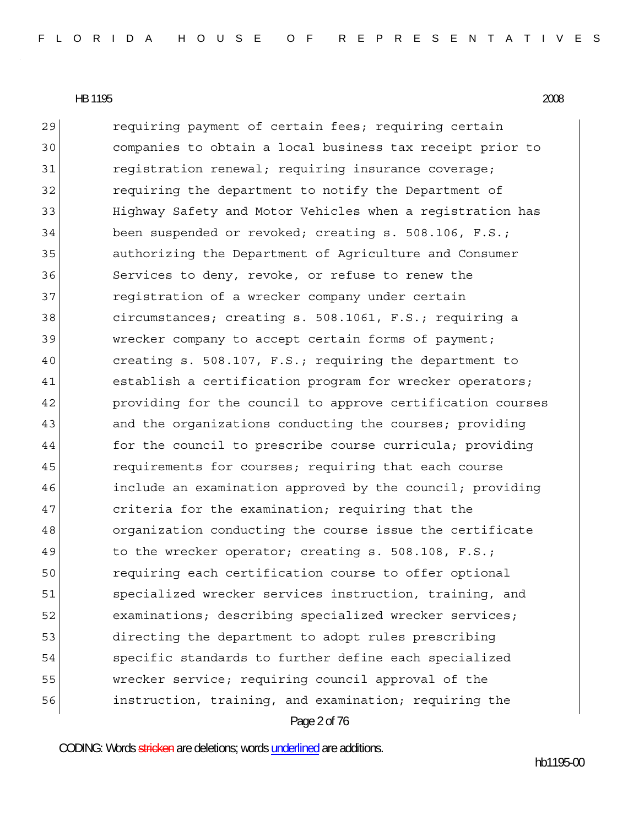Page 2 of 76 29 requiring payment of certain fees; requiring certain 30 companies to obtain a local business tax receipt prior to 31 registration renewal; requiring insurance coverage; 32 requiring the department to notify the Department of 33 Highway Safety and Motor Vehicles when a registration has 34 been suspended or revoked; creating s. 508.106, F.S.; 35 authorizing the Department of Agriculture and Consumer 36 Services to deny, revoke, or refuse to renew the 37 reqistration of a wrecker company under certain 38 circumstances; creating s. 508.1061, F.S.; requiring a 39 wrecker company to accept certain forms of payment; 40 creating s. 508.107, F.S.; requiring the department to 41 establish a certification program for wrecker operators; 42 providing for the council to approve certification courses 43 and the organizations conducting the courses; providing 44 for the council to prescribe course curricula; providing 45 requirements for courses; requiring that each course 46 include an examination approved by the council; providing 47 criteria for the examination; requiring that the 48 organization conducting the course issue the certificate 49 to the wrecker operator; creating s. 508.108, F.S.; 50 requiring each certification course to offer optional 51 specialized wrecker services instruction, training, and 52 examinations; describing specialized wrecker services; 53 directing the department to adopt rules prescribing 54 specific standards to further define each specialized 55 wrecker service; requiring council approval of the 56 instruction, training, and examination; requiring the

CODING: Words stricken are deletions; words underlined are additions.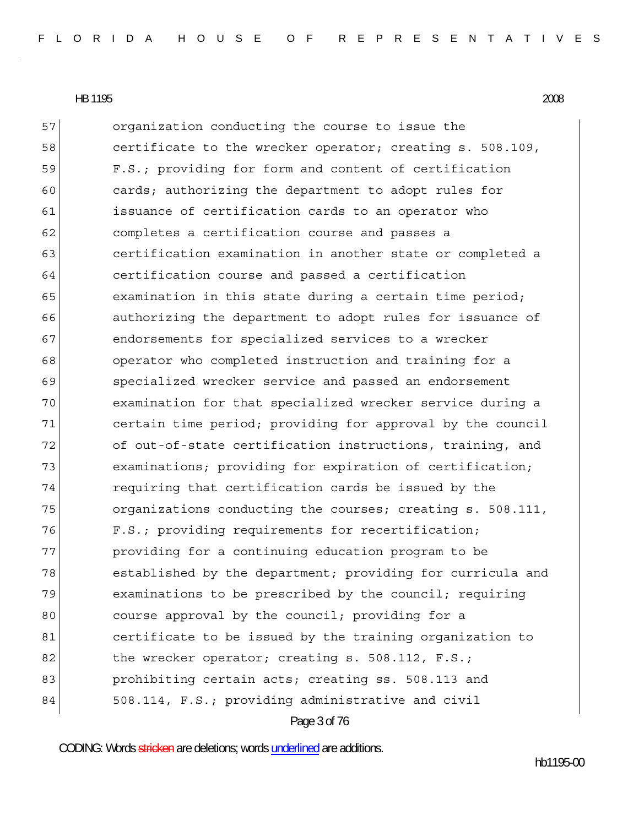Page 3 of 76 57 organization conducting the course to issue the 58 certificate to the wrecker operator; creating s. 508.109, 59 F.S.; providing for form and content of certification 60 cards; authorizing the department to adopt rules for 61 issuance of certification cards to an operator who 62 completes a certification course and passes a 63 **certification examination in another state or completed a** 64 certification course and passed a certification  $65$  examination in this state during a certain time period; 66 authorizing the department to adopt rules for issuance of 67 67 61 endorsements for specialized services to a wrecker 68 operator who completed instruction and training for a 69 specialized wrecker service and passed an endorsement 70 examination for that specialized wrecker service during a 71 certain time period; providing for approval by the council 72 of out-of-state certification instructions, training, and 73 examinations; providing for expiration of certification; 74 requiring that certification cards be issued by the 75 organizations conducting the courses; creating s. 508.111, 76 F.S.; providing requirements for recertification; 77 providing for a continuing education program to be 78 established by the department; providing for curricula and 79 examinations to be prescribed by the council; requiring 80 80 80 course approval by the council; providing for a 81 certificate to be issued by the training organization to 82 the wrecker operator; creating s. 508.112, F.S.; 83 **prohibiting certain acts; creating ss. 508.113 and** 84 508.114, F.S.; providing administrative and civil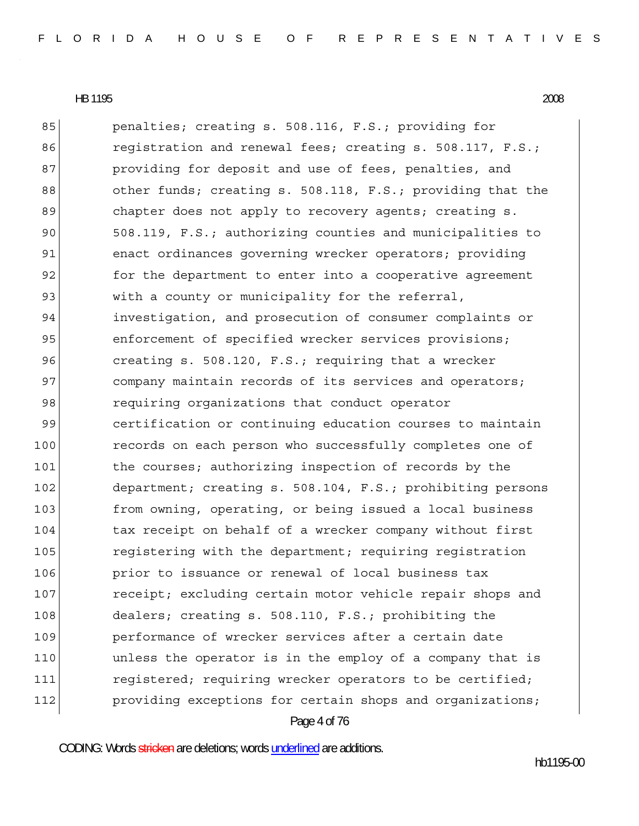85 penalties; creating s. 508.116, F.S.; providing for 86 registration and renewal fees; creating s. 508.117, F.S.; 87 **providing for deposit and use of fees, penalties, and** 88 other funds; creating s. 508.118, F.S.; providing that the 89 chapter does not apply to recovery agents; creating s. 90 508.119, F.S.; authorizing counties and municipalities to 91 enact ordinances governing wrecker operators; providing 92 for the department to enter into a cooperative agreement 93 with a county or municipality for the referral, 94 investigation, and prosecution of consumer complaints or 95 enforcement of specified wrecker services provisions; 96 creating s. 508.120, F.S.; requiring that a wrecker 97 company maintain records of its services and operators; 98 requiring organizations that conduct operator 99 certification or continuing education courses to maintain 100 records on each person who successfully completes one of 101 the courses; authorizing inspection of records by the 102 department; creating s. 508.104, F.S.; prohibiting persons 103 from owning, operating, or being issued a local business 104 tax receipt on behalf of a wrecker company without first 105 registering with the department; requiring registration 106 **prior to issuance or renewal of local business tax** 107 **receipt;** excluding certain motor vehicle repair shops and 108 dealers; creating s. 508.110, F.S.; prohibiting the 109 **performance of wrecker services after a certain date** 110 **dua unless** the operator is in the employ of a company that is 111 registered; requiring wrecker operators to be certified; 112 **providing exceptions for certain shops and organizations;** 

Page 4 of 76

CODING: Words stricken are deletions; words underlined are additions.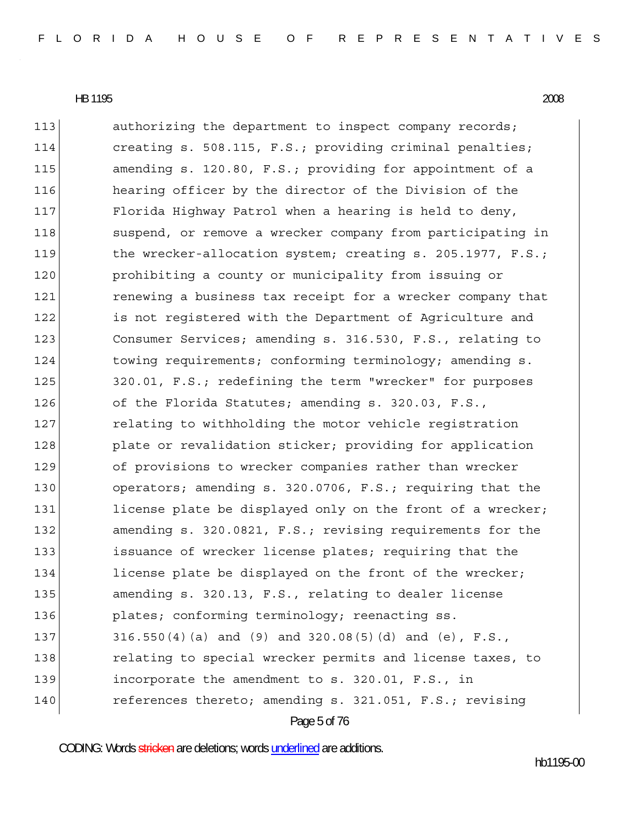Page 5 of 76 113 authorizing the department to inspect company records; 114 creating s. 508.115, F.S.; providing criminal penalties; 115 amending s. 120.80, F.S.; providing for appointment of a 116 hearing officer by the director of the Division of the 117 Florida Highway Patrol when a hearing is held to deny, 118 suspend, or remove a wrecker company from participating in 119 the wrecker-allocation system; creating s. 205.1977, F.S.; 120 prohibiting a county or municipality from issuing or 121 121 renewing a business tax receipt for a wrecker company that 122 is not registered with the Department of Agriculture and 123 Consumer Services; amending s. 316.530, F.S., relating to 124 towing requirements; conforming terminology; amending s. 125 320.01, F.S.; redefining the term "wrecker" for purposes 126 of the Florida Statutes; amending s. 320.03, F.S., 127 relating to withholding the motor vehicle registration 128 plate or revalidation sticker; providing for application 129 of provisions to wrecker companies rather than wrecker 130 operators; amending s. 320.0706, F.S.; requiring that the 131 license plate be displayed only on the front of a wrecker; 132 amending s. 320.0821, F.S.; revising requirements for the 133 issuance of wrecker license plates; requiring that the 134 license plate be displayed on the front of the wrecker; 135 amending s. 320.13, F.S., relating to dealer license 136 **plates;** conforming terminology; reenacting ss. 137 316.550(4)(a) and (9) and 320.08(5)(d) and (e), F.S., 138 relating to special wrecker permits and license taxes, to 139 incorporate the amendment to s. 320.01, F.S., in 140 references thereto; amending s. 321.051, F.S.; revising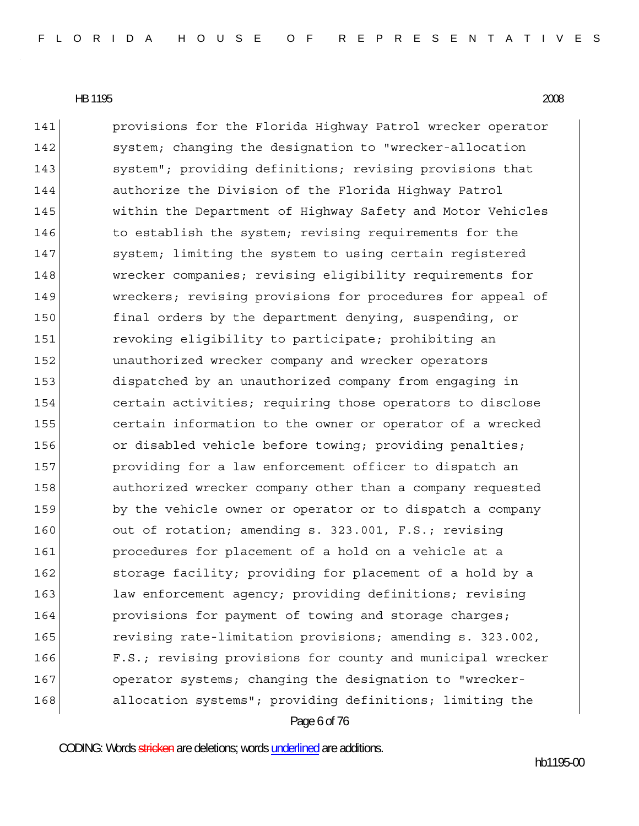Page 6 of 76 141 **provisions for the Florida Highway Patrol wrecker operator** 142 system; changing the designation to "wrecker-allocation 143 system"; providing definitions; revising provisions that 144 authorize the Division of the Florida Highway Patrol 145 within the Department of Highway Safety and Motor Vehicles 146 to establish the system; revising requirements for the 147 system; limiting the system to using certain registered 148 wrecker companies; revising eligibility requirements for 149 Wreckers; revising provisions for procedures for appeal of 150 final orders by the department denying, suspending, or 151 revoking eligibility to participate; prohibiting an 152 unauthorized wrecker company and wrecker operators 153 dispatched by an unauthorized company from engaging in 154 certain activities; requiring those operators to disclose 155 certain information to the owner or operator of a wrecked 156 or disabled vehicle before towing; providing penalties; 157 **providing for a law enforcement officer to dispatch an** 158 authorized wrecker company other than a company requested 159 by the vehicle owner or operator or to dispatch a company 160 out of rotation; amending s. 323.001, F.S.; revising 161 **procedures for placement of a hold on a vehicle at a** 162 storage facility; providing for placement of a hold by a 163 law enforcement agency; providing definitions; revising 164 **provisions for payment of towing and storage charges;** 165 revising rate-limitation provisions; amending s. 323.002, 166 F.S.; revising provisions for county and municipal wrecker 167 operator systems; changing the designation to "wrecker-168 allocation systems"; providing definitions; limiting the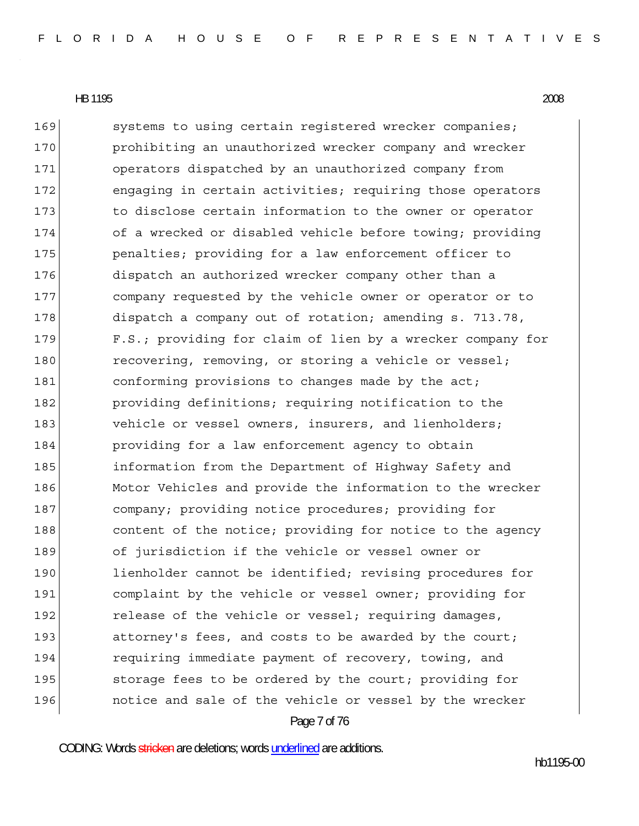Page 7 of 76 169 systems to using certain registered wrecker companies; 170 **prohibiting an unauthorized wrecker company and wrecker** 171 operators dispatched by an unauthorized company from 172 engaging in certain activities; requiring those operators 173 to disclose certain information to the owner or operator 174 of a wrecked or disabled vehicle before towing; providing 175 **penalties;** providing for a law enforcement officer to 176 dispatch an authorized wrecker company other than a 177 company requested by the vehicle owner or operator or to 178 dispatch a company out of rotation; amending s. 713.78, 179 F.S.; providing for claim of lien by a wrecker company for 180 recovering, removing, or storing a vehicle or vessel; 181 conforming provisions to changes made by the act; 182 **providing definitions;** requiring notification to the 183 vehicle or vessel owners, insurers, and lienholders; 184 **providing for a law enforcement agency to obtain** 185 information from the Department of Highway Safety and 186 Motor Vehicles and provide the information to the wrecker 187 company; providing notice procedures; providing for 188 content of the notice; providing for notice to the agency 189 of jurisdiction if the vehicle or vessel owner or 190 lienholder cannot be identified; revising procedures for 191 complaint by the vehicle or vessel owner; providing for 192 release of the vehicle or vessel; requiring damages, 193 attorney's fees, and costs to be awarded by the court; 194 requiring immediate payment of recovery, towing, and 195 storage fees to be ordered by the court; providing for 196 **notice and sale of the vehicle or vessel by the wrecker** 

CODING: Words stricken are deletions; words underlined are additions.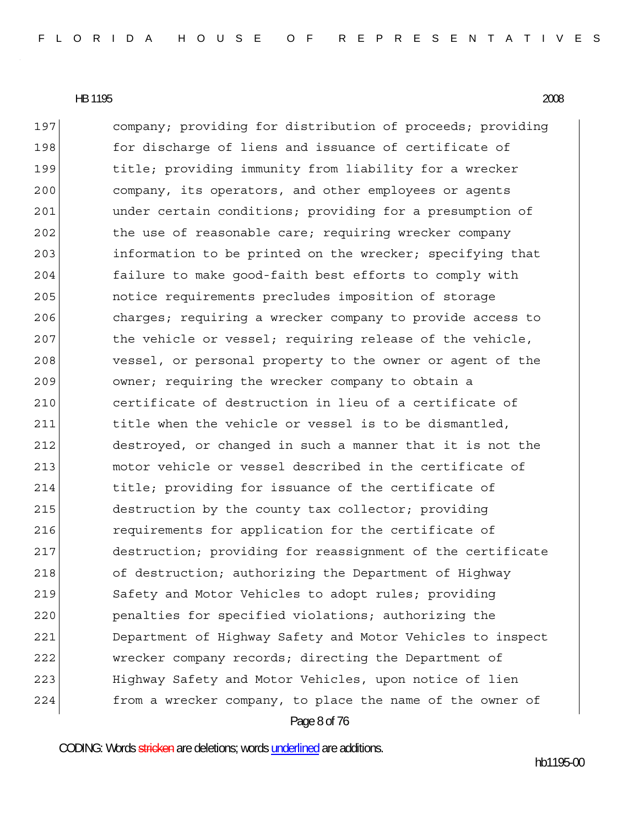Page 8 of 76 197 company; providing for distribution of proceeds; providing 198 for discharge of liens and issuance of certificate of 199 bitle; providing immunity from liability for a wrecker 200 company, its operators, and other employees or agents 201 **b** under certain conditions; providing for a presumption of 202 the use of reasonable care; requiring wrecker company 203 information to be printed on the wrecker; specifying that 204 failure to make good-faith best efforts to comply with 205 notice requirements precludes imposition of storage 206 charges; requiring a wrecker company to provide access to 207 bhe vehicle or vessel; requiring release of the vehicle, 208 vessel, or personal property to the owner or agent of the 209 owner; requiring the wrecker company to obtain a 210 certificate of destruction in lieu of a certificate of 211 title when the vehicle or vessel is to be dismantled, 212 destroyed, or changed in such a manner that it is not the 213 motor vehicle or vessel described in the certificate of 214 title; providing for issuance of the certificate of 215 destruction by the county tax collector; providing 216 **requirements for application for the certificate of** 217 destruction; providing for reassignment of the certificate 218 of destruction; authorizing the Department of Highway 219 Safety and Motor Vehicles to adopt rules; providing 220 penalties for specified violations; authorizing the 221 Department of Highway Safety and Motor Vehicles to inspect 222 wrecker company records; directing the Department of 223 Highway Safety and Motor Vehicles, upon notice of lien 224 from a wrecker company, to place the name of the owner of

CODING: Words stricken are deletions; words underlined are additions.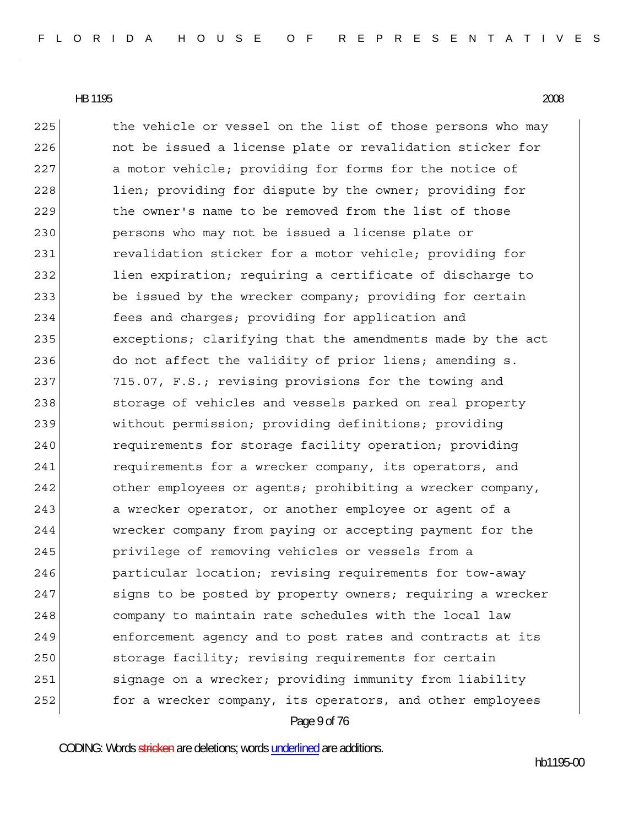Page 9 of 76 225 the vehicle or vessel on the list of those persons who may 226 **not be issued a license plate or revalidation sticker for** 227 a motor vehicle; providing for forms for the notice of 228 lien; providing for dispute by the owner; providing for 229 the owner's name to be removed from the list of those 230 persons who may not be issued a license plate or 231 revalidation sticker for a motor vehicle; providing for 232 lien expiration; requiring a certificate of discharge to 233 be issued by the wrecker company; providing for certain 234 fees and charges; providing for application and 235 exceptions; clarifying that the amendments made by the act 236 do not affect the validity of prior liens; amending s. 237 715.07, F.S.; revising provisions for the towing and 238 storage of vehicles and vessels parked on real property 239 without permission; providing definitions; providing 240 requirements for storage facility operation; providing 241 requirements for a wrecker company, its operators, and 242 other employees or agents; prohibiting a wrecker company, 243 a wrecker operator, or another employee or agent of a 244 wrecker company from paying or accepting payment for the 245 **privilege of removing vehicles or vessels from a** 246 particular location; revising requirements for tow-away 247 signs to be posted by property owners; requiring a wrecker 248 company to maintain rate schedules with the local law 249 enforcement agency and to post rates and contracts at its 250 storage facility; revising requirements for certain 251 signage on a wrecker; providing immunity from liability 252 **for a wrecker company, its operators, and other employees** 

CODING: Words stricken are deletions; words underlined are additions.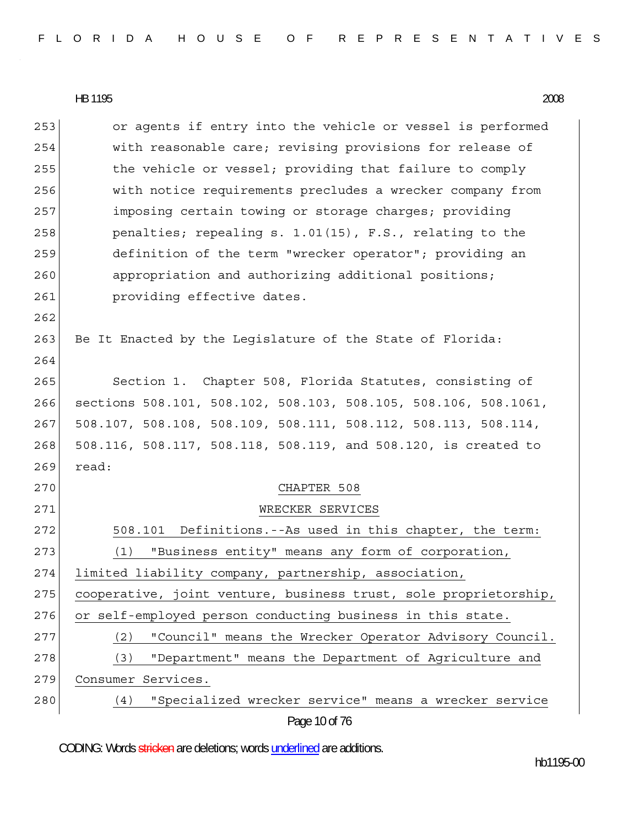Page 10 of 76 253 or agents if entry into the vehicle or vessel is performed 254 with reasonable care; revising provisions for release of 255 the vehicle or vessel; providing that failure to comply 256 with notice requirements precludes a wrecker company from 257 imposing certain towing or storage charges; providing 258 penalties; repealing s. 1.01(15), F.S., relating to the 259 definition of the term "wrecker operator"; providing an 260 appropriation and authorizing additional positions; 261 **providing effective dates.** 262 263 Be It Enacted by the Legislature of the State of Florida: 264 265 Section 1. Chapter 508, Florida Statutes, consisting of 266 sections 508.101, 508.102, 508.103, 508.105, 508.106, 508.1061, 267 508.107, 508.108, 508.109, 508.111, 508.112, 508.113, 508.114, 268 508.116, 508.117, 508.118, 508.119, and 508.120, is created to 269 read: 270 CHAPTER 508 271 WRECKER SERVICES 272 508.101 Definitions.--As used in this chapter, the term: 273 (1) "Business entity" means any form of corporation, 274 limited liability company, partnership, association, 275 cooperative, joint venture, business trust, sole proprietorship, 276 or self-employed person conducting business in this state. 277 (2) "Council" means the Wrecker Operator Advisory Council. 278 (3) "Department" means the Department of Agriculture and 279 Consumer Services. 280 (4) "Specialized wrecker service" means a wrecker service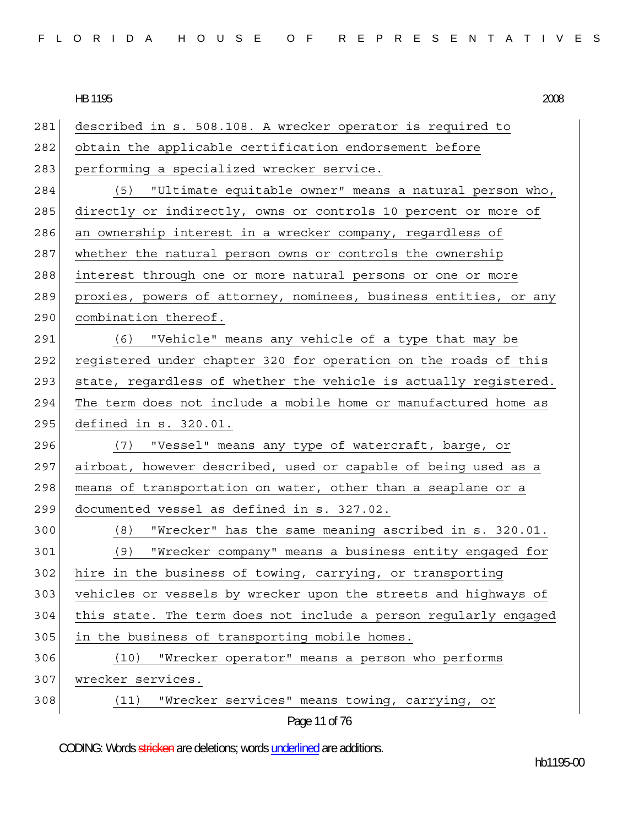| FLORIDA HOUSE OF REPRESENTATIVES |  |  |
|----------------------------------|--|--|
|----------------------------------|--|--|

281 described in s. 508.108. A wrecker operator is required to 282 obtain the applicable certification endorsement before 283 performing a specialized wrecker service. 284 (5) "Ultimate equitable owner" means a natural person who, 285 directly or indirectly, owns or controls 10 percent or more of 286 an ownership interest in a wrecker company, regardless of 287 whether the natural person owns or controls the ownership 288 interest through one or more natural persons or one or more 289 proxies, powers of attorney, nominees, business entities, or any 290 combination thereof. 291 (6) "Vehicle" means any vehicle of a type that may be 292 registered under chapter 320 for operation on the roads of this 293 state, regardless of whether the vehicle is actually registered. 294 The term does not include a mobile home or manufactured home as 295 defined in s. 320.01. 296 (7) "Vessel" means any type of watercraft, barge, or 297 airboat, however described, used or capable of being used as a 298 | means of transportation on water, other than a seaplane or a 299 documented vessel as defined in s. 327.02. 300 (8) "Wrecker" has the same meaning ascribed in s. 320.01. 301 (9) "Wrecker company" means a business entity engaged for 302 hire in the business of towing, carrying, or transporting 303 vehicles or vessels by wrecker upon the streets and highways of 304 this state. The term does not include a person regularly engaged 305 in the business of transporting mobile homes. 306 (10) "Wrecker operator" means a person who performs 307 wrecker services. 308 (11) "Wrecker services" means towing, carrying, or

# Page 11 of 76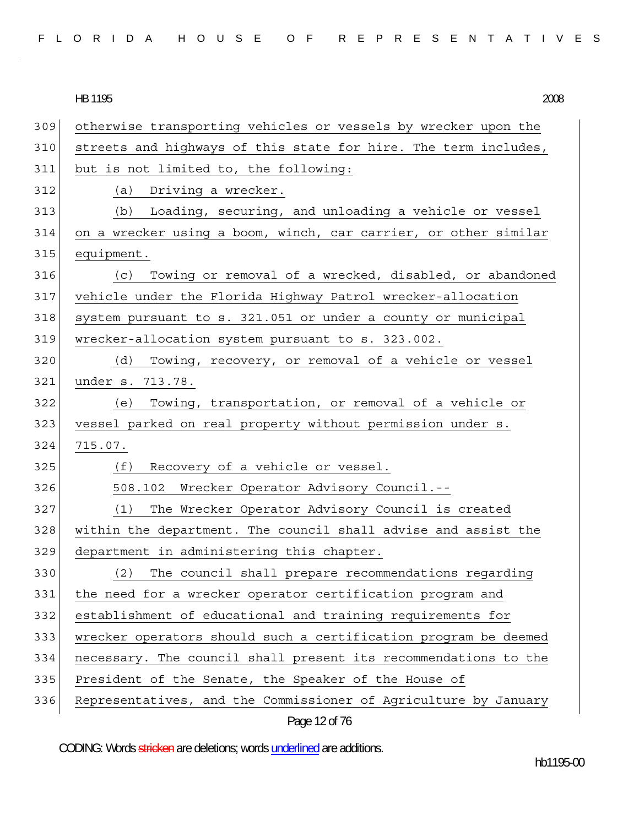|  |  |  |  |  | FLORIDA HOUSE OF REPRESENTATIVES |  |  |  |  |  |  |  |  |  |
|--|--|--|--|--|----------------------------------|--|--|--|--|--|--|--|--|--|
|  |  |  |  |  |                                  |  |  |  |  |  |  |  |  |  |

309 otherwise transporting vehicles or vessels by wrecker upon the 310 streets and highways of this state for hire. The term includes, 311 but is not limited to, the following: 312 (a) Driving a wrecker. 313 (b) Loading, securing, and unloading a vehicle or vessel 314 on a wrecker using a boom, winch, car carrier, or other similar 315 equipment. 316 (c) Towing or removal of a wrecked, disabled, or abandoned 317 vehicle under the Florida Highway Patrol wrecker-allocation 318 system pursuant to s. 321.051 or under a county or municipal 319 wrecker-allocation system pursuant to s. 323.002. 320 (d) Towing, recovery, or removal of a vehicle or vessel 321 under s. 713.78. 322 (e) Towing, transportation, or removal of a vehicle or 323 vessel parked on real property without permission under s. 324 715.07. 325 (f) Recovery of a vehicle or vessel. 326 508.102 Wrecker Operator Advisory Council.-- 327 (1) The Wrecker Operator Advisory Council is created 328 within the department. The council shall advise and assist the 329 department in administering this chapter. 330 (2) The council shall prepare recommendations regarding 331 the need for a wrecker operator certification program and 332 establishment of educational and training requirements for 333 wrecker operators should such a certification program be deemed 334 necessary. The council shall present its recommendations to the 335 President of the Senate, the Speaker of the House of 336 Representatives, and the Commissioner of Agriculture by January

Page 12 of 76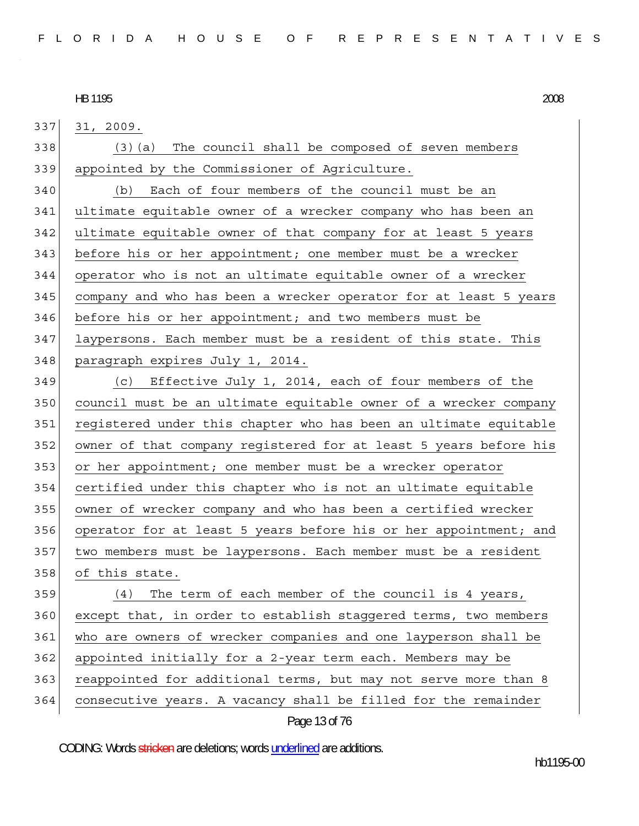337 31, 2009. 338 (3)(a) The council shall be composed of seven members 339 appointed by the Commissioner of Agriculture. 340 (b) Each of four members of the council must be an 341 ultimate equitable owner of a wrecker company who has been an 342 ultimate equitable owner of that company for at least 5 years 343 before his or her appointment; one member must be a wrecker 344 operator who is not an ultimate equitable owner of a wrecker 345 company and who has been a wrecker operator for at least 5 years 346 before his or her appointment; and two members must be 347 laypersons. Each member must be a resident of this state. This 348 paragraph expires July 1, 2014. 349 (c) Effective July 1, 2014, each of four members of the 350 council must be an ultimate equitable owner of a wrecker company 351 registered under this chapter who has been an ultimate equitable 352 owner of that company registered for at least 5 years before his 353 or her appointment; one member must be a wrecker operator 354 certified under this chapter who is not an ultimate equitable 355 owner of wrecker company and who has been a certified wrecker 356 operator for at least 5 years before his or her appointment; and 357 two members must be laypersons. Each member must be a resident 358 of this state. 359 (4) The term of each member of the council is 4 years, 360 except that, in order to establish staggered terms, two members 361 who are owners of wrecker companies and one layperson shall be 362 appointed initially for a 2-year term each. Members may be 363 reappointed for additional terms, but may not serve more than 8 364 consecutive years. A vacancy shall be filled for the remainder

#### Page 13 of 76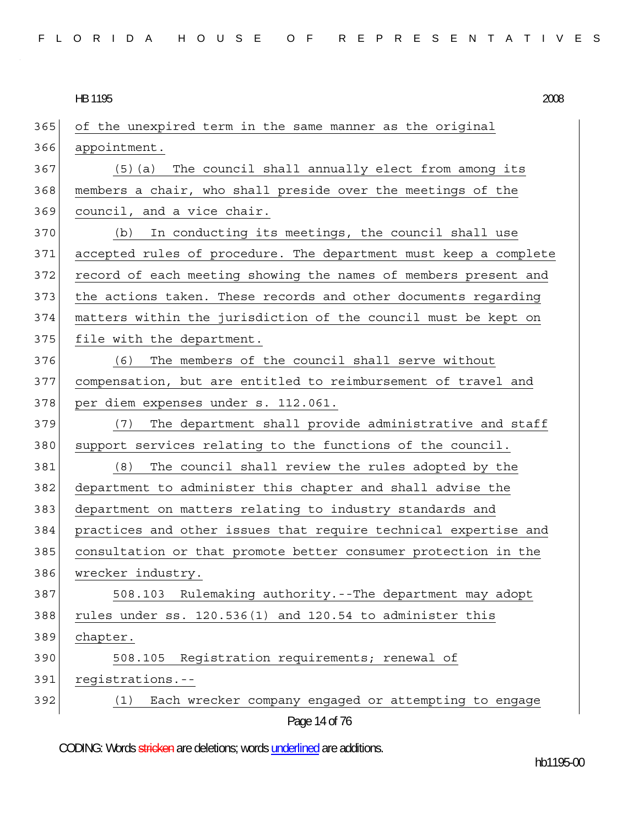| FLORIDA HOUSE OF REPRESENTATIVES |  |
|----------------------------------|--|
|----------------------------------|--|

Page 14 of 76 365 of the unexpired term in the same manner as the original 366 appointment. 367 (5)(a) The council shall annually elect from among its 368 members a chair, who shall preside over the meetings of the 369 council, and a vice chair. 370 (b) In conducting its meetings, the council shall use 371 accepted rules of procedure. The department must keep a complete 372 record of each meeting showing the names of members present and 373 the actions taken. These records and other documents regarding 374 matters within the jurisdiction of the council must be kept on 375 file with the department. 376 (6) The members of the council shall serve without 377 compensation, but are entitled to reimbursement of travel and 378 per diem expenses under s. 112.061. 379 (7) The department shall provide administrative and staff 380 support services relating to the functions of the council. 381 (8) The council shall review the rules adopted by the 382 department to administer this chapter and shall advise the 383 department on matters relating to industry standards and 384 practices and other issues that require technical expertise and 385 consultation or that promote better consumer protection in the 386 wrecker industry. 387 508.103 Rulemaking authority.--The department may adopt  $388$  rules under ss. 120.536(1) and 120.54 to administer this 389 chapter. 390 508.105 Registration requirements; renewal of 391 registrations.-- 392 (1) Each wrecker company engaged or attempting to engage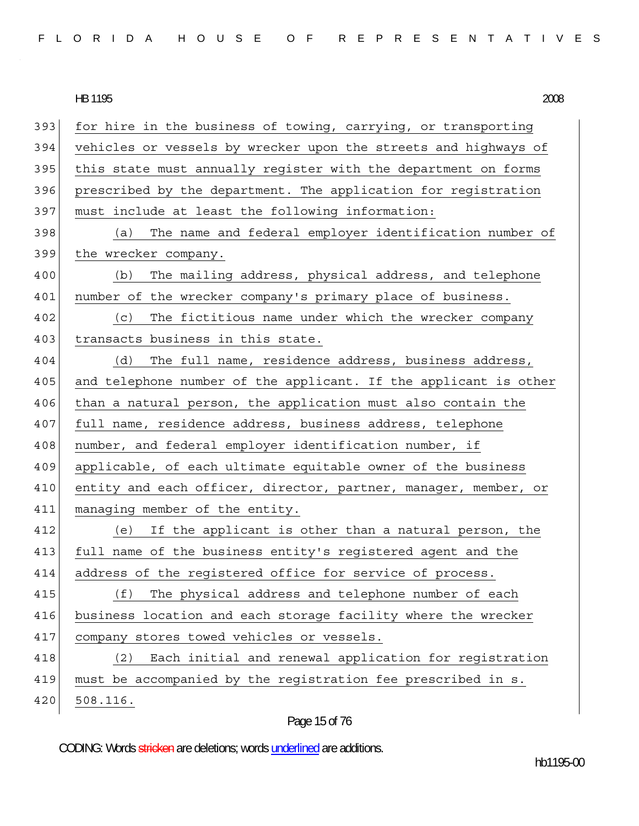|  |  |  |  |  |  |  |  |  |  |  |  |  |  | FLORIDA HOUSE OF REPRESENTATIVES |  |  |  |  |  |  |  |  |  |  |  |  |  |  |  |  |  |  |
|--|--|--|--|--|--|--|--|--|--|--|--|--|--|----------------------------------|--|--|--|--|--|--|--|--|--|--|--|--|--|--|--|--|--|--|
|--|--|--|--|--|--|--|--|--|--|--|--|--|--|----------------------------------|--|--|--|--|--|--|--|--|--|--|--|--|--|--|--|--|--|--|

HB 1195 2008 393 for hire in the business of towing, carrying, or transporting 394 vehicles or vessels by wrecker upon the streets and highways of 395 this state must annually register with the department on forms 396 prescribed by the department. The application for registration 397 must include at least the following information: 398 (a) The name and federal employer identification number of 399 the wrecker company. 400 (b) The mailing address, physical address, and telephone 401 | number of the wrecker company's primary place of business. 402 (c) The fictitious name under which the wrecker company 403 transacts business in this state. 404 (d) The full name, residence address, business address, 405 and telephone number of the applicant. If the applicant is other 406 than a natural person, the application must also contain the 407 full name, residence address, business address, telephone 408 number, and federal employer identification number, if 409 applicable, of each ultimate equitable owner of the business 410 entity and each officer, director, partner, manager, member, or 411 managing member of the entity. 412 (e) If the applicant is other than a natural person, the 413 full name of the business entity's registered agent and the 414 address of the registered office for service of process. 415 (f) The physical address and telephone number of each 416 business location and each storage facility where the wrecker 417 company stores towed vehicles or vessels. 418 (2) Each initial and renewal application for registration 419 must be accompanied by the registration fee prescribed in s. 420 508.116.

#### Page 15 of 76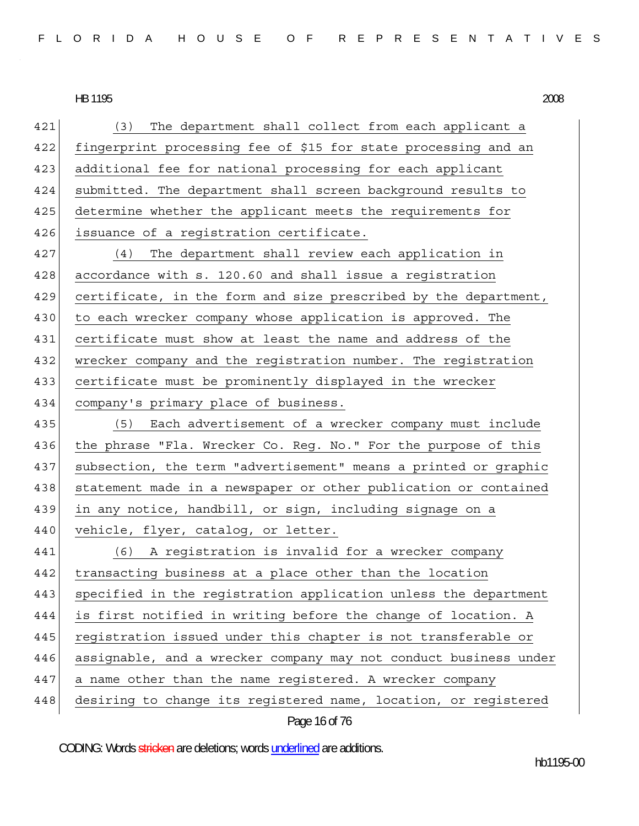421 (3) The department shall collect from each applicant a 422 fingerprint processing fee of \$15 for state processing and an 423 additional fee for national processing for each applicant 424 submitted. The department shall screen background results to 425 determine whether the applicant meets the requirements for 426 issuance of a registration certificate. 427 (4) The department shall review each application in 428 accordance with s. 120.60 and shall issue a registration 429 certificate, in the form and size prescribed by the department, 430 to each wrecker company whose application is approved. The 431 certificate must show at least the name and address of the 432 wrecker company and the registration number. The registration 433 certificate must be prominently displayed in the wrecker 434 company's primary place of business. 435 (5) Each advertisement of a wrecker company must include 436 the phrase "Fla. Wrecker Co. Reg. No." For the purpose of this 437 subsection, the term "advertisement" means a printed or graphic 438 statement made in a newspaper or other publication or contained 439 in any notice, handbill, or sign, including signage on a 440 vehicle, flyer, catalog, or letter. 441 (6) A registration is invalid for a wrecker company 442 transacting business at a place other than the location 443 specified in the registration application unless the department 444 is first notified in writing before the change of location. A 445 reqistration issued under this chapter is not transferable or 446 assignable, and a wrecker company may not conduct business under 447 a name other than the name registered. A wrecker company 448 desiring to change its registered name, location, or registered

Page 16 of 76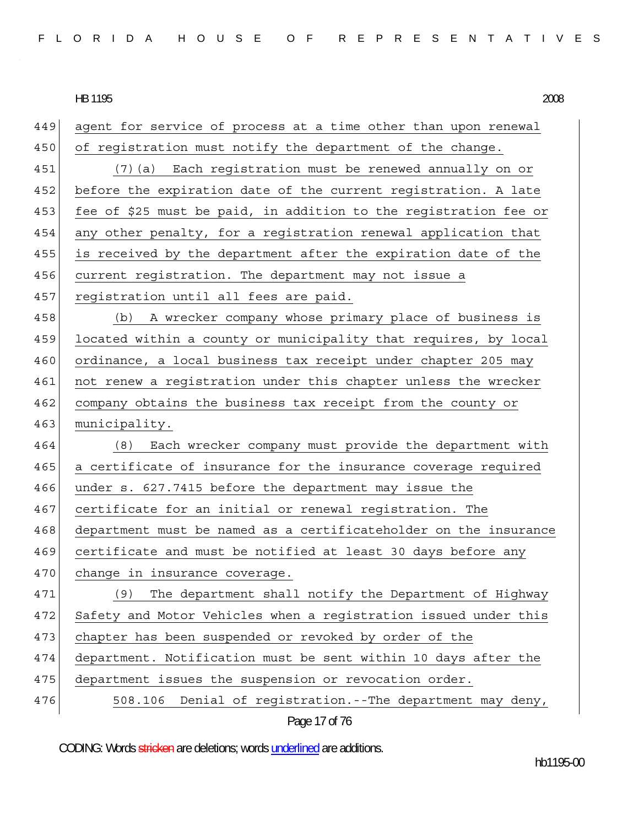449 agent for service of process at a time other than upon renewal 450 of registration must notify the department of the change. 451 (7)(a) Each registration must be renewed annually on or 452 before the expiration date of the current registration. A late 453 fee of \$25 must be paid, in addition to the registration fee or 454 any other penalty, for a registration renewal application that 455 is received by the department after the expiration date of the 456 current registration. The department may not issue a 457 registration until all fees are paid. 458 (b) A wrecker company whose primary place of business is 459 located within a county or municipality that requires, by local 460 ordinance, a local business tax receipt under chapter 205 may 461 not renew a registration under this chapter unless the wrecker 462 company obtains the business tax receipt from the county or 463 municipality. 464 (8) Each wrecker company must provide the department with 465 a certificate of insurance for the insurance coverage required 466 under s. 627.7415 before the department may issue the 467 certificate for an initial or renewal registration. The 468 department must be named as a certificateholder on the insurance 469 certificate and must be notified at least 30 days before any 470 change in insurance coverage. 471 (9) The department shall notify the Department of Highway 472 Safety and Motor Vehicles when a registration issued under this 473 chapter has been suspended or revoked by order of the 474 department. Notification must be sent within 10 days after the 475 department issues the suspension or revocation order. 476 508.106 Denial of reqistration.--The department may deny,

```
Page 17 of 76
```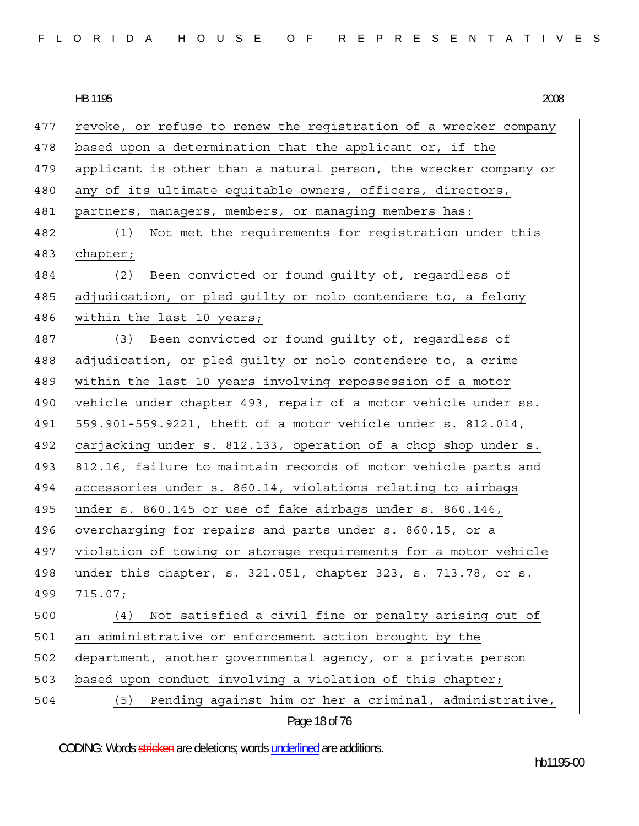|  |  |  |  |  |  |  |  |  |  |  |  | FLORIDA HOUSE OF REPRESENTATIVES |  |  |  |  |  |  |  |  |  |  |  |  |  |  |  |  |  |
|--|--|--|--|--|--|--|--|--|--|--|--|----------------------------------|--|--|--|--|--|--|--|--|--|--|--|--|--|--|--|--|--|
|--|--|--|--|--|--|--|--|--|--|--|--|----------------------------------|--|--|--|--|--|--|--|--|--|--|--|--|--|--|--|--|--|

HB 1195 HB 1195 2008

| 477 | revoke, or refuse to renew the registration of a wrecker company |
|-----|------------------------------------------------------------------|
| 478 | based upon a determination that the applicant or, if the         |
| 479 | applicant is other than a natural person, the wrecker company or |
| 480 | any of its ultimate equitable owners, officers, directors,       |
| 481 | partners, managers, members, or managing members has:            |
| 482 | Not met the requirements for registration under this<br>(1)      |
| 483 | chapter;                                                         |
| 484 | Been convicted or found guilty of, regardless of<br>(2)          |
| 485 | adjudication, or pled guilty or nolo contendere to, a felony     |
| 486 | within the last 10 years;                                        |
| 487 | (3) Been convicted or found guilty of, regardless of             |
| 488 | adjudication, or pled quilty or nolo contendere to, a crime      |
| 489 | within the last 10 years involving repossession of a motor       |
| 490 | vehicle under chapter 493, repair of a motor vehicle under ss.   |
| 491 | 559.901-559.9221, theft of a motor vehicle under s. 812.014,     |
| 492 | carjacking under s. 812.133, operation of a chop shop under s.   |
| 493 | 812.16, failure to maintain records of motor vehicle parts and   |
| 494 | accessories under s. 860.14, violations relating to airbags      |
| 495 | under s. 860.145 or use of fake airbags under s. 860.146,        |
| 496 | overcharging for repairs and parts under s. 860.15, or a         |
| 497 | violation of towing or storage requirements for a motor vehicle  |
| 498 | under this chapter, s. 321.051, chapter 323, s. 713.78, or s.    |
| 499 | 715.07;                                                          |
| 500 | Not satisfied a civil fine or penalty arising out of<br>(4)      |
| 501 | an administrative or enforcement action brought by the           |
| 502 | department, another governmental agency, or a private person     |
| 503 | based upon conduct involving a violation of this chapter;        |
| 504 | Pending against him or her a criminal, administrative,<br>(5)    |
|     |                                                                  |

Page 18 of 76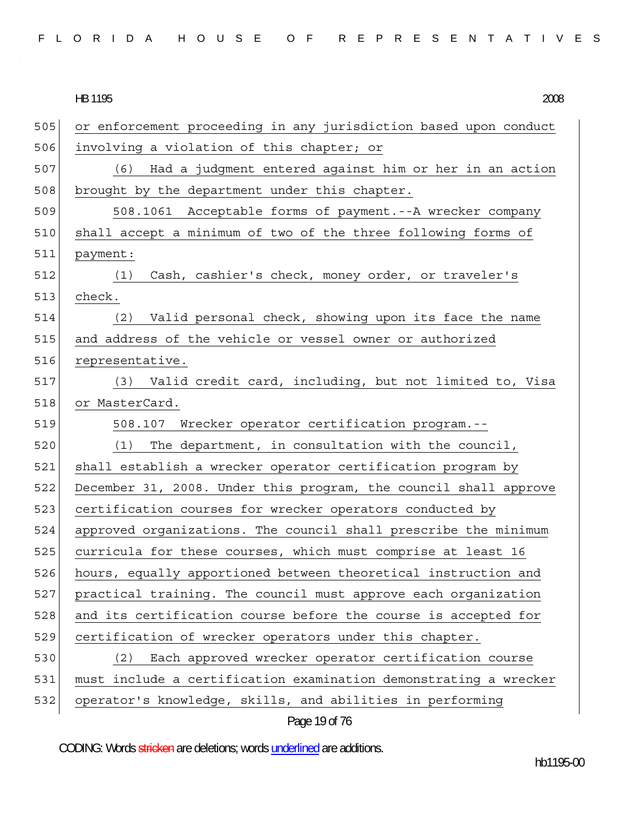|  |  |  |  |  | FLORIDA HOUSE OF REPRESENTATIVES |  |  |  |  |  |  |  |  |  |
|--|--|--|--|--|----------------------------------|--|--|--|--|--|--|--|--|--|
|  |  |  |  |  |                                  |  |  |  |  |  |  |  |  |  |

| 2008 |
|------|
|      |

| 505 | or enforcement proceeding in any jurisdiction based upon conduct |
|-----|------------------------------------------------------------------|
| 506 | involving a violation of this chapter; or                        |
| 507 | Had a judgment entered against him or her in an action<br>(6)    |
| 508 | brought by the department under this chapter.                    |
| 509 | 508.1061 Acceptable forms of payment.--A wrecker company         |
| 510 | shall accept a minimum of two of the three following forms of    |
| 511 | payment:                                                         |
| 512 | Cash, cashier's check, money order, or traveler's<br>(1)         |
| 513 | check.                                                           |
| 514 | Valid personal check, showing upon its face the name<br>(2)      |
| 515 | and address of the vehicle or vessel owner or authorized         |
| 516 | representative.                                                  |
| 517 | (3) Valid credit card, including, but not limited to, Visa       |
| 518 | or MasterCard.                                                   |
| 519 | 508.107 Wrecker operator certification program.--                |
| 520 | The department, in consultation with the council,<br>(1)         |
| 521 | shall establish a wrecker operator certification program by      |
| 522 | December 31, 2008. Under this program, the council shall approve |
| 523 | certification courses for wrecker operators conducted by         |
| 524 | approved organizations. The council shall prescribe the minimum  |
| 525 | curricula for these courses, which must comprise at least 16     |
| 526 | hours, equally apportioned between theoretical instruction and   |
| 527 | practical training. The council must approve each organization   |
| 528 | and its certification course before the course is accepted for   |
| 529 | certification of wrecker operators under this chapter.           |
| 530 | Each approved wrecker operator certification course<br>(2)       |
| 531 | must include a certification examination demonstrating a wrecker |
| 532 | operator's knowledge, skills, and abilities in performing        |

Page 19 of 76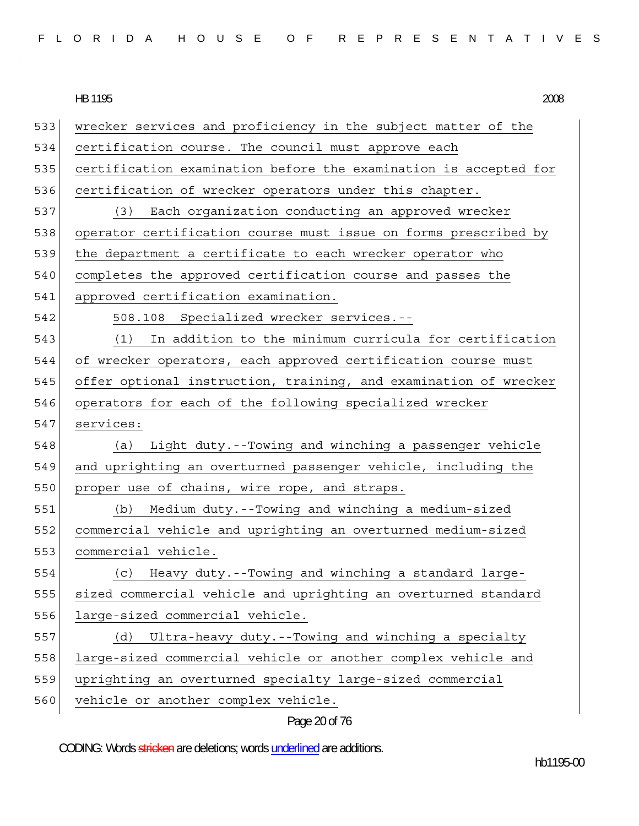|  |  |  |  |  |  |  |  |  |  |  |  |  |  | FLORIDA HOUSE OF REPRESENTATIVES |  |  |  |  |  |  |  |  |  |  |  |  |  |  |  |  |  |  |
|--|--|--|--|--|--|--|--|--|--|--|--|--|--|----------------------------------|--|--|--|--|--|--|--|--|--|--|--|--|--|--|--|--|--|--|
|--|--|--|--|--|--|--|--|--|--|--|--|--|--|----------------------------------|--|--|--|--|--|--|--|--|--|--|--|--|--|--|--|--|--|--|

533 wrecker services and proficiency in the subject matter of the 534 certification course. The council must approve each 535 certification examination before the examination is accepted for 536 certification of wrecker operators under this chapter. 537 (3) Each organization conducting an approved wrecker 538 operator certification course must issue on forms prescribed by 539 the department a certificate to each wrecker operator who 540 completes the approved certification course and passes the 541 approved certification examination. 542 508.108 Specialized wrecker services.-- 543 (1) In addition to the minimum curricula for certification 544 of wrecker operators, each approved certification course must 545 offer optional instruction, training, and examination of wrecker 546 operators for each of the following specialized wrecker 547 services: 548 (a) Light duty.--Towing and winching a passenger vehicle 549 and uprighting an overturned passenger vehicle, including the 550 proper use of chains, wire rope, and straps. 551 (b) Medium duty.--Towing and winching a medium-sized 552 commercial vehicle and uprighting an overturned medium-sized 553 commercial vehicle. 554 (c) Heavy duty.--Towing and winching a standard large-555 sized commercial vehicle and uprighting an overturned standard 556 large-sized commercial vehicle. 557 (d) Ultra-heavy duty.--Towing and winching a specialty 558 large-sized commercial vehicle or another complex vehicle and 559 uprighting an overturned specialty large-sized commercial 560 vehicle or another complex vehicle.

Page 20 of 76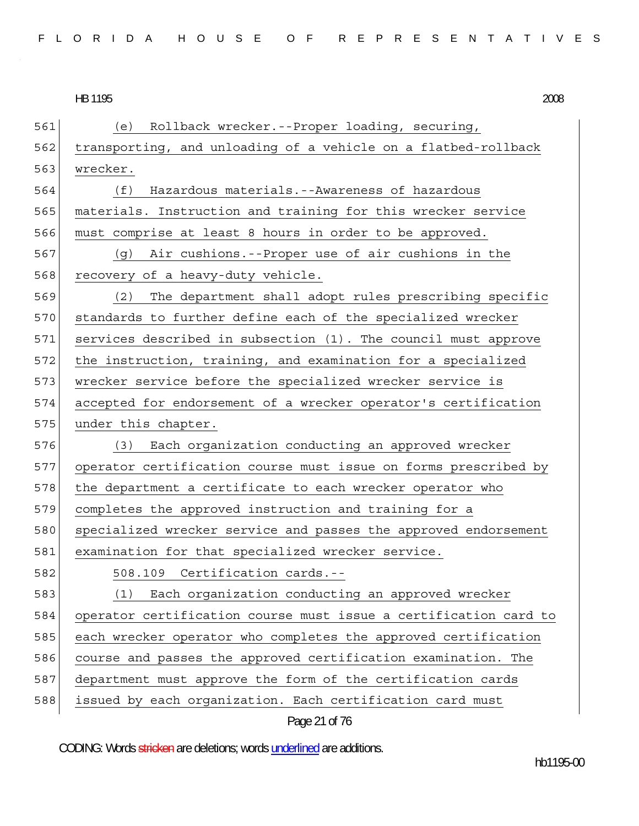561 (e) Rollback wrecker.--Proper loading, securing, 562 transporting, and unloading of a vehicle on a flatbed-rollback 563 wrecker. 564 (f) Hazardous materials.--Awareness of hazardous 565 materials. Instruction and training for this wrecker service 566 must comprise at least 8 hours in order to be approved. 567 (g) Air cushions.--Proper use of air cushions in the 568 recovery of a heavy-duty vehicle. 569 (2) The department shall adopt rules prescribing specific 570 standards to further define each of the specialized wrecker 571 services described in subsection (1). The council must approve 572 the instruction, training, and examination for a specialized 573 wrecker service before the specialized wrecker service is 574 accepted for endorsement of a wrecker operator's certification 575 under this chapter. 576 (3) Each organization conducting an approved wrecker 577 operator certification course must issue on forms prescribed by 578 the department a certificate to each wrecker operator who 579 completes the approved instruction and training for a 580 specialized wrecker service and passes the approved endorsement 581 examination for that specialized wrecker service. 582 508.109 Certification cards.-- 583 (1) Each organization conducting an approved wrecker 584 operator certification course must issue a certification card to 585 each wrecker operator who completes the approved certification 586 course and passes the approved certification examination. The 587 department must approve the form of the certification cards 588 issued by each organization. Each certification card must

Page 21 of 76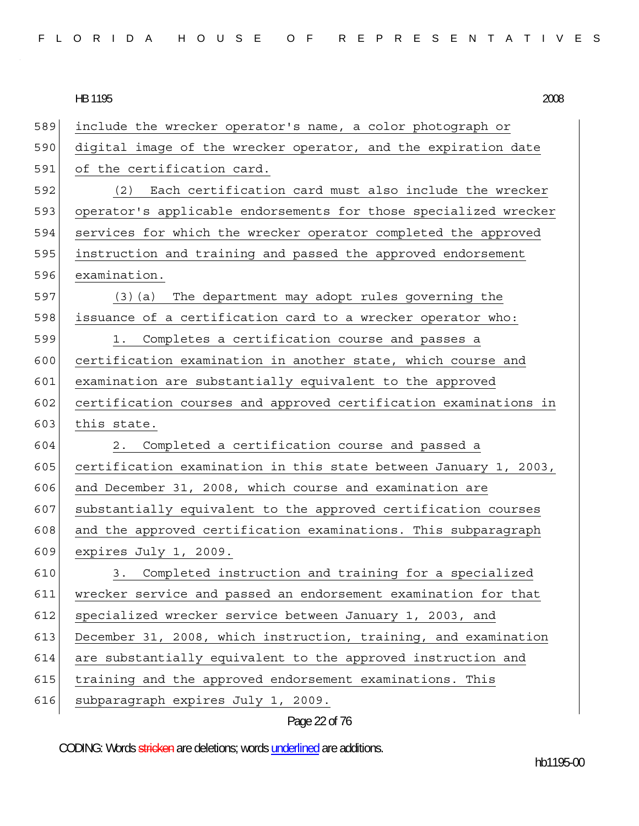|  |  |  |  |  |  |  |  |  |  |  |  |  |  | FLORIDA HOUSE OF REPRESENTATIVES |  |  |  |  |  |  |  |  |  |  |  |  |  |  |  |  |  |  |
|--|--|--|--|--|--|--|--|--|--|--|--|--|--|----------------------------------|--|--|--|--|--|--|--|--|--|--|--|--|--|--|--|--|--|--|
|--|--|--|--|--|--|--|--|--|--|--|--|--|--|----------------------------------|--|--|--|--|--|--|--|--|--|--|--|--|--|--|--|--|--|--|

HB 1195 HB 1195 2008

| 589 | include the wrecker operator's name, a color photograph or       |
|-----|------------------------------------------------------------------|
| 590 | digital image of the wrecker operator, and the expiration date   |
| 591 | of the certification card.                                       |
| 592 | Each certification card must also include the wrecker<br>(2)     |
| 593 | operator's applicable endorsements for those specialized wrecker |
| 594 | services for which the wrecker operator completed the approved   |
| 595 | instruction and training and passed the approved endorsement     |
| 596 | examination.                                                     |
| 597 | (3) (a) The department may adopt rules governing the             |
| 598 | issuance of a certification card to a wrecker operator who:      |
| 599 | Completes a certification course and passes a<br>1.              |
| 600 | certification examination in another state, which course and     |
| 601 | examination are substantially equivalent to the approved         |
| 602 | certification courses and approved certification examinations in |
| 603 | this state.                                                      |
| 604 | Completed a certification course and passed a<br>2.              |
| 605 | certification examination in this state between January 1, 2003, |
| 606 | and December 31, 2008, which course and examination are          |
| 607 | substantially equivalent to the approved certification courses   |
| 608 | and the approved certification examinations. This subparagraph   |
| 609 | expires July 1, 2009.                                            |
| 610 | 3. Completed instruction and training for a specialized          |
| 611 | wrecker service and passed an endorsement examination for that   |
| 612 | specialized wrecker service between January 1, 2003, and         |
| 613 | December 31, 2008, which instruction, training, and examination  |
| 614 | are substantially equivalent to the approved instruction and     |
| 615 | training and the approved endorsement examinations. This         |
| 616 | subparagraph expires July 1, 2009.                               |
|     |                                                                  |

# Page 22 of 76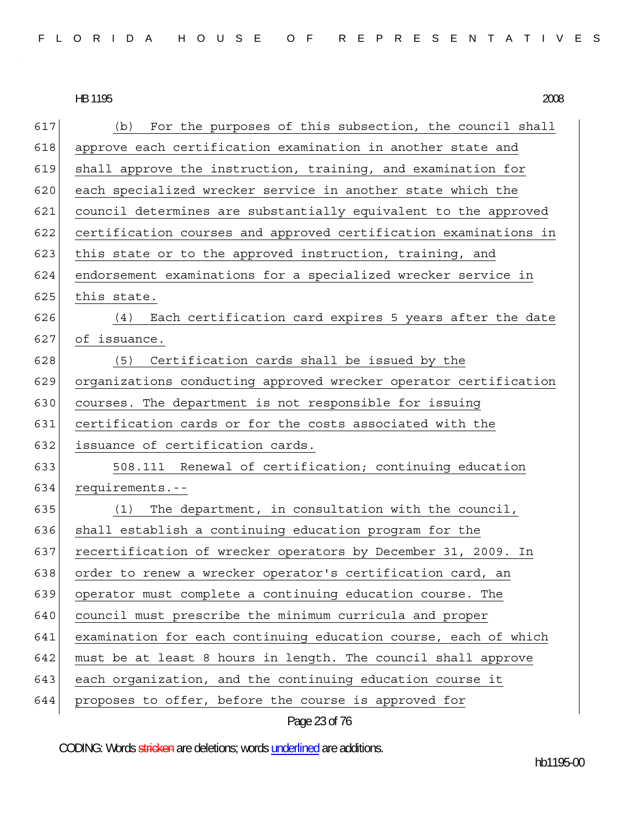| FLORIDA HOUSE OF REPRESENTATIVES |  |  |
|----------------------------------|--|--|
|----------------------------------|--|--|

HB 1195 HB 1195 2008

| 617 | For the purposes of this subsection, the council shall<br>(b)    |
|-----|------------------------------------------------------------------|
| 618 | approve each certification examination in another state and      |
| 619 | shall approve the instruction, training, and examination for     |
| 620 | each specialized wrecker service in another state which the      |
| 621 | council determines are substantially equivalent to the approved  |
| 622 | certification courses and approved certification examinations in |
| 623 | this state or to the approved instruction, training, and         |
| 624 | endorsement examinations for a specialized wrecker service in    |
| 625 | this state.                                                      |
| 626 | Each certification card expires 5 years after the date<br>(4)    |
| 627 | of issuance.                                                     |
| 628 | (5) Certification cards shall be issued by the                   |
| 629 | organizations conducting approved wrecker operator certification |
| 630 | courses. The department is not responsible for issuing           |
| 631 | certification cards or for the costs associated with the         |
| 632 | issuance of certification cards.                                 |
| 633 | 508.111 Renewal of certification; continuing education           |
| 634 | requirements.--                                                  |
| 635 | The department, in consultation with the council,<br>(1)         |
| 636 | shall establish a continuing education program for the           |
| 637 | recertification of wrecker operators by December 31, 2009. In    |
| 638 | order to renew a wrecker operator's certification card, an       |
| 639 | operator must complete a continuing education course. The        |
| 640 | council must prescribe the minimum curricula and proper          |
| 641 | examination for each continuing education course, each of which  |
| 642 | must be at least 8 hours in length. The council shall approve    |
| 643 | each organization, and the continuing education course it        |
| 644 | proposes to offer, before the course is approved for             |
|     |                                                                  |

Page 23 of 76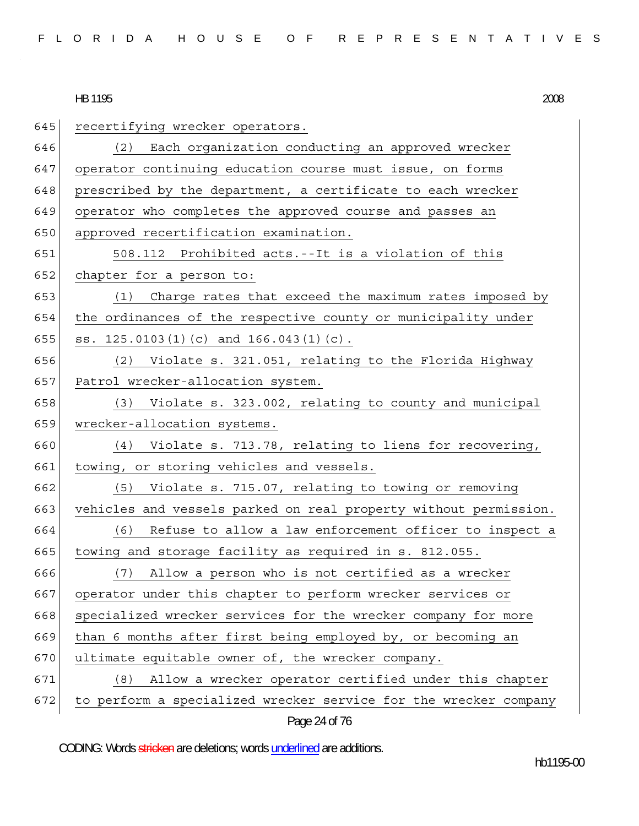HB 1195 2008 645 recertifying wrecker operators. 646 (2) Each organization conducting an approved wrecker 647 operator continuing education course must issue, on forms 648 prescribed by the department, a certificate to each wrecker 649 operator who completes the approved course and passes an 650 approved recertification examination. 651 508.112 Prohibited acts.--It is a violation of this 652 chapter for a person to: 653 (1) Charge rates that exceed the maximum rates imposed by 654 the ordinances of the respective county or municipality under 655  $|$  ss. 125.0103(1)(c) and 166.043(1)(c). 656 (2) Violate s. 321.051, relating to the Florida Highway 657 Patrol wrecker-allocation system. 658 (3) Violate s. 323.002, relating to county and municipal 659 wrecker-allocation systems. 660 (4) Violate s. 713.78, relating to liens for recovering, 661 towing, or storing vehicles and vessels. 662 (5) Violate s. 715.07, relating to towing or removing 663 vehicles and vessels parked on real property without permission. 664 (6) Refuse to allow a law enforcement officer to inspect a 665 towing and storage facility as required in s. 812.055. 666 (7) Allow a person who is not certified as a wrecker 667 operator under this chapter to perform wrecker services or 668 specialized wrecker services for the wrecker company for more 669 than 6 months after first being employed by, or becoming an 670 ultimate equitable owner of, the wrecker company. 671 (8) Allow a wrecker operator certified under this chapter 672 to perform a specialized wrecker service for the wrecker company

Page 24 of 76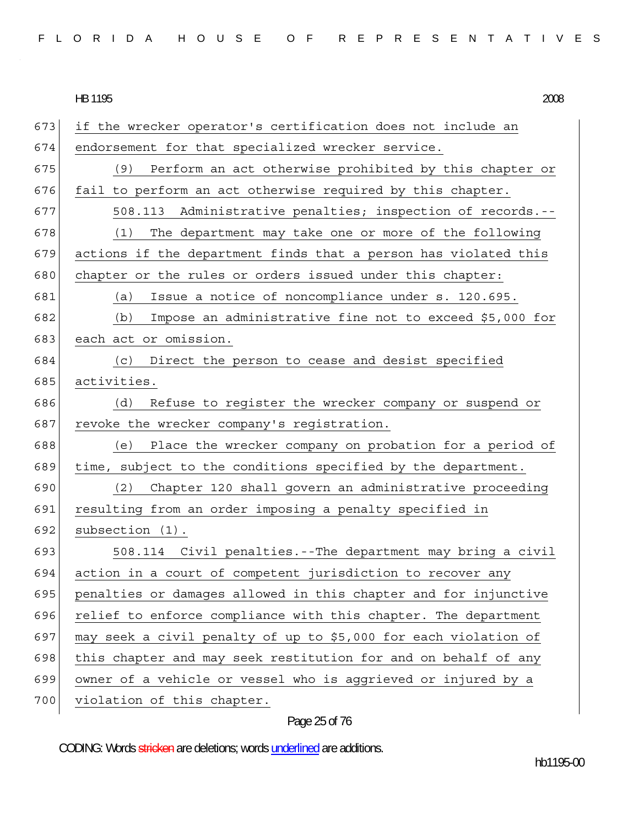673 if the wrecker operator's certification does not include an 674 endorsement for that specialized wrecker service. 675 (9) Perform an act otherwise prohibited by this chapter or  $676$  fail to perform an act otherwise required by this chapter. 677 508.113 Administrative penalties; inspection of records.-- 678 (1) The department may take one or more of the following  $679$  actions if the department finds that a person has violated this 680 chapter or the rules or orders issued under this chapter: 681 (a) Issue a notice of noncompliance under s. 120.695. 682 (b) Impose an administrative fine not to exceed \$5,000 for 683 each act or omission. 684 (c) Direct the person to cease and desist specified 685 activities. 686 (d) Refuse to register the wrecker company or suspend or 687 revoke the wrecker company's registration. 688 (e) Place the wrecker company on probation for a period of 689 time, subject to the conditions specified by the department. 690 (2) Chapter 120 shall govern an administrative proceeding 691 resulting from an order imposing a penalty specified in 692 subsection (1). 693 508.114 Civil penalties.--The department may bring a civil 694 action in a court of competent jurisdiction to recover any 695 | penalties or damages allowed in this chapter and for injunctive 696 relief to enforce compliance with this chapter. The department 697 may seek a civil penalty of up to \$5,000 for each violation of 698 this chapter and may seek restitution for and on behalf of any 699 owner of a vehicle or vessel who is aggrieved or injured by a 700 violation of this chapter.

# Page 25 of 76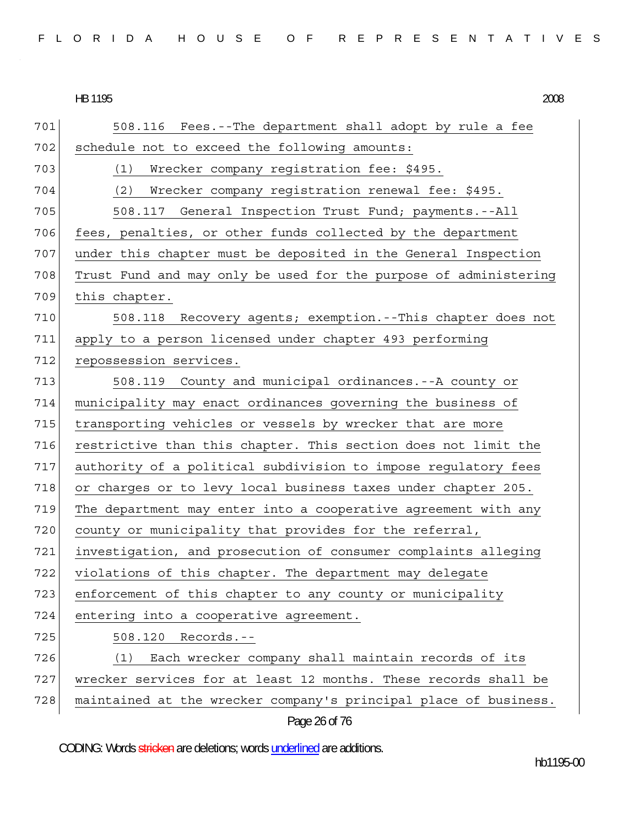HB 1195 HB 1195 2008

| 701 | 508.116 Fees.--The department shall adopt by rule a fee          |
|-----|------------------------------------------------------------------|
| 702 | schedule not to exceed the following amounts:                    |
| 703 | (1)<br>Wrecker company registration fee: \$495.                  |
| 704 | (2)<br>Wrecker company reqistration renewal fee: \$495.          |
| 705 | 508.117 General Inspection Trust Fund; payments.--All            |
| 706 | fees, penalties, or other funds collected by the department      |
| 707 | under this chapter must be deposited in the General Inspection   |
| 708 | Trust Fund and may only be used for the purpose of administering |
| 709 | this chapter.                                                    |
| 710 | Recovery agents; exemption.--This chapter does not<br>508.118    |
| 711 | apply to a person licensed under chapter 493 performing          |
| 712 | repossession services.                                           |
| 713 | 508.119 County and municipal ordinances.--A county or            |
| 714 | municipality may enact ordinances governing the business of      |
| 715 | transporting vehicles or vessels by wrecker that are more        |
| 716 | restrictive than this chapter. This section does not limit the   |
| 717 | authority of a political subdivision to impose regulatory fees   |
| 718 | or charges or to levy local business taxes under chapter 205.    |
| 719 | The department may enter into a cooperative agreement with any   |
| 720 | county or municipality that provides for the referral,           |
| 721 | investigation, and prosecution of consumer complaints alleging   |
| 722 | violations of this chapter. The department may delegate          |
| 723 | enforcement of this chapter to any county or municipality        |
| 724 | entering into a cooperative agreement.                           |
| 725 | Records.--<br>508.120                                            |
| 726 | Each wrecker company shall maintain records of its<br>(1)        |
| 727 | wrecker services for at least 12 months. These records shall be  |
| 728 | maintained at the wrecker company's principal place of business. |
|     | Page 26 of 76                                                    |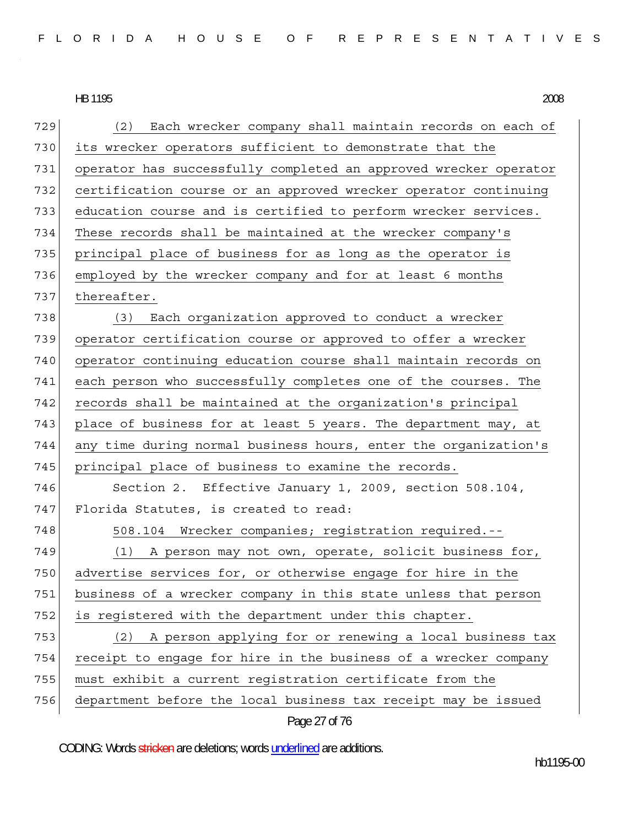Page 27 of 76 729 (2) Each wrecker company shall maintain records on each of 730 its wrecker operators sufficient to demonstrate that the 731 operator has successfully completed an approved wrecker operator 732 certification course or an approved wrecker operator continuing 733 education course and is certified to perform wrecker services. 734 These records shall be maintained at the wrecker company's 735 principal place of business for as long as the operator is 736 employed by the wrecker company and for at least 6 months 737 thereafter. 738 (3) Each organization approved to conduct a wrecker 739 operator certification course or approved to offer a wrecker 740 operator continuing education course shall maintain records on 741 each person who successfully completes one of the courses. The  $742$  records shall be maintained at the organization's principal 743 place of business for at least 5 years. The department may, at 744 any time during normal business hours, enter the organization's 745 principal place of business to examine the records. 746 Section 2. Effective January 1, 2009, section 508.104, 747 Florida Statutes, is created to read: 748 508.104 Wrecker companies; registration required.--749 (1) A person may not own, operate, solicit business for, 750 advertise services for, or otherwise engage for hire in the 751 business of a wrecker company in this state unless that person 752 is registered with the department under this chapter. 753 (2) A person applying for or renewing a local business tax 754 receipt to engage for hire in the business of a wrecker company 755 must exhibit a current registration certificate from the 756 department before the local business tax receipt may be issued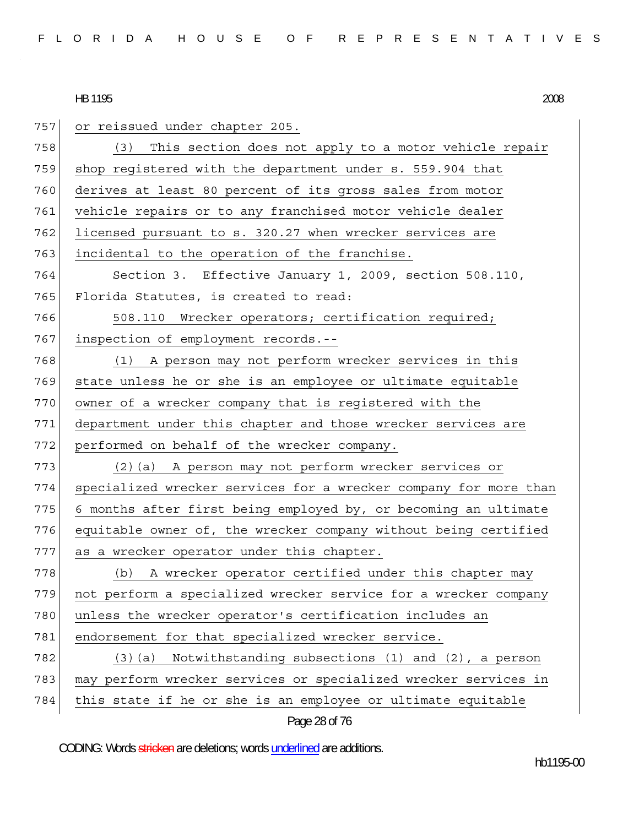| 757 | or reissued under chapter 205.                                   |
|-----|------------------------------------------------------------------|
| 758 | This section does not apply to a motor vehicle repair<br>(3)     |
| 759 | shop registered with the department under s. 559.904 that        |
| 760 | derives at least 80 percent of its gross sales from motor        |
| 761 | vehicle repairs or to any franchised motor vehicle dealer        |
| 762 | licensed pursuant to s. 320.27 when wrecker services are         |
| 763 | incidental to the operation of the franchise.                    |
| 764 | Section 3. Effective January 1, 2009, section 508.110,           |
| 765 | Florida Statutes, is created to read:                            |
| 766 | 508.110 Wrecker operators; certification required;               |
| 767 | inspection of employment records.--                              |
| 768 | (1) A person may not perform wrecker services in this            |
| 769 | state unless he or she is an employee or ultimate equitable      |
| 770 | owner of a wrecker company that is registered with the           |
| 771 | department under this chapter and those wrecker services are     |
| 772 | performed on behalf of the wrecker company.                      |
| 773 | (2) (a) A person may not perform wrecker services or             |
| 774 | specialized wrecker services for a wrecker company for more than |
| 775 | 6 months after first being employed by, or becoming an ultimate  |
| 776 | equitable owner of, the wrecker company without being certified  |
| 777 | as a wrecker operator under this chapter.                        |
| 778 | A wrecker operator certified under this chapter may<br>(b)       |
| 779 | not perform a specialized wrecker service for a wrecker company  |
| 780 | unless the wrecker operator's certification includes an          |
| 781 | endorsement for that specialized wrecker service.                |
| 782 | Notwithstanding subsections (1) and (2), a person<br>$(3)$ $(a)$ |
| 783 | may perform wrecker services or specialized wrecker services in  |
| 784 | this state if he or she is an employee or ultimate equitable     |
|     | Page 28 of 76                                                    |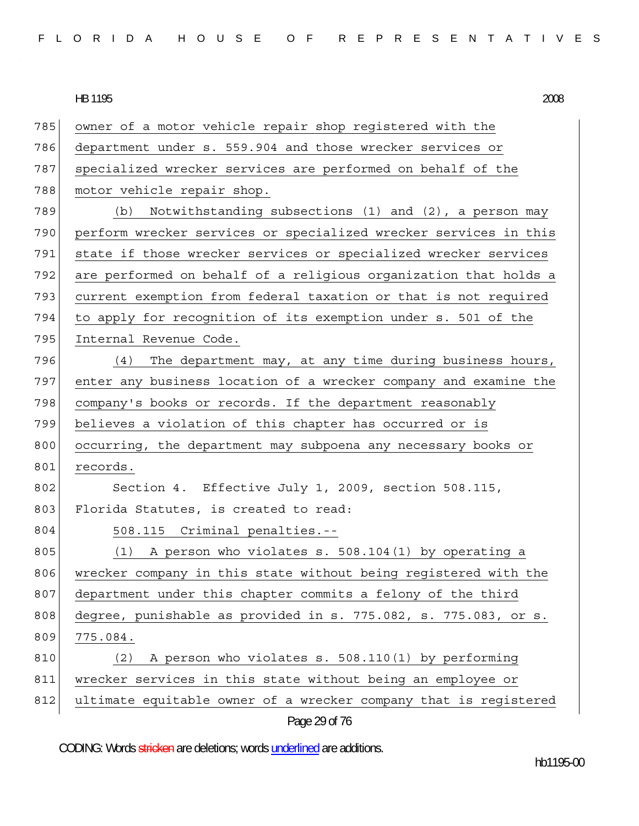| 785 | owner of a motor vehicle repair shop registered with the         |
|-----|------------------------------------------------------------------|
| 786 | department under s. 559.904 and those wrecker services or        |
| 787 | specialized wrecker services are performed on behalf of the      |
| 788 | motor vehicle repair shop.                                       |
| 789 | Notwithstanding subsections (1) and (2), a person may<br>(b)     |
| 790 | perform wrecker services or specialized wrecker services in this |
| 791 | state if those wrecker services or specialized wrecker services  |
| 792 | are performed on behalf of a religious organization that holds a |
| 793 | current exemption from federal taxation or that is not required  |
| 794 | to apply for recognition of its exemption under s. 501 of the    |
| 795 | Internal Revenue Code.                                           |
| 796 | (4)<br>The department may, at any time during business hours,    |
| 797 | enter any business location of a wrecker company and examine the |
| 798 | company's books or records. If the department reasonably         |
| 799 | believes a violation of this chapter has occurred or is          |
| 800 | occurring, the department may subpoena any necessary books or    |
| 801 | records.                                                         |
| 802 | Section 4. Effective July 1, 2009, section 508.115,              |
| 803 | Florida Statutes, is created to read:                            |
| 804 | 508.115 Criminal penalties.--                                    |
| 805 | (1)<br>A person who violates s. 508.104(1) by operating a        |
| 806 | wrecker company in this state without being registered with the  |
| 807 | department under this chapter commits a felony of the third      |
| 808 | degree, punishable as provided in s. 775.082, s. 775.083, or s.  |
| 809 | 775.084.                                                         |
| 810 | A person who violates s. 508.110(1) by performing<br>(2)         |
| 811 | wrecker services in this state without being an employee or      |
| 812 | ultimate equitable owner of a wrecker company that is registered |
|     | Page 29 of 76                                                    |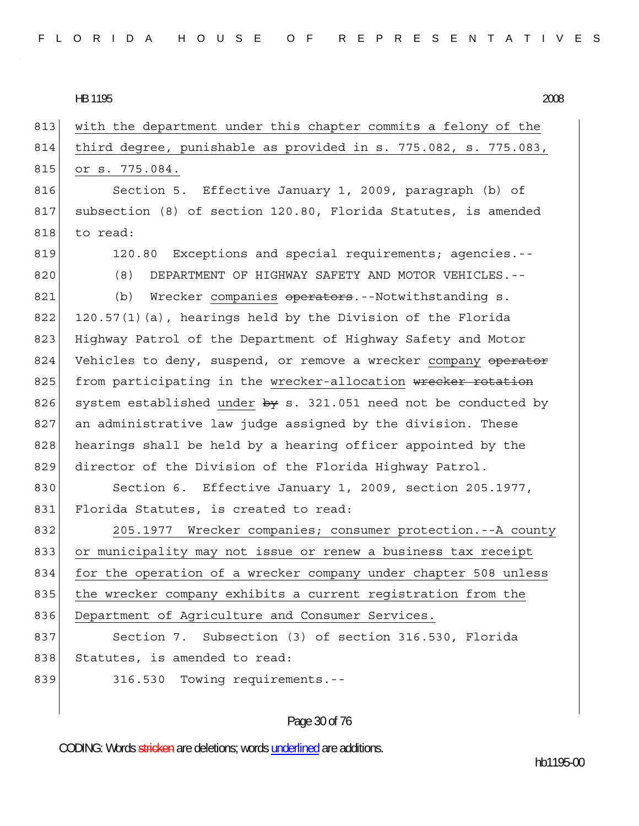# 813 with the department under this chapter commits a felony of the 814 third degree, punishable as provided in s. 775.082, s. 775.083, 815 or s. 775.084. 816 Section 5. Effective January 1, 2009, paragraph (b) of 817 subsection (8) of section 120.80, Florida Statutes, is amended 818 to read: 819 120.80 Exceptions and special requirements; agencies.--820 (8) DEPARTMENT OF HIGHWAY SAFETY AND MOTOR VEHICLES.--821 (b) Wrecker companies operators.--Notwithstanding s. 822 120.57(1)(a), hearings held by the Division of the Florida 823 Highway Patrol of the Department of Highway Safety and Motor 824 Vehicles to deny, suspend, or remove a wrecker company operator 825 from participating in the wrecker-allocation wrecker rotation 826 system established under  $by s. 321.051$  need not be conducted by 827 an administrative law judge assigned by the division. These 828 hearings shall be held by a hearing officer appointed by the 829 director of the Division of the Florida Highway Patrol. 830 Section 6. Effective January 1, 2009, section 205.1977, 831 Florida Statutes, is created to read: 832 205.1977 Wrecker companies; consumer protection.--A county 833 or municipality may not issue or renew a business tax receipt 834 for the operation of a wrecker company under chapter 508 unless 835 | the wrecker company exhibits a current registration from the 836 Department of Agriculture and Consumer Services. 837 Section 7. Subsection (3) of section 316.530, Florida 838 Statutes, is amended to read: 839 316.530 Towing requirements.--

# Page 30 of 76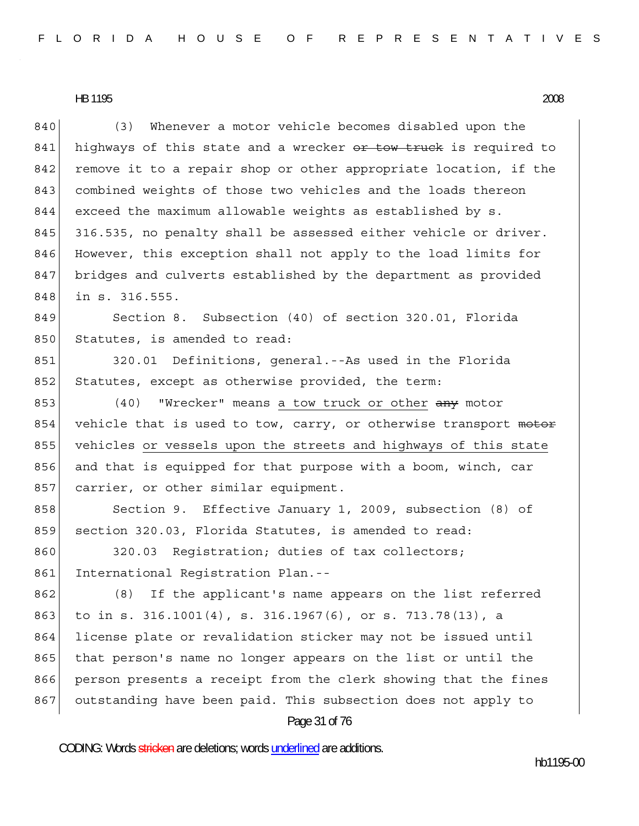840 (3) Whenever a motor vehicle becomes disabled upon the 841 highways of this state and a wrecker or tow truck is required to 842 remove it to a repair shop or other appropriate location, if the 843 combined weights of those two vehicles and the loads thereon 844 exceed the maximum allowable weights as established by s. 845 316.535, no penalty shall be assessed either vehicle or driver. 846 However, this exception shall not apply to the load limits for 847 bridges and culverts established by the department as provided 848 in s. 316.555.

849 Section 8. Subsection (40) of section 320.01, Florida 850 Statutes, is amended to read:

851 320.01 Definitions, general.--As used in the Florida 852 Statutes, except as otherwise provided, the term:

853 (40) "Wrecker" means a tow truck or other any motor 854 vehicle that is used to tow, carry, or otherwise transport motor 855 vehicles or vessels upon the streets and highways of this state 856 and that is equipped for that purpose with a boom, winch, car 857 carrier, or other similar equipment.

858 Section 9. Effective January 1, 2009, subsection (8) of 859 section 320.03, Florida Statutes, is amended to read:

860 320.03 Registration; duties of tax collectors; 861 International Registration Plan.--

862 (8) If the applicant's name appears on the list referred 863 to in s. 316.1001(4), s. 316.1967(6), or s. 713.78(13), a 864 license plate or revalidation sticker may not be issued until 865 that person's name no longer appears on the list or until the 866 person presents a receipt from the clerk showing that the fines 867 outstanding have been paid. This subsection does not apply to

Page 31 of 76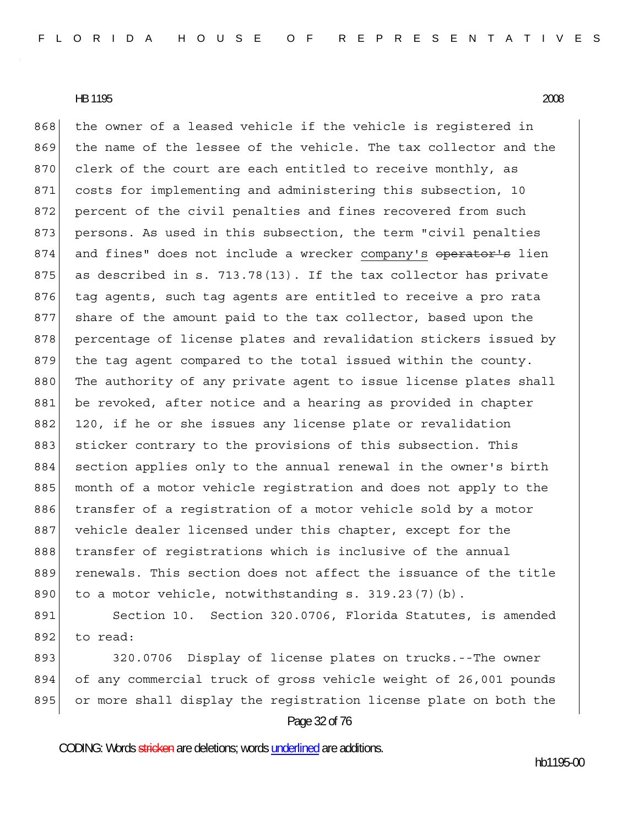868 the owner of a leased vehicle if the vehicle is reqistered in 869 the name of the lessee of the vehicle. The tax collector and the 870 clerk of the court are each entitled to receive monthly, as 871 costs for implementing and administering this subsection, 10 872 percent of the civil penalties and fines recovered from such 873 persons. As used in this subsection, the term "civil penalties 874 and fines" does not include a wrecker company's operator's lien 875 as described in s. 713.78(13). If the tax collector has private 876 tag agents, such tag agents are entitled to receive a pro rata 877 share of the amount paid to the tax collector, based upon the 878 percentage of license plates and revalidation stickers issued by 879 the tag agent compared to the total issued within the county. 880 The authority of any private agent to issue license plates shall 881 be revoked, after notice and a hearing as provided in chapter 882 120, if he or she issues any license plate or revalidation 883 sticker contrary to the provisions of this subsection. This 884 section applies only to the annual renewal in the owner's birth 885 month of a motor vehicle registration and does not apply to the 886 transfer of a registration of a motor vehicle sold by a motor 887 vehicle dealer licensed under this chapter, except for the 888 transfer of registrations which is inclusive of the annual 889 renewals. This section does not affect the issuance of the title 890 to a motor vehicle, notwithstanding s.  $319.23(7)(b)$ .

891 Section 10. Section 320.0706, Florida Statutes, is amended  $892$  to read:

Page 32 of 76 893 320.0706 Display of license plates on trucks.--The owner 894 of any commercial truck of gross vehicle weight of 26,001 pounds 895 or more shall display the registration license plate on both the

CODING: Words stricken are deletions; words underlined are additions.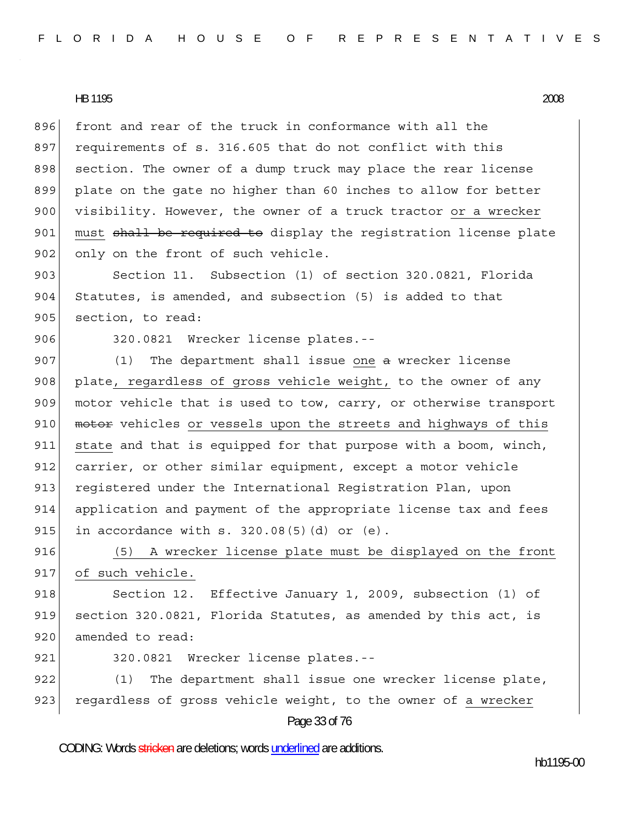896 front and rear of the truck in conformance with all the 897 requirements of s. 316.605 that do not conflict with this 898 section. The owner of a dump truck may place the rear license 899 plate on the gate no higher than 60 inches to allow for better 900 visibility. However, the owner of a truck tractor or a wrecker 901 must shall be required to display the registration license plate 902 only on the front of such vehicle.

903 Section 11. Subsection (1) of section 320.0821, Florida 904 Statutes, is amended, and subsection (5) is added to that 905 section, to read:

906 320.0821 Wrecker license plates.--

 $907$  (1) The department shall issue one a wrecker license 908 plate, regardless of gross vehicle weight, to the owner of any 909 motor vehicle that is used to tow, carry, or otherwise transport 910 motor vehicles or vessels upon the streets and highways of this 911 state and that is equipped for that purpose with a boom, winch, 912 carrier, or other similar equipment, except a motor vehicle 913 reqistered under the International Reqistration Plan, upon 914 application and payment of the appropriate license tax and fees 915 in accordance with  $s. 320.08(5)(d)$  or  $(e)$ .

916 (5) A wrecker license plate must be displayed on the front 917 of such vehicle.

918 Section 12. Effective January 1, 2009, subsection (1) of 919 section 320.0821, Florida Statutes, as amended by this act, is 920 amended to read:

921 320.0821 Wrecker license plates.--

922 (1) The department shall issue one wrecker license plate, 923 regardless of gross vehicle weight, to the owner of a wrecker

Page 33 of 76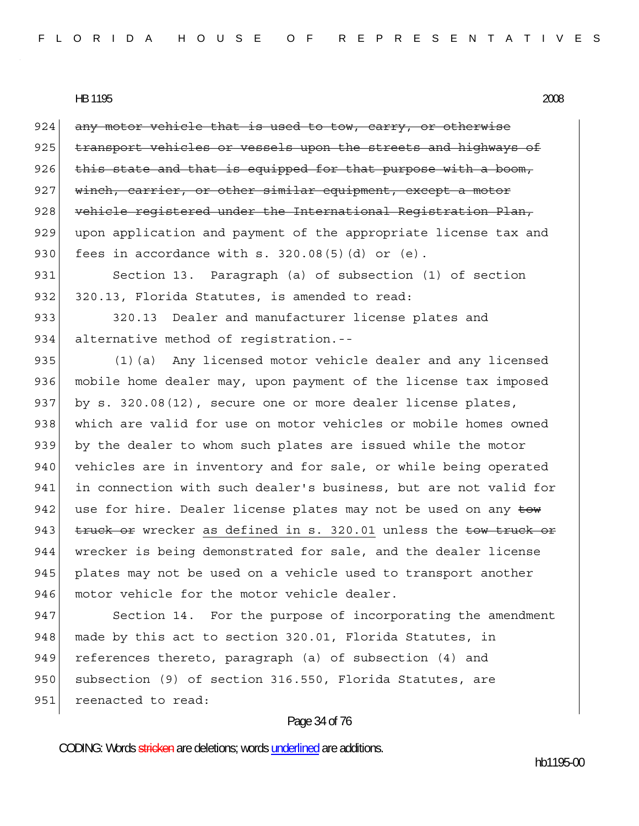$924$  any motor vehicle that is used to tow, carry, or otherwise 925 transport vehicles or vessels upon the streets and highways of  $926$  this state and that is equipped for that purpose with a boom, 927 winch, carrier, or other similar equipment, except a motor 928 vehicle registered under the International Registration Plan, 929 upon application and payment of the appropriate license tax and 930 fees in accordance with  $s. 320.08(5)(d)$  or  $(e)$ . 931 Section 13. Paragraph (a) of subsection (1) of section 932 320.13, Florida Statutes, is amended to read: 933 320.13 Dealer and manufacturer license plates and 934 alternative method of registration.--

935 (1)(a) Any licensed motor vehicle dealer and any licensed 936 mobile home dealer may, upon payment of the license tax imposed 937 by s. 320.08(12), secure one or more dealer license plates, 938 which are valid for use on motor vehicles or mobile homes owned 939 by the dealer to whom such plates are issued while the motor 940 vehicles are in inventory and for sale, or while being operated 941 in connection with such dealer's business, but are not valid for 942 use for hire. Dealer license plates may not be used on any tow 943  $t$  truck or wrecker as defined in s. 320.01 unless the tow truck or 944 wrecker is being demonstrated for sale, and the dealer license 945 plates may not be used on a vehicle used to transport another 946 motor vehicle for the motor vehicle dealer.

947 Section 14. For the purpose of incorporating the amendment 948 made by this act to section 320.01, Florida Statutes, in 949 references thereto, paragraph (a) of subsection (4) and 950 subsection (9) of section 316.550, Florida Statutes, are 951 reenacted to read:

# Page 34 of 76

CODING: Words stricken are deletions; words underlined are additions.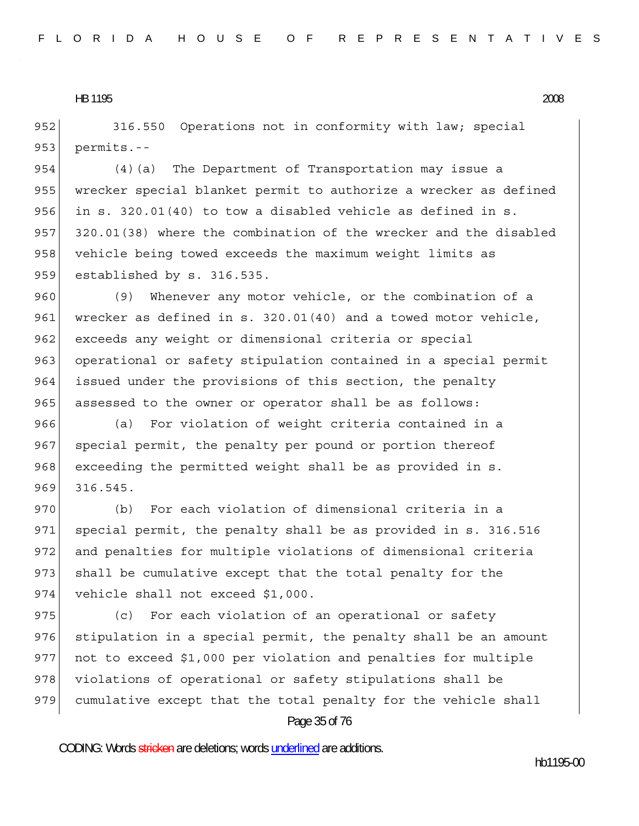952 316.550 Operations not in conformity with law; special  $953$  permits.--

954 (4) (a) The Department of Transportation may issue a 955 wrecker special blanket permit to authorize a wrecker as defined 956 in s. 320.01(40) to tow a disabled vehicle as defined in s. 957 320.01(38) where the combination of the wrecker and the disabled 958 vehicle being towed exceeds the maximum weight limits as 959 established by s. 316.535.

960 (9) Whenever any motor vehicle, or the combination of a 961 wrecker as defined in s. 320.01(40) and a towed motor vehicle, 962 exceeds any weight or dimensional criteria or special 963 operational or safety stipulation contained in a special permit 964 issued under the provisions of this section, the penalty 965 assessed to the owner or operator shall be as follows:

966 (a) For violation of weight criteria contained in a 967 special permit, the penalty per pound or portion thereof 968 exceeding the permitted weight shall be as provided in s. 969 316.545.

970 (b) For each violation of dimensional criteria in a 971 special permit, the penalty shall be as provided in s. 316.516 972 and penalties for multiple violations of dimensional criteria 973 shall be cumulative except that the total penalty for the 974 vehicle shall not exceed \$1,000.

975 (c) For each violation of an operational or safety 976 stipulation in a special permit, the penalty shall be an amount 977 not to exceed \$1,000 per violation and penalties for multiple 978 violations of operational or safety stipulations shall be 979 cumulative except that the total penalty for the vehicle shall

# Page 35 of 76

CODING: Words stricken are deletions; words underlined are additions.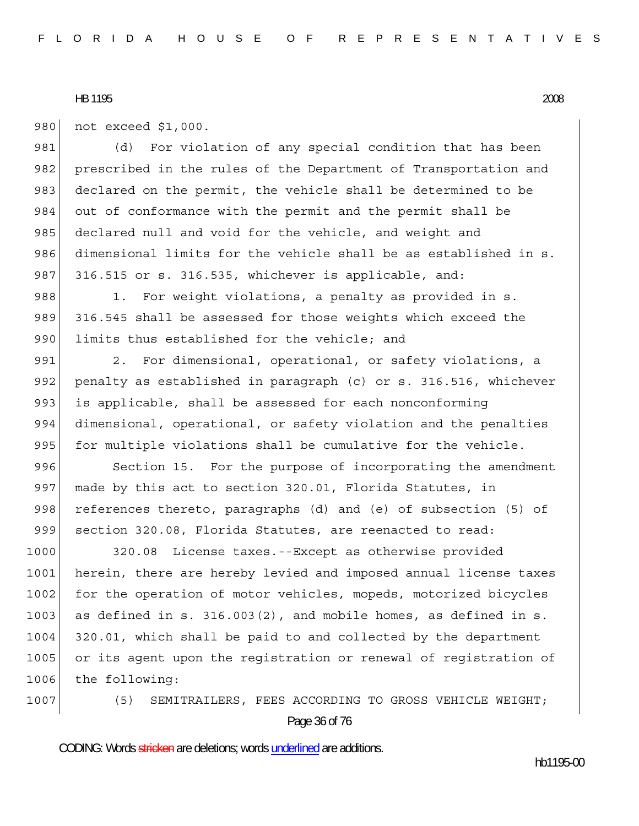980 not exceed \$1,000.

981 (d) For violation of any special condition that has been 982 prescribed in the rules of the Department of Transportation and 983 declared on the permit, the vehicle shall be determined to be 984 out of conformance with the permit and the permit shall be 985 declared null and void for the vehicle, and weight and 986 dimensional limits for the vehicle shall be as established in s. 987 316.515 or s. 316.535, whichever is applicable, and:

988 1. For weight violations, a penalty as provided in s. 989 316.545 shall be assessed for those weights which exceed the 990 limits thus established for the vehicle; and

991 2. For dimensional, operational, or safety violations, a 992 penalty as established in paragraph (c) or s. 316.516, whichever 993 is applicable, shall be assessed for each nonconforming 994 dimensional, operational, or safety violation and the penalties 995 for multiple violations shall be cumulative for the vehicle.

996 Section 15. For the purpose of incorporating the amendment 997 made by this act to section 320.01, Florida Statutes, in 998 references thereto, paragraphs (d) and (e) of subsection (5) of 999 section 320.08, Florida Statutes, are reenacted to read:

1000 320.08 License taxes.--Except as otherwise provided 1001 herein, there are hereby levied and imposed annual license taxes 1002 for the operation of motor vehicles, mopeds, motorized bicycles 1003 as defined in s. 316.003(2), and mobile homes, as defined in s. 1004 320.01, which shall be paid to and collected by the department 1005 or its agent upon the registration or renewal of registration of 1006 the following:

Page 36 of 76 1007 (5) SEMITRAILERS, FEES ACCORDING TO GROSS VEHICLE WEIGHT;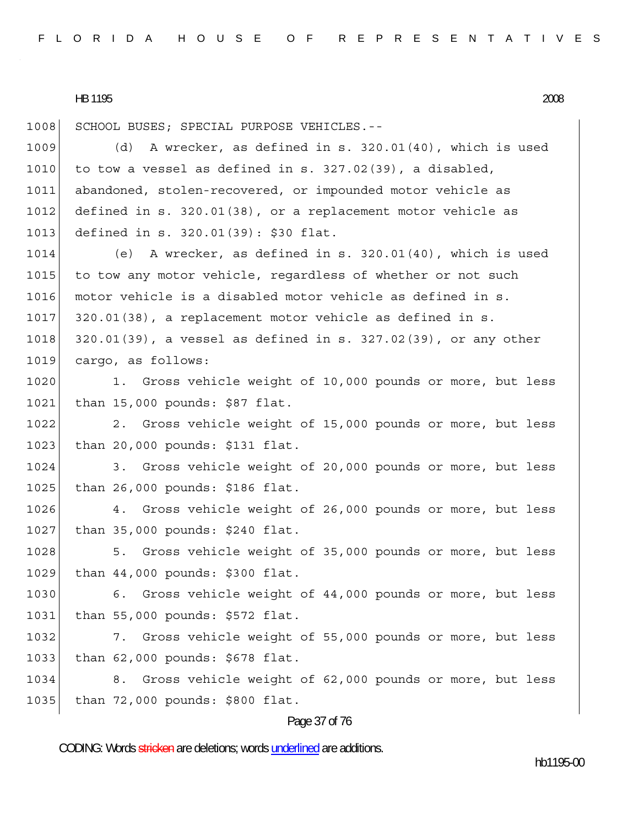1008 SCHOOL BUSES; SPECIAL PURPOSE VEHICLES.--1009 (d) A wrecker, as defined in s. 320.01(40), which is used 1010 to tow a vessel as defined in s.  $327.02(39)$ , a disabled, 1011 abandoned, stolen-recovered, or impounded motor vehicle as 1012 defined in s. 320.01(38), or a replacement motor vehicle as 1013 defined in s. 320.01(39): \$30 flat. 1014 (e) A wrecker, as defined in s. 320.01(40), which is used 1015 to tow any motor vehicle, regardless of whether or not such 1016 motor vehicle is a disabled motor vehicle as defined in s. 1017 320.01(38), a replacement motor vehicle as defined in s. 1018 320.01(39), a vessel as defined in s. 327.02(39), or any other 1019 cargo, as follows: 1020 1. Gross vehicle weight of 10,000 pounds or more, but less 1021 than 15,000 pounds: \$87 flat. 1022 2. Gross vehicle weight of 15,000 pounds or more, but less 1023 than 20,000 pounds: \$131 flat. 1024 3. Gross vehicle weight of 20,000 pounds or more, but less 1025 than 26,000 pounds: \$186 flat. 1026 4. Gross vehicle weight of 26,000 pounds or more, but less 1027 than 35,000 pounds: \$240 flat. 1028 5. Gross vehicle weight of 35,000 pounds or more, but less 1029 than 44,000 pounds: \$300 flat. 1030 6. Gross vehicle weight of 44,000 pounds or more, but less 1031 than 55,000 pounds: \$572 flat. 1032 7. Gross vehicle weight of 55,000 pounds or more, but less 1033 than 62,000 pounds: \$678 flat. 1034 8. Gross vehicle weight of 62,000 pounds or more, but less 1035 than 72,000 pounds: \$800 flat.

#### Page 37 of 76

CODING: Words stricken are deletions; words underlined are additions.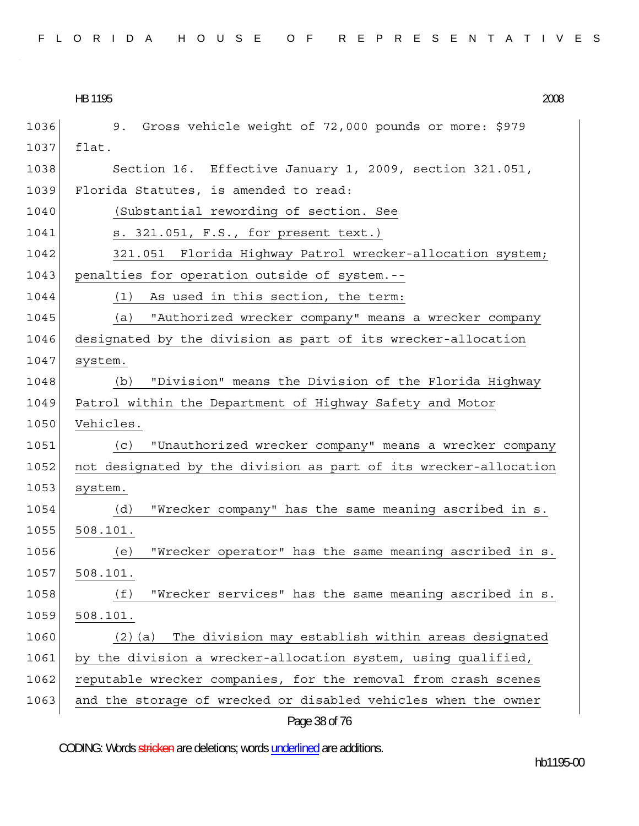|  |  |  |  |  |  |  |  |  |  |  |  |  | FLORIDA HOUSE OF REPRESENTATIVES |  |  |  |  |  |  |  |  |  |  |  |  |  |  |  |  |  |  |  |  |  |
|--|--|--|--|--|--|--|--|--|--|--|--|--|----------------------------------|--|--|--|--|--|--|--|--|--|--|--|--|--|--|--|--|--|--|--|--|--|
|--|--|--|--|--|--|--|--|--|--|--|--|--|----------------------------------|--|--|--|--|--|--|--|--|--|--|--|--|--|--|--|--|--|--|--|--|--|

HB 1195 HB 1195 2008

| 1036 | 9. Gross vehicle weight of 72,000 pounds or more: \$979          |
|------|------------------------------------------------------------------|
| 1037 | flat.                                                            |
| 1038 | Section 16. Effective January 1, 2009, section 321.051,          |
| 1039 | Florida Statutes, is amended to read:                            |
| 1040 | (Substantial rewording of section. See                           |
| 1041 | s. 321.051, F.S., for present text.)                             |
| 1042 | 321.051 Florida Highway Patrol wrecker-allocation system;        |
| 1043 | penalties for operation outside of system.--                     |
| 1044 | (1) As used in this section, the term:                           |
| 1045 | "Authorized wrecker company" means a wrecker company<br>(a)      |
| 1046 | designated by the division as part of its wrecker-allocation     |
| 1047 | system.                                                          |
| 1048 | "Division" means the Division of the Florida Highway<br>(b)      |
| 1049 | Patrol within the Department of Highway Safety and Motor         |
| 1050 | Vehicles.                                                        |
| 1051 | "Unauthorized wrecker company" means a wrecker company<br>(C)    |
| 1052 | not designated by the division as part of its wrecker-allocation |
| 1053 | system.                                                          |
| 1054 | "Wrecker company" has the same meaning ascribed in s.<br>(d)     |
| 1055 | 508.101.                                                         |
| 1056 | "Wrecker operator" has the same meaning ascribed in s.<br>(e)    |
| 1057 | 508.101.                                                         |
| 1058 | "Wrecker services" has the same meaning ascribed in s.<br>(f)    |
| 1059 | 508.101.                                                         |
| 1060 | The division may establish within areas designated<br>$(2)$ (a)  |
| 1061 | by the division a wrecker-allocation system, using qualified,    |
| 1062 | reputable wrecker companies, for the removal from crash scenes   |
| 1063 | and the storage of wrecked or disabled vehicles when the owner   |
|      | Page 38 of 76                                                    |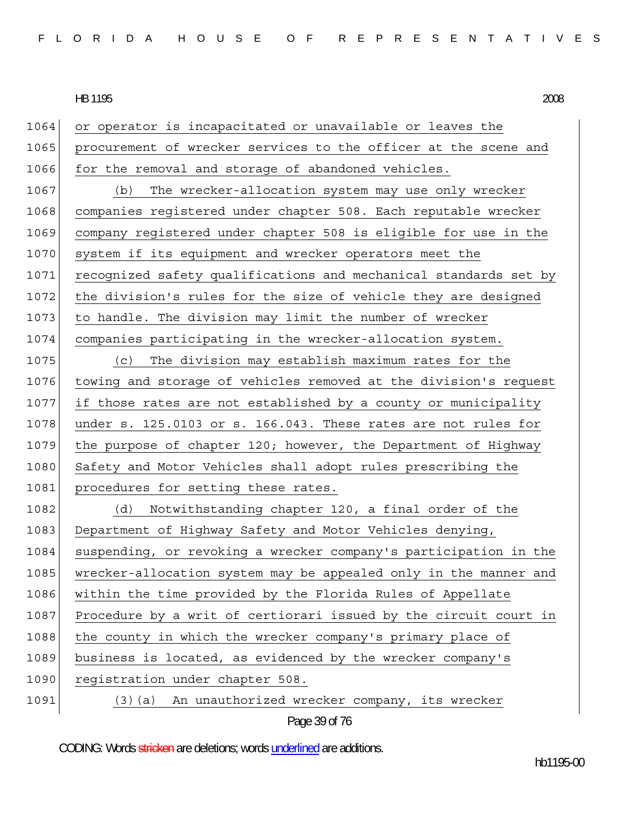1064 or operator is incapacitated or unavailable or leaves the 1065 procurement of wrecker services to the officer at the scene and 1066 for the removal and storage of abandoned vehicles. 1067 (b) The wrecker-allocation system may use only wrecker 1068 companies registered under chapter 508. Each reputable wrecker 1069 company registered under chapter 508 is eligible for use in the 1070 system if its equipment and wrecker operators meet the 1071 recognized safety qualifications and mechanical standards set by 1072 the division's rules for the size of vehicle they are designed 1073 to handle. The division may limit the number of wrecker 1074 companies participating in the wrecker-allocation system. 1075 (c) The division may establish maximum rates for the 1076 towing and storage of vehicles removed at the division's request 1077 if those rates are not established by a county or municipality  $1078$  under s. 125.0103 or s. 166.043. These rates are not rules for 1079 the purpose of chapter 120; however, the Department of Highway 1080 Safety and Motor Vehicles shall adopt rules prescribing the 1081 procedures for setting these rates. 1082 (d) Notwithstanding chapter 120, a final order of the 1083 Department of Highway Safety and Motor Vehicles denying, 1084 suspending, or revoking a wrecker company's participation in the 1085 wrecker-allocation system may be appealed only in the manner and 1086 within the time provided by the Florida Rules of Appellate 1087 Procedure by a writ of certiorari issued by the circuit court in 1088 the county in which the wrecker company's primary place of 1089 business is located, as evidenced by the wrecker company's 1090 registration under chapter 508. 1091 (3)(a) An unauthorized wrecker company, its wrecker

```
Page 39 of 76
```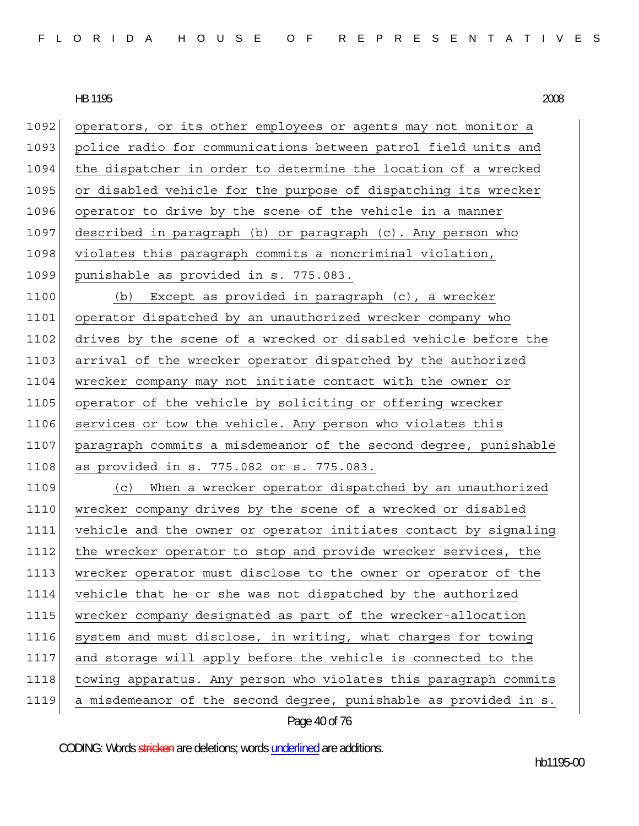1092 operators, or its other employees or agents may not monitor a 1093 police radio for communications between patrol field units and 1094 the dispatcher in order to determine the location of a wrecked 1095 or disabled vehicle for the purpose of dispatching its wrecker 1096 operator to drive by the scene of the vehicle in a manner 1097 described in paragraph (b) or paragraph (c). Any person who 1098 violates this paragraph commits a noncriminal violation, 1099 punishable as provided in s. 775.083. 1100 (b) Except as provided in paragraph (c), a wrecker 1101 operator dispatched by an unauthorized wrecker company who 1102 drives by the scene of a wrecked or disabled vehicle before the 1103 arrival of the wrecker operator dispatched by the authorized 1104 wrecker company may not initiate contact with the owner or 1105 operator of the vehicle by soliciting or offering wrecker 1106 services or tow the vehicle. Any person who violates this 1107 paragraph commits a misdemeanor of the second degree, punishable 1108 as provided in s. 775.082 or s. 775.083. 1109 (c) When a wrecker operator dispatched by an unauthorized 1110 wrecker company drives by the scene of a wrecked or disabled 1111 vehicle and the owner or operator initiates contact by signaling 1112 the wrecker operator to stop and provide wrecker services, the 1113 wrecker operator must disclose to the owner or operator of the 1114 vehicle that he or she was not dispatched by the authorized 1115 wrecker company designated as part of the wrecker-allocation 1116 system and must disclose, in writing, what charges for towing 1117 and storage will apply before the vehicle is connected to the 1118 towing apparatus. Any person who violates this paragraph commits 1119 a misdemeanor of the second degree, punishable as provided in s.

Page 40 of 76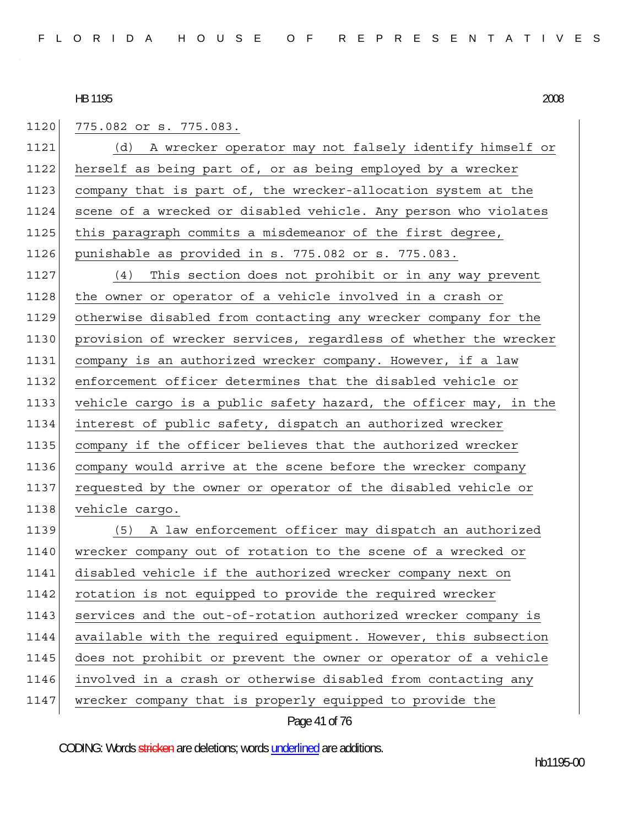1120 775.082 or s. 775.083.

| 1121 | (d) A wrecker operator may not falsely identify himself or       |
|------|------------------------------------------------------------------|
| 1122 | herself as being part of, or as being employed by a wrecker      |
| 1123 | company that is part of, the wrecker-allocation system at the    |
| 1124 | scene of a wrecked or disabled vehicle. Any person who violates  |
| 1125 | this paragraph commits a misdemeanor of the first degree,        |
| 1126 | punishable as provided in s. 775.082 or s. 775.083.              |
| 1127 | (4) This section does not prohibit or in any way prevent         |
| 1128 | the owner or operator of a vehicle involved in a crash or        |
| 1129 | otherwise disabled from contacting any wrecker company for the   |
| 1130 | provision of wrecker services, regardless of whether the wrecker |
| 1131 | company is an authorized wrecker company. However, if a law      |
| 1132 | enforcement officer determines that the disabled vehicle or      |
| 1133 | vehicle cargo is a public safety hazard, the officer may, in the |
| 1134 | interest of public safety, dispatch an authorized wrecker        |
| 1135 | company if the officer believes that the authorized wrecker      |
| 1136 | company would arrive at the scene before the wrecker company     |
| 1137 | requested by the owner or operator of the disabled vehicle or    |
| 1138 | vehicle cargo.                                                   |
| 1139 | (5) A law enforcement officer may dispatch an authorized         |
| 1140 | wrecker company out of rotation to the scene of a wrecked or     |
| 1141 | disabled vehicle if the authorized wrecker company next on       |
| 1142 | rotation is not equipped to provide the required wrecker         |
| 1143 | services and the out-of-rotation authorized wrecker company is   |
| 1144 | available with the required equipment. However, this subsection  |
| 1145 | does not prohibit or prevent the owner or operator of a vehicle  |
| 1146 | involved in a crash or otherwise disabled from contacting any    |
| 1147 | wrecker company that is properly equipped to provide the         |

# Page 41 of 76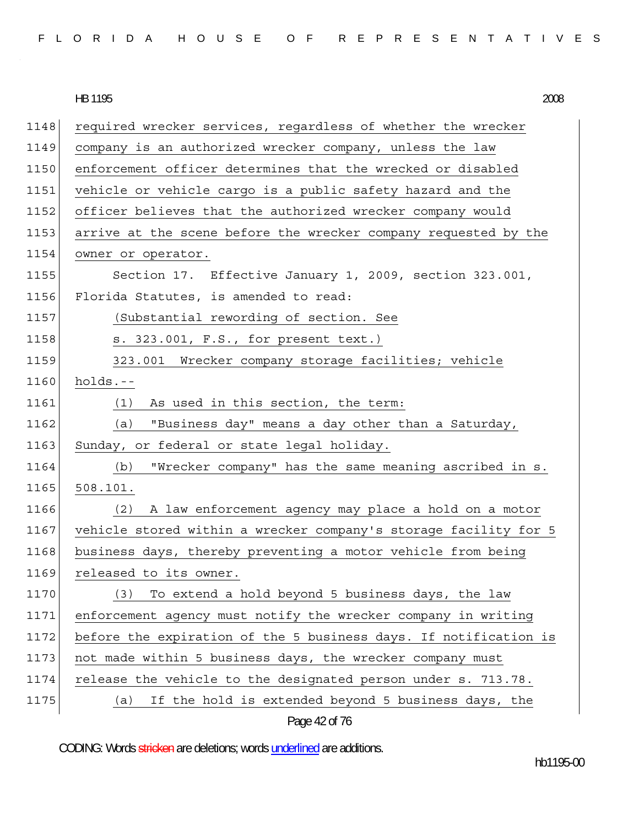|  |  |  |  |  |  |  |  |  |  |  |  | FLORIDA HOUSE OF REPRESENTATIVES |  |  |  |  |  |  |  |  |  |  |  |  |  |  |  |  |
|--|--|--|--|--|--|--|--|--|--|--|--|----------------------------------|--|--|--|--|--|--|--|--|--|--|--|--|--|--|--|--|
|--|--|--|--|--|--|--|--|--|--|--|--|----------------------------------|--|--|--|--|--|--|--|--|--|--|--|--|--|--|--|--|

1148 required wrecker services, regardless of whether the wrecker 1149 company is an authorized wrecker company, unless the law 1150 enforcement officer determines that the wrecked or disabled 1151 vehicle or vehicle cargo is a public safety hazard and the 1152 officer believes that the authorized wrecker company would 1153 arrive at the scene before the wrecker company requested by the 1154 owner or operator. 1155 Section 17. Effective January 1, 2009, section 323.001, 1156 Florida Statutes, is amended to read: 1157 (Substantial rewording of section. See 1158 s. 323.001, F.S., for present text.) 1159 323.001 Wrecker company storage facilities; vehicle  $1160$  holds.--1161 (1) As used in this section, the term: 1162 (a) "Business day" means a day other than a Saturday, 1163 Sunday, or federal or state legal holiday. 1164 (b) "Wrecker company" has the same meaning ascribed in s. 1165 508.101. 1166 (2) A law enforcement agency may place a hold on a motor 1167 vehicle stored within a wrecker company's storage facility for 5 1168 business days, thereby preventing a motor vehicle from being 1169 released to its owner. 1170 (3) To extend a hold beyond 5 business days, the law 1171 enforcement agency must notify the wrecker company in writing 1172 before the expiration of the 5 business days. If notification is 1173 not made within 5 business days, the wrecker company must 1174 release the vehicle to the designated person under s. 713.78. 1175 (a) If the hold is extended beyond 5 business days, the

```
Page 42 of 76
```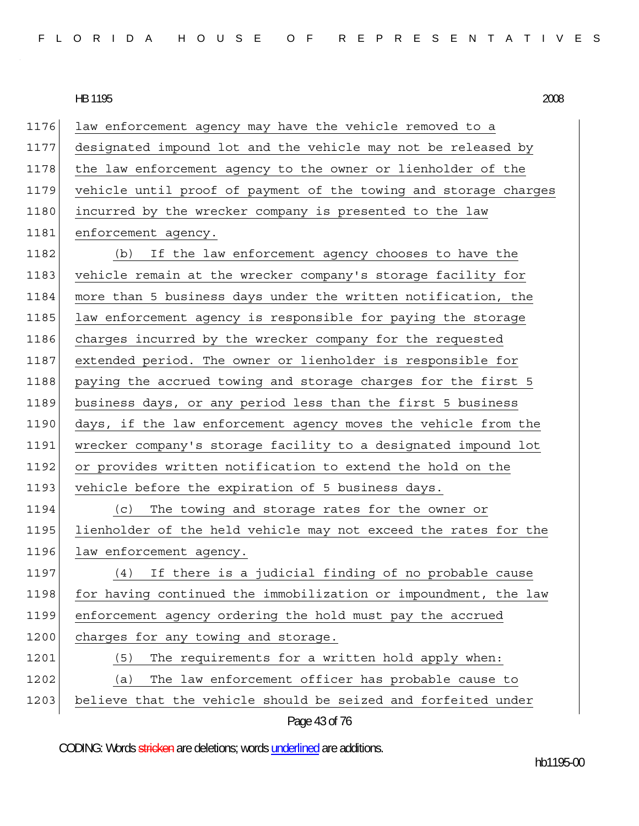| FLORIDA HOUSE OF REPRESENTATIVES |  |
|----------------------------------|--|
|----------------------------------|--|

Page 43 of 76 1176 law enforcement agency may have the vehicle removed to a 1177 designated impound lot and the vehicle may not be released by 1178 the law enforcement agency to the owner or lienholder of the 1179 vehicle until proof of payment of the towing and storage charges 1180 incurred by the wrecker company is presented to the law 1181 enforcement agency. 1182 (b) If the law enforcement agency chooses to have the 1183 vehicle remain at the wrecker company's storage facility for 1184 more than 5 business days under the written notification, the 1185 law enforcement agency is responsible for paying the storage 1186 charges incurred by the wrecker company for the requested 1187 extended period. The owner or lienholder is responsible for 1188 paying the accrued towing and storage charges for the first 5 1189 business days, or any period less than the first 5 business 1190 days, if the law enforcement agency moves the vehicle from the 1191 wrecker company's storage facility to a designated impound lot 1192 or provides written notification to extend the hold on the 1193 vehicle before the expiration of 5 business days. 1194 (c) The towing and storage rates for the owner or 1195 lienholder of the held vehicle may not exceed the rates for the 1196 law enforcement agency. 1197 (4) If there is a judicial finding of no probable cause 1198 for having continued the immobilization or impoundment, the law 1199 enforcement agency ordering the hold must pay the accrued 1200 charges for any towing and storage. 1201 (5) The requirements for a written hold apply when: 1202 (a) The law enforcement officer has probable cause to 1203 believe that the vehicle should be seized and forfeited under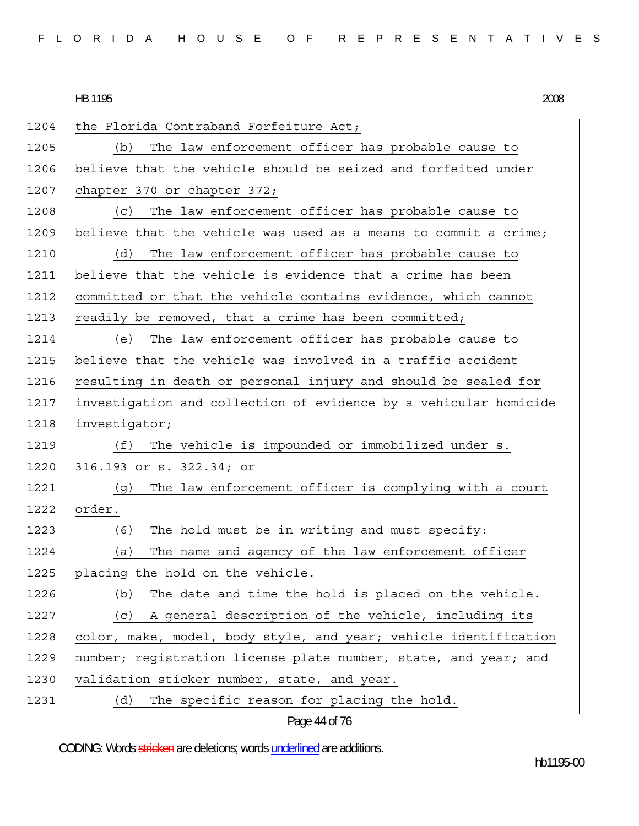| 1204 | the Florida Contraband Forfeiture Act;                           |
|------|------------------------------------------------------------------|
| 1205 | The law enforcement officer has probable cause to<br>(b)         |
| 1206 | believe that the vehicle should be seized and forfeited under    |
| 1207 | chapter 370 or chapter 372;                                      |
| 1208 | The law enforcement officer has probable cause to<br>(c)         |
| 1209 | believe that the vehicle was used as a means to commit a crime;  |
| 1210 | (d)<br>The law enforcement officer has probable cause to         |
| 1211 | believe that the vehicle is evidence that a crime has been       |
| 1212 | committed or that the vehicle contains evidence, which cannot    |
| 1213 | readily be removed, that a crime has been committed;             |
| 1214 | The law enforcement officer has probable cause to<br>(e)         |
| 1215 | believe that the vehicle was involved in a traffic accident      |
| 1216 | resulting in death or personal injury and should be sealed for   |
| 1217 | investigation and collection of evidence by a vehicular homicide |
| 1218 | investigator;                                                    |
| 1219 | The vehicle is impounded or immobilized under s.<br>(f)          |
| 1220 | 316.193 or s. 322.34; or                                         |
| 1221 | The law enforcement officer is complying with a court<br>(g)     |
| 1222 | order.                                                           |
| 1223 | (6)<br>The hold must be in writing and must specify:             |
| 1224 | The name and agency of the law enforcement officer<br>(a)        |
| 1225 | placing the hold on the vehicle.                                 |
| 1226 | The date and time the hold is placed on the vehicle.<br>(b)      |
| 1227 | A general description of the vehicle, including its<br>(c)       |
| 1228 | color, make, model, body style, and year; vehicle identification |
| 1229 | number; registration license plate number, state, and year; and  |
| 1230 | validation sticker number, state, and year.                      |
| 1231 | (d)<br>The specific reason for placing the hold.                 |

# Page 44 of 76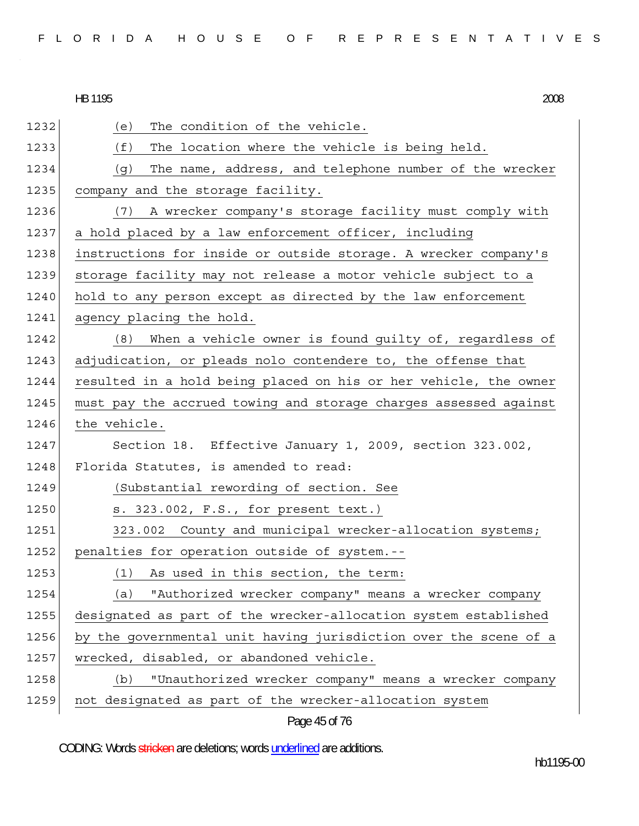1232 (e) The condition of the vehicle. 1233 (f) The location where the vehicle is being held. 1234 (g) The name, address, and telephone number of the wrecker 1235 company and the storage facility. 1236 (7) A wrecker company's storage facility must comply with 1237 a hold placed by a law enforcement officer, including 1238 instructions for inside or outside storage. A wrecker company's 1239 storage facility may not release a motor vehicle subject to a 1240 hold to any person except as directed by the law enforcement 1241 agency placing the hold. 1242 (8) When a vehicle owner is found guilty of, regardless of 1243 adjudication, or pleads nolo contendere to, the offense that 1244 resulted in a hold being placed on his or her vehicle, the owner 1245 must pay the accrued towing and storage charges assessed against 1246 the vehicle. 1247 Section 18. Effective January 1, 2009, section 323.002, 1248 Florida Statutes, is amended to read: 1249 (Substantial rewording of section. See 1250 s. 323.002, F.S., for present text.) 1251 323.002 County and municipal wrecker-allocation systems; 1252 penalties for operation outside of system.--1253 (1) As used in this section, the term: 1254 (a) "Authorized wrecker company" means a wrecker company 1255 designated as part of the wrecker-allocation system established 1256 by the governmental unit having jurisdiction over the scene of a 1257 wrecked, disabled, or abandoned vehicle. 1258 (b) "Unauthorized wrecker company" means a wrecker company 1259 not designated as part of the wrecker-allocation system

Page 45 of 76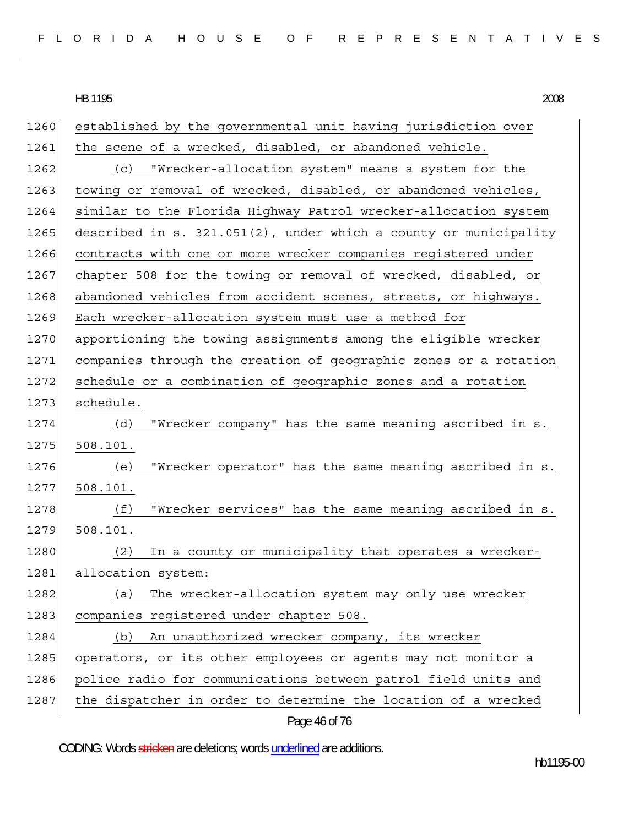| 1260 | established by the governmental unit having jurisdiction over       |
|------|---------------------------------------------------------------------|
| 1261 | the scene of a wrecked, disabled, or abandoned vehicle.             |
| 1262 | "Wrecker-allocation system" means a system for the<br>(c)           |
| 1263 | towing or removal of wrecked, disabled, or abandoned vehicles,      |
| 1264 | similar to the Florida Highway Patrol wrecker-allocation system     |
| 1265 | described in $s. 321.051(2)$ , under which a county or municipality |
| 1266 | contracts with one or more wrecker companies registered under       |
| 1267 | chapter 508 for the towing or removal of wrecked, disabled, or      |
| 1268 | abandoned vehicles from accident scenes, streets, or highways.      |
| 1269 | Each wrecker-allocation system must use a method for                |
| 1270 | apportioning the towing assignments among the eligible wrecker      |
| 1271 | companies through the creation of geographic zones or a rotation    |
| 1272 | schedule or a combination of geographic zones and a rotation        |
| 1273 | schedule.                                                           |
| 1274 | (d)<br>"Wrecker company" has the same meaning ascribed in s.        |
| 1275 | 508.101.                                                            |
| 1276 | "Wrecker operator" has the same meaning ascribed in s.<br>(e)       |
| 1277 | 508.101.                                                            |
| 1278 | "Wrecker services" has the same meaning ascribed in s.<br>(f)       |
| 1279 | 508.101.                                                            |
| 1280 | In a county or municipality that operates a wrecker-<br>(2)         |
| 1281 | allocation system:                                                  |
| 1282 | The wrecker-allocation system may only use wrecker<br>(a)           |
| 1283 | companies registered under chapter 508.                             |
| 1284 | An unauthorized wrecker company, its wrecker<br>(b)                 |
| 1285 | operators, or its other employees or agents may not monitor a       |
| 1286 | police radio for communications between patrol field units and      |
| 1287 | the dispatcher in order to determine the location of a wrecked      |
|      | Page 46 of 76                                                       |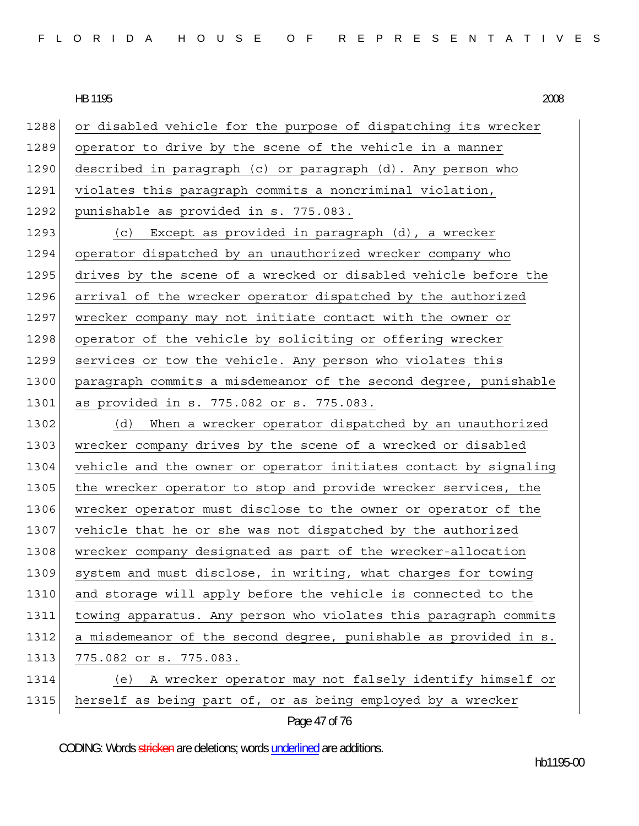1288 or disabled vehicle for the purpose of dispatching its wrecker 1289 operator to drive by the scene of the vehicle in a manner 1290 described in paragraph (c) or paragraph (d). Any person who 1291 violates this paragraph commits a noncriminal violation, 1292 punishable as provided in s. 775.083. 1293 (c) Except as provided in paragraph (d), a wrecker 1294 operator dispatched by an unauthorized wrecker company who 1295 drives by the scene of a wrecked or disabled vehicle before the 1296 arrival of the wrecker operator dispatched by the authorized 1297 wrecker company may not initiate contact with the owner or 1298 operator of the vehicle by soliciting or offering wrecker 1299 services or tow the vehicle. Any person who violates this 1300 paragraph commits a misdemeanor of the second degree, punishable 1301 as provided in s. 775.082 or s. 775.083. 1302 (d) When a wrecker operator dispatched by an unauthorized 1303 wrecker company drives by the scene of a wrecked or disabled 1304 vehicle and the owner or operator initiates contact by signaling 1305 the wrecker operator to stop and provide wrecker services, the 1306 wrecker operator must disclose to the owner or operator of the 1307 vehicle that he or she was not dispatched by the authorized 1308 wrecker company designated as part of the wrecker-allocation 1309 system and must disclose, in writing, what charges for towing 1310 and storage will apply before the vehicle is connected to the 1311 towing apparatus. Any person who violates this paragraph commits 1312 a misdemeanor of the second degree, punishable as provided in s. 1313 775.082 or s. 775.083. 1314 (e) A wrecker operator may not falsely identify himself or 1315 herself as being part of, or as being employed by a wrecker

Page 47 of 76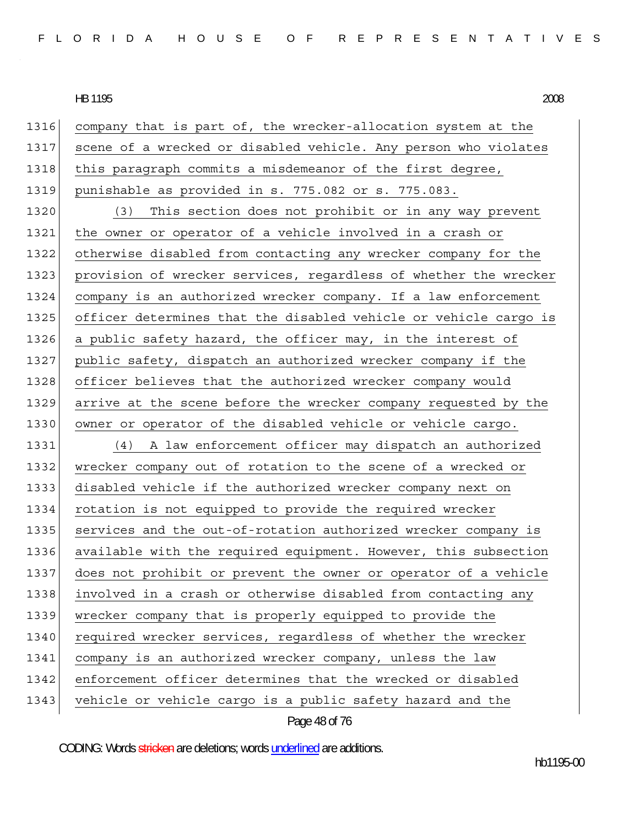| 1316 | company that is part of, the wrecker-allocation system at the    |
|------|------------------------------------------------------------------|
| 1317 | scene of a wrecked or disabled vehicle. Any person who violates  |
| 1318 | this paragraph commits a misdemeanor of the first degree,        |
| 1319 | punishable as provided in s. 775.082 or s. 775.083.              |
| 1320 | This section does not prohibit or in any way prevent<br>(3)      |
| 1321 | the owner or operator of a vehicle involved in a crash or        |
| 1322 | otherwise disabled from contacting any wrecker company for the   |
| 1323 | provision of wrecker services, regardless of whether the wrecker |
| 1324 | company is an authorized wrecker company. If a law enforcement   |
| 1325 | officer determines that the disabled vehicle or vehicle cargo is |
| 1326 | a public safety hazard, the officer may, in the interest of      |
| 1327 | public safety, dispatch an authorized wrecker company if the     |
| 1328 | officer believes that the authorized wrecker company would       |
| 1329 | arrive at the scene before the wrecker company requested by the  |
| 1330 | owner or operator of the disabled vehicle or vehicle cargo.      |
| 1331 | (4) A law enforcement officer may dispatch an authorized         |
| 1332 | wrecker company out of rotation to the scene of a wrecked or     |
| 1333 | disabled vehicle if the authorized wrecker company next on       |
| 1334 | rotation is not equipped to provide the required wrecker         |
| 1335 | services and the out-of-rotation authorized wrecker company is   |
| 1336 | available with the required equipment. However, this subsection  |
| 1337 | does not prohibit or prevent the owner or operator of a vehicle  |
| 1338 | involved in a crash or otherwise disabled from contacting any    |
| 1339 | wrecker company that is properly equipped to provide the         |
| 1340 | required wrecker services, regardless of whether the wrecker     |
| 1341 | company is an authorized wrecker company, unless the law         |
| 1342 | enforcement officer determines that the wrecked or disabled      |
| 1343 | vehicle or vehicle cargo is a public safety hazard and the       |
|      |                                                                  |

Page 48 of 76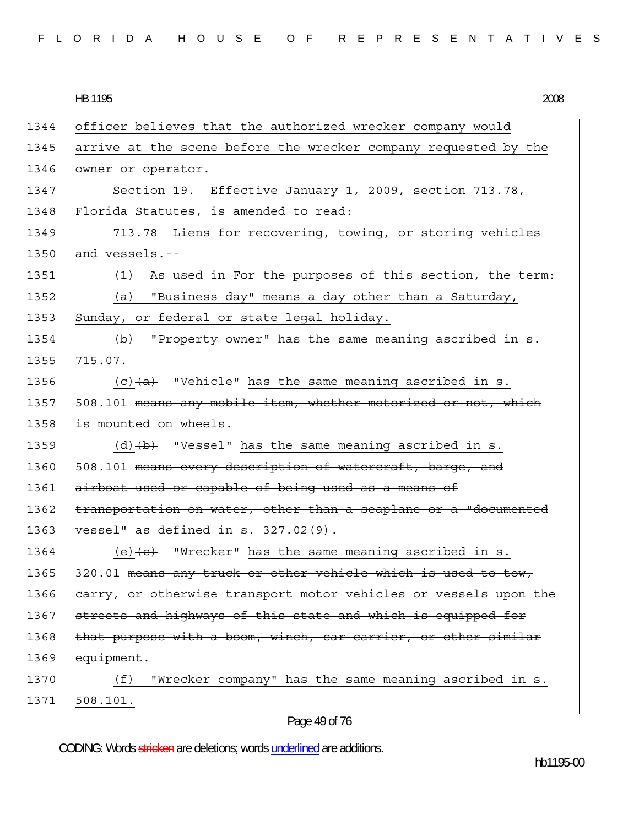|  |  |  |  |  | FLORIDA HOUSE OF REPRESENTATIVES |  |  |  |  |  |  |  |  |
|--|--|--|--|--|----------------------------------|--|--|--|--|--|--|--|--|
|  |  |  |  |  |                                  |  |  |  |  |  |  |  |  |

HB 1195 HB 1195 2008

| 1344 | officer believes that the authorized wrecker company would                      |
|------|---------------------------------------------------------------------------------|
| 1345 | arrive at the scene before the wrecker company requested by the                 |
| 1346 | owner or operator.                                                              |
| 1347 | Section 19. Effective January 1, 2009, section 713.78,                          |
| 1348 | Florida Statutes, is amended to read:                                           |
| 1349 | 713.78 Liens for recovering, towing, or storing vehicles                        |
| 1350 | and vessels.--                                                                  |
| 1351 | As used in For the purposes of this section, the term:<br>(1)                   |
| 1352 | "Business day" means a day other than a Saturday,<br>(a)                        |
| 1353 | Sunday, or federal or state legal holiday.                                      |
| 1354 | "Property owner" has the same meaning ascribed in s.<br>(b)                     |
| 1355 | 715.07.                                                                         |
| 1356 | $(c)$ $(a)$ "Vehicle" has the same meaning ascribed in s.                       |
| 1357 | 508.101 means any mobile item, whether motorized or not, which                  |
| 1358 | is mounted on wheels.                                                           |
| 1359 | $(d)$ $(b)$ "Vessel" has the same meaning ascribed in s.                        |
| 1360 | 508.101 means every description of watercraft, barge, and                       |
| 1361 | airboat used or capable of being used as a means of                             |
| 1362 | transportation on water, other than a seaplane or a "documented                 |
| 1363 | vessel" as defined in s. 327.02(9).                                             |
| 1364 | (e) $\left\langle e\right\rangle$ "Wrecker" has the same meaning ascribed in s. |
| 1365 | 320.01 means any truck or other vehicle which is used to tow,                   |
| 1366 | earry, or otherwise transport motor vehicles or vessels upon the                |
| 1367 | streets and highways of this state and which is equipped for                    |
| 1368 | that purpose with a boom, winch, car carrier, or other similar                  |
| 1369 | equipment.                                                                      |
| 1370 | "Wrecker company" has the same meaning ascribed in s.<br>(f)                    |
| 1371 | 508.101.                                                                        |

# Page 49 of 76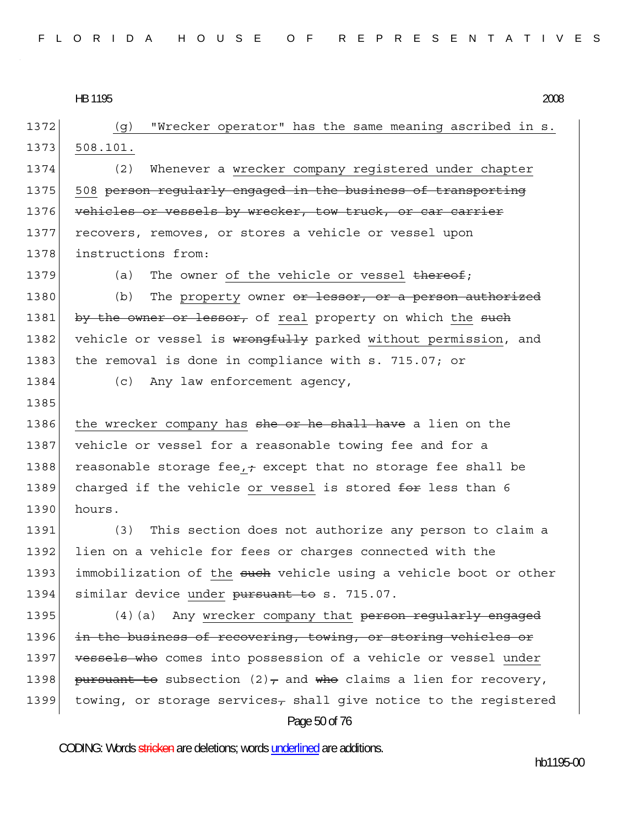Page 50 of 76 1372 (g) "Wrecker operator" has the same meaning ascribed in s. 1373 508.101. 1374 (2) Whenever a wrecker company registered under chapter 1375 508 person regularly engaged in the business of transporting 1376 vehicles or vessels by wrecker, tow truck, or car carrier 1377 recovers, removes, or stores a vehicle or vessel upon 1378 instructions from: 1379 (a) The owner of the vehicle or vessel thereof; 1380 (b) The property owner or lessor, or a person authorized 1381 by the owner or lessor, of real property on which the such 1382 vehicle or vessel is wrongfully parked without permission, and 1383 the removal is done in compliance with s. 715.07; or 1384 (c) Any law enforcement agency, 1385 1386 the wrecker company has she or he shall have a lien on the 1387 vehicle or vessel for a reasonable towing fee and for a 1388 reasonable storage fee,  $\pm$  except that no storage fee shall be 1389 charged if the vehicle or vessel is stored for less than 6 1390 hours. 1391 (3) This section does not authorize any person to claim a 1392 lien on a vehicle for fees or charges connected with the 1393 immobilization of the such vehicle using a vehicle boot or other 1394 similar device under pursuant to s. 715.07. 1395 (4)(a) Any wrecker company that person regularly engaged 1396 in the business of recovering, towing, or storing vehicles or 1397 vessels who comes into possession of a vehicle or vessel under 1398 pursuant to subsection  $(2)$ , and who claims a lien for recovery, 1399 towing, or storage services<sub> $\tau$ </sub> shall give notice to the registered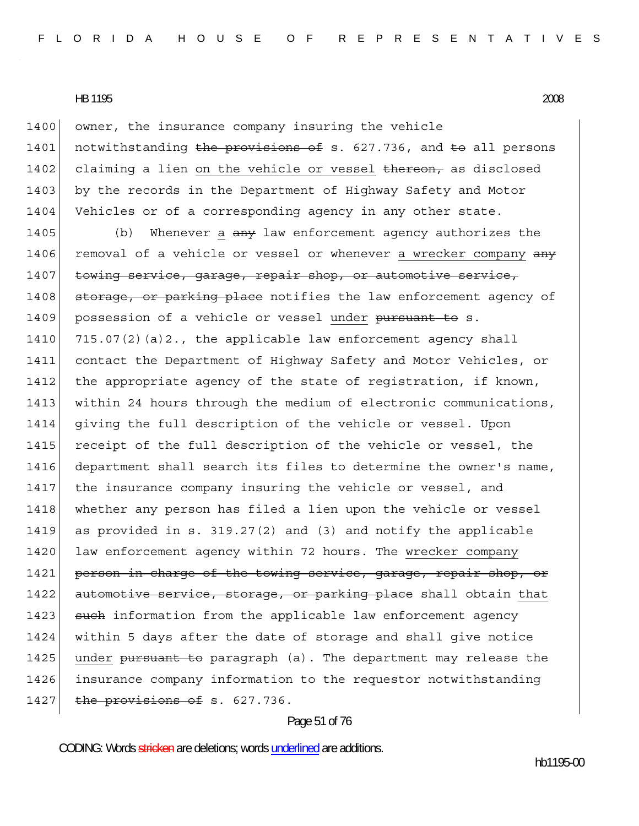1400 owner, the insurance company insuring the vehicle 1401 notwithstanding the provisions of s. 627.736, and to all persons 1402 claiming a lien on the vehicle or vessel thereon, as disclosed 1403 by the records in the Department of Highway Safety and Motor 1404 Vehicles or of a corresponding agency in any other state.

1405 (b) Whenever a any law enforcement agency authorizes the 1406 removal of a vehicle or vessel or whenever a wrecker company  $\frac{a}{a}$ 1407 towing service, garage, repair shop, or automotive service, 1408 storage, or parking place notifies the law enforcement agency of 1409 possession of a vehicle or vessel under pursuant to s. 1410  $715.07(2)(a)2.$ , the applicable law enforcement agency shall 1411 contact the Department of Highway Safety and Motor Vehicles, or 1412 the appropriate agency of the state of registration, if known, 1413 within 24 hours through the medium of electronic communications, 1414 giving the full description of the vehicle or vessel. Upon 1415 receipt of the full description of the vehicle or vessel, the 1416 department shall search its files to determine the owner's name, 1417 the insurance company insuring the vehicle or vessel, and 1418 whether any person has filed a lien upon the vehicle or vessel 1419 as provided in s. 319.27(2) and (3) and notify the applicable 1420 law enforcement agency within 72 hours. The wrecker company 1421 person in charge of the towing service, garage, repair shop, or 1422 automotive service, storage, or parking place shall obtain that 1423 such information from the applicable law enforcement agency 1424 within 5 days after the date of storage and shall give notice 1425 under pursuant to paragraph (a). The department may release the 1426 insurance company information to the requestor notwithstanding 1427 the provisions of s.  $627.736$ .

#### Page 51 of 76

CODING: Words stricken are deletions; words underlined are additions.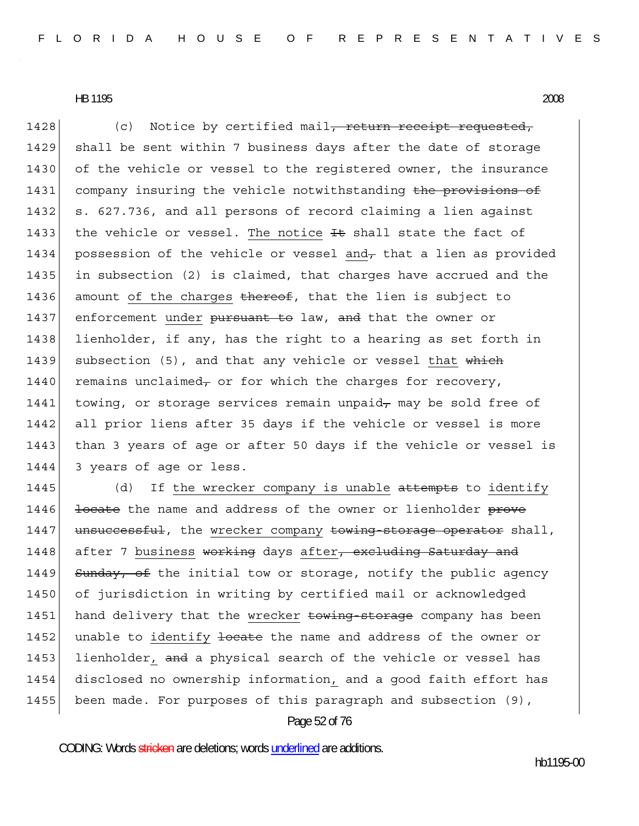1428 (c) Notice by certified mail, return receipt requested, 1429 shall be sent within 7 business days after the date of storage 1430 of the vehicle or vessel to the registered owner, the insurance 1431 company insuring the vehicle notwithstanding the provisions of 1432 s. 627.736, and all persons of record claiming a lien against 1433 the vehicle or vessel. The notice  $F$  shall state the fact of 1434 possession of the vehicle or vessel and, that a lien as provided 1435 in subsection (2) is claimed, that charges have accrued and the 1436 amount of the charges thereof, that the lien is subject to 1437 enforcement under pursuant to law, and that the owner or 1438 lienholder, if any, has the right to a hearing as set forth in 1439 subsection (5), and that any vehicle or vessel that which 1440 remains unclaimed, or for which the charges for recovery, 1441 towing, or storage services remain unpaid<sub> $\tau$ </sub> may be sold free of 1442 all prior liens after 35 days if the vehicle or vessel is more 1443 than 3 years of age or after 50 days if the vehicle or vessel is 1444 3 years of age or less.

1445  $(d)$  If the wrecker company is unable attempts to identify 1446 locate the name and address of the owner or lienholder prove 1447 unsuccessful, the wrecker company towing storage operator shall, 1448 after 7 business working days after, excluding Saturday and 1449 Sunday, of the initial tow or storage, notify the public agency 1450 of jurisdiction in writing by certified mail or acknowledged 1451 hand delivery that the wrecker towing-storage company has been 1452 unable to identify locate the name and address of the owner or 1453 lienholder, and a physical search of the vehicle or vessel has 1454 disclosed no ownership information, and a good faith effort has 1455 been made. For purposes of this paragraph and subsection (9),

Page 52 of 76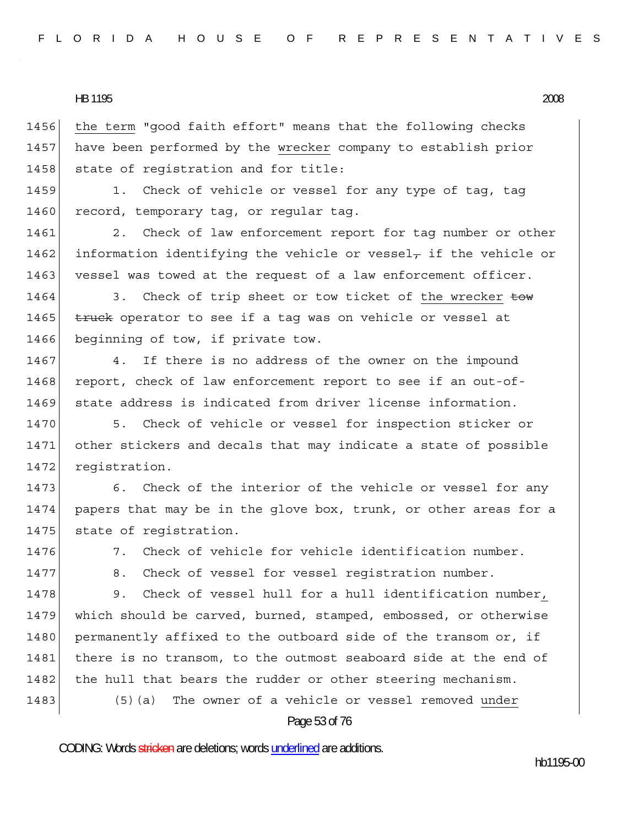1456 the term "good faith effort" means that the following checks 1457 have been performed by the wrecker company to establish prior 1458 state of registration and for title:

1459 1. Check of vehicle or vessel for any type of tag, tag 1460 record, temporary tag, or regular tag.

1461 2. Check of law enforcement report for tag number or other 1462 information identifying the vehicle or vessel- if the vehicle or 1463 vessel was towed at the request of a law enforcement officer.

1464 3. Check of trip sheet or tow ticket of the wrecker tow 1465  $t$  truck operator to see if a tag was on vehicle or vessel at 1466 beginning of tow, if private tow.

1467 4. If there is no address of the owner on the impound 1468 report, check of law enforcement report to see if an out-of-1469 state address is indicated from driver license information.

1470 5. Check of vehicle or vessel for inspection sticker or 1471 other stickers and decals that may indicate a state of possible 1472 registration.

1473 6. Check of the interior of the vehicle or vessel for any 1474 papers that may be in the glove box, trunk, or other areas for a 1475 state of registration.

1476 7. Check of vehicle for vehicle identification number.

1477 8. Check of vessel for vessel registration number.

1478 9. Check of vessel hull for a hull identification number, 1479 which should be carved, burned, stamped, embossed, or otherwise 1480 | permanently affixed to the outboard side of the transom or, if 1481 there is no transom, to the outmost seaboard side at the end of 1482 | the hull that bears the rudder or other steering mechanism.

1483 (5)(a) The owner of a vehicle or vessel removed under

Page 53 of 76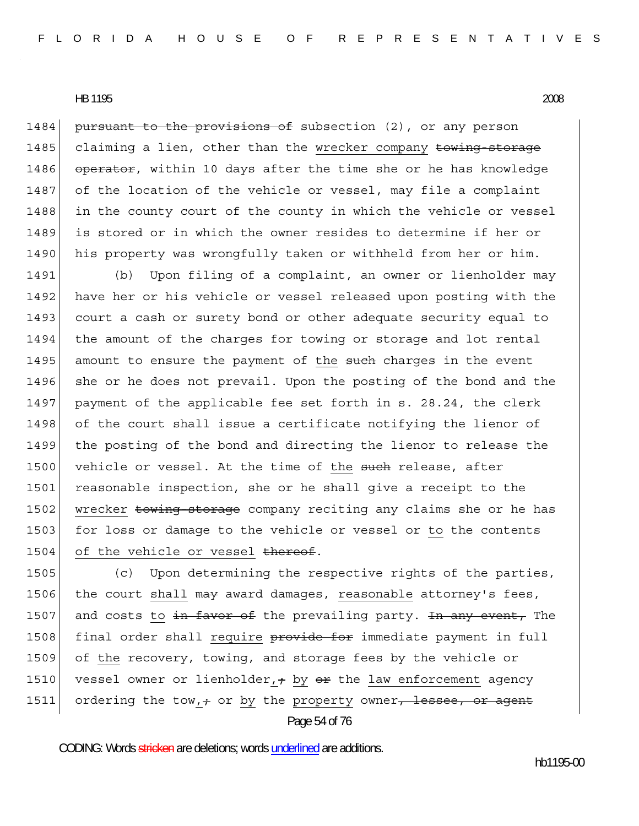1484 pursuant to the provisions of subsection (2), or any person 1485 claiming a lien, other than the wrecker company towing-storage 1486 operator, within 10 days after the time she or he has knowledge 1487 of the location of the vehicle or vessel, may file a complaint 1488 in the county court of the county in which the vehicle or vessel 1489 is stored or in which the owner resides to determine if her or 1490 his property was wrongfully taken or withheld from her or him.

1491 (b) Upon filing of a complaint, an owner or lienholder may 1492 have her or his vehicle or vessel released upon posting with the 1493 court a cash or surety bond or other adequate security equal to 1494 the amount of the charges for towing or storage and lot rental 1495 amount to ensure the payment of the such charges in the event 1496 she or he does not prevail. Upon the posting of the bond and the 1497 payment of the applicable fee set forth in s. 28.24, the clerk 1498 of the court shall issue a certificate notifying the lienor of 1499 the posting of the bond and directing the lienor to release the 1500 vehicle or vessel. At the time of the such release, after 1501 reasonable inspection, she or he shall give a receipt to the 1502 wrecker towing-storage company reciting any claims she or he has 1503 for loss or damage to the vehicle or vessel or to the contents 1504 of the vehicle or vessel  $t$ hereof.

Page 54 of 76 1505 (c) Upon determining the respective rights of the parties, 1506 the court shall may award damages, reasonable attorney's fees, 1507 and costs to  $\frac{1}{2}$  and  $\frac{1}{2}$  and  $\frac{1}{2}$  and  $\frac{1}{2}$  and  $\frac{1}{2}$  and  $\frac{1}{2}$  and  $\frac{1}{2}$  and  $\frac{1}{2}$  and  $\frac{1}{2}$  and  $\frac{1}{2}$  and  $\frac{1}{2}$  and  $\frac{1}{2}$  and  $\frac{1}{2}$  and  $\frac{1}{2}$  and  $\frac{1}{2$ 1508 final order shall require provide for immediate payment in full 1509 of the recovery, towing, and storage fees by the vehicle or 1510 vessel owner or lienholder,  $\frac{1}{2}$  by  $\frac{1}{2}$  the law enforcement agency 1511 ordering the tow,  $\div$  or by the property owner, lessee, or agent

CODING: Words stricken are deletions; words underlined are additions.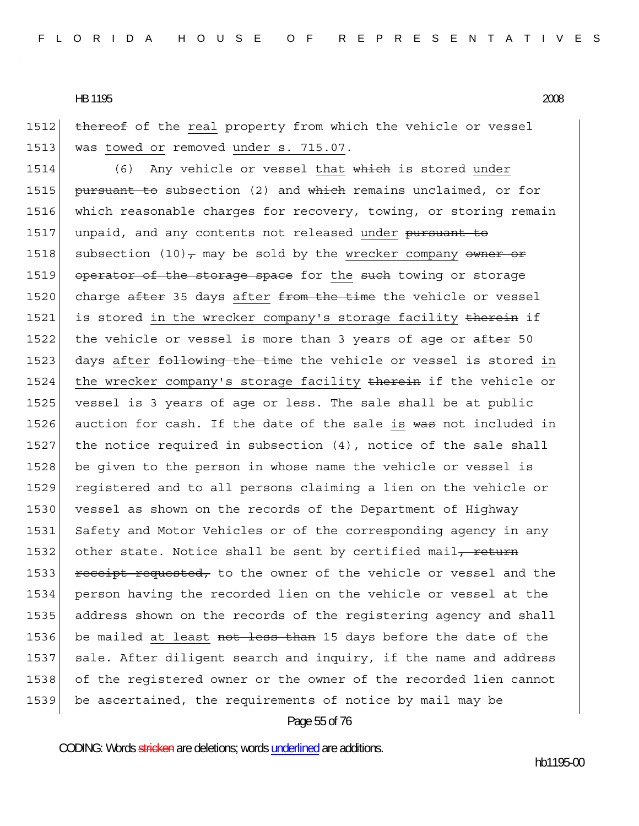1512 thereof of the real property from which the vehicle or vessel 1513 was towed or removed under s. 715.07.

1514 (6) Any vehicle or vessel that which is stored under 1515 **pursuant to** subsection (2) and which remains unclaimed, or for 1516 which reasonable charges for recovery, towing, or storing remain 1517 unpaid, and any contents not released under pursuant to 1518 subsection (10), may be sold by the wrecker company owner or 1519 operator of the storage space for the such towing or storage 1520 charge  $after$  35 days after  $from$  the time the vehicle or vessel 1521 is stored in the wrecker company's storage facility therein if 1522 the vehicle or vessel is more than 3 years of age or after 50 1523 days after following the time the vehicle or vessel is stored in 1524 the wrecker company's storage facility therein if the vehicle or 1525 vessel is 3 years of age or less. The sale shall be at public 1526 auction for cash. If the date of the sale is was not included in 1527 the notice required in subsection  $(4)$ , notice of the sale shall 1528 be given to the person in whose name the vehicle or vessel is 1529 registered and to all persons claiming a lien on the vehicle or 1530 vessel as shown on the records of the Department of Highway 1531 Safety and Motor Vehicles or of the corresponding agency in any 1532 other state. Notice shall be sent by certified mail, return 1533 receipt requested, to the owner of the vehicle or vessel and the 1534 person having the recorded lien on the vehicle or vessel at the 1535 address shown on the records of the registering agency and shall 1536 be mailed at least not less than 15 days before the date of the 1537 sale. After diligent search and inquiry, if the name and address 1538 of the registered owner or the owner of the recorded lien cannot 1539 be ascertained, the requirements of notice by mail may be

#### Page 55 of 76

CODING: Words stricken are deletions; words underlined are additions.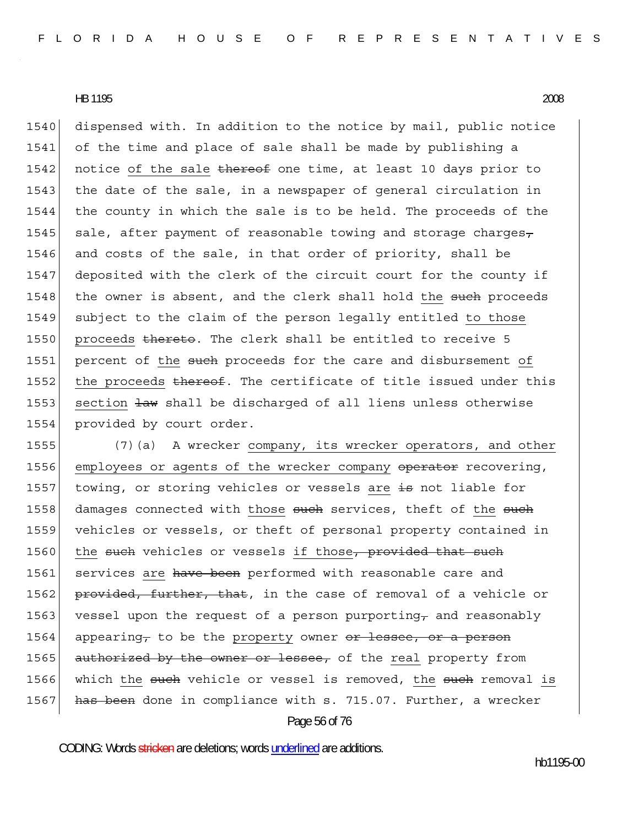1540 dispensed with. In addition to the notice by mail, public notice 1541 of the time and place of sale shall be made by publishing a 1542 notice of the sale thereof one time, at least 10 days prior to 1543 the date of the sale, in a newspaper of general circulation in 1544 the county in which the sale is to be held. The proceeds of the 1545 sale, after payment of reasonable towing and storage charges $_{\tau}$ 1546 and costs of the sale, in that order of priority, shall be 1547 deposited with the clerk of the circuit court for the county if 1548 the owner is absent, and the clerk shall hold the such proceeds 1549 subject to the claim of the person legally entitled to those 1550 proceeds thereto. The clerk shall be entitled to receive 5 1551 percent of the such proceeds for the care and disbursement of 1552 the proceeds thereof. The certificate of title issued under this 1553 section  $\frac{1}{2}$  aw shall be discharged of all liens unless otherwise 1554 provided by court order.

Page 56 of 76 1555 (7)(a) A wrecker company, its wrecker operators, and other 1556 employees or agents of the wrecker company operator recovering, 1557 towing, or storing vehicles or vessels are  $\pm$ s not liable for 1558 damages connected with those such services, theft of the such 1559 vehicles or vessels, or theft of personal property contained in 1560 the such vehicles or vessels if those, provided that such 1561 services are have been performed with reasonable care and 1562 provided, further, that, in the case of removal of a vehicle or 1563 vessel upon the request of a person purporting and reasonably 1564 appearing, to be the property owner  $er$  lessee, or a person 1565 authorized by the owner or lessee, of the real property from 1566 which the such vehicle or vessel is removed, the such removal is 1567 has been done in compliance with s. 715.07. Further, a wrecker

CODING: Words stricken are deletions; words underlined are additions.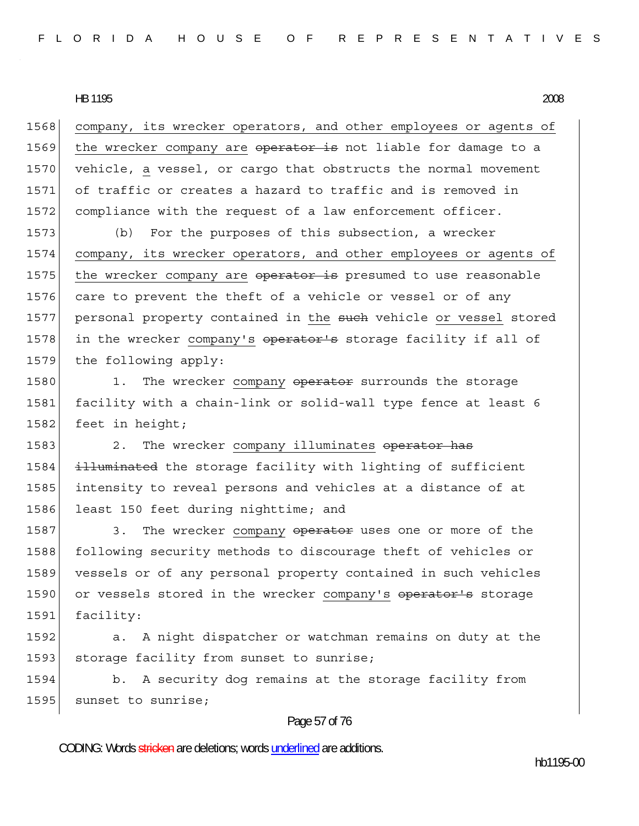1568 company, its wrecker operators, and other employees or agents of 1569 the wrecker company are operator is not liable for damage to a 1570 vehicle, a vessel, or cargo that obstructs the normal movement 1571 of traffic or creates a hazard to traffic and is removed in 1572 compliance with the request of a law enforcement officer.

1573 (b) For the purposes of this subsection, a wrecker 1574 company, its wrecker operators, and other employees or agents of 1575 the wrecker company are operator is presumed to use reasonable 1576 care to prevent the theft of a vehicle or vessel or of any 1577 personal property contained in the such vehicle or vessel stored 1578 in the wrecker company's operator's storage facility if all of 1579 the following apply:

1580 1. The wrecker company operator surrounds the storage 1581 facility with a chain-link or solid-wall type fence at least 6 1582 feet in height;

1583 2. The wrecker company illuminates operator has 1584 illuminated the storage facility with lighting of sufficient 1585 intensity to reveal persons and vehicles at a distance of at 1586 least 150 feet during nighttime; and

1587 3. The wrecker company operator uses one or more of the 1588 following security methods to discourage theft of vehicles or 1589 vessels or of any personal property contained in such vehicles 1590 or vessels stored in the wrecker company's operator's storage 1591 facility:

1592 a. A night dispatcher or watchman remains on duty at the 1593 storage facility from sunset to sunrise;

1594 b. A security dog remains at the storage facility from 1595 sunset to sunrise;

#### Page 57 of 76

CODING: Words stricken are deletions; words underlined are additions.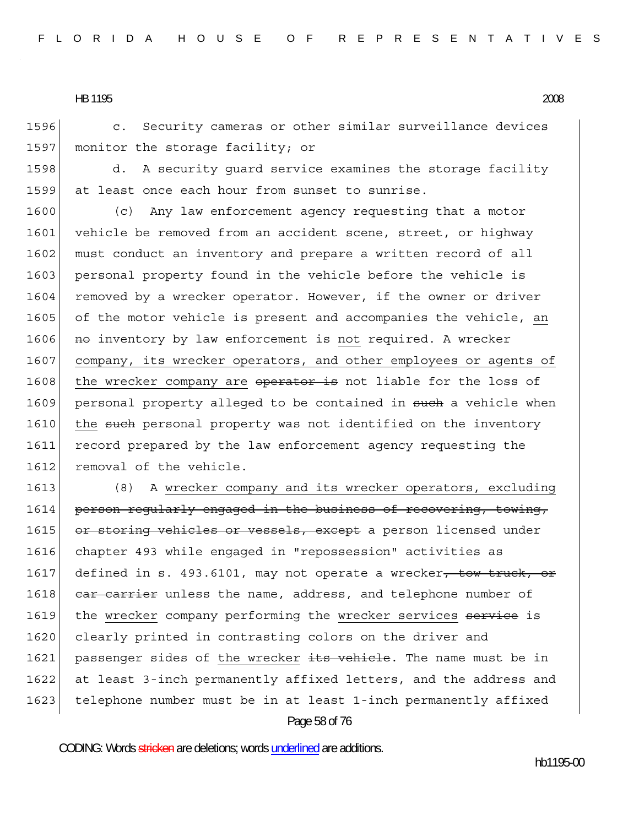1596 c. Security cameras or other similar surveillance devices 1597 monitor the storage facility; or

1598 d. A security guard service examines the storage facility 1599 at least once each hour from sunset to sunrise.

1600 (c) Any law enforcement agency requesting that a motor 1601 vehicle be removed from an accident scene, street, or highway 1602 must conduct an inventory and prepare a written record of all 1603 personal property found in the vehicle before the vehicle is 1604 removed by a wrecker operator. However, if the owner or driver 1605 of the motor vehicle is present and accompanies the vehicle, an 1606 **no** inventory by law enforcement is not required. A wrecker 1607 company, its wrecker operators, and other employees or agents of 1608 the wrecker company are operator is not liable for the loss of 1609 personal property alleged to be contained in such a vehicle when 1610 the such personal property was not identified on the inventory 1611 record prepared by the law enforcement agency requesting the 1612 removal of the vehicle.

Page 58 of 76 1613 (8) A wrecker company and its wrecker operators, excluding 1614 person regularly engaged in the business of recovering, towing, 1615 or storing vehicles or vessels, except a person licensed under 1616 chapter 493 while engaged in "repossession" activities as 1617 defined in s. 493.6101, may not operate a wrecker, tow truck, or 1618 car carrier unless the name, address, and telephone number of 1619 the wrecker company performing the wrecker services service is 1620 clearly printed in contrasting colors on the driver and 1621 passenger sides of the wrecker its vehicle. The name must be in 1622 at least 3-inch permanently affixed letters, and the address and 1623 telephone number must be in at least 1-inch permanently affixed

CODING: Words stricken are deletions; words underlined are additions.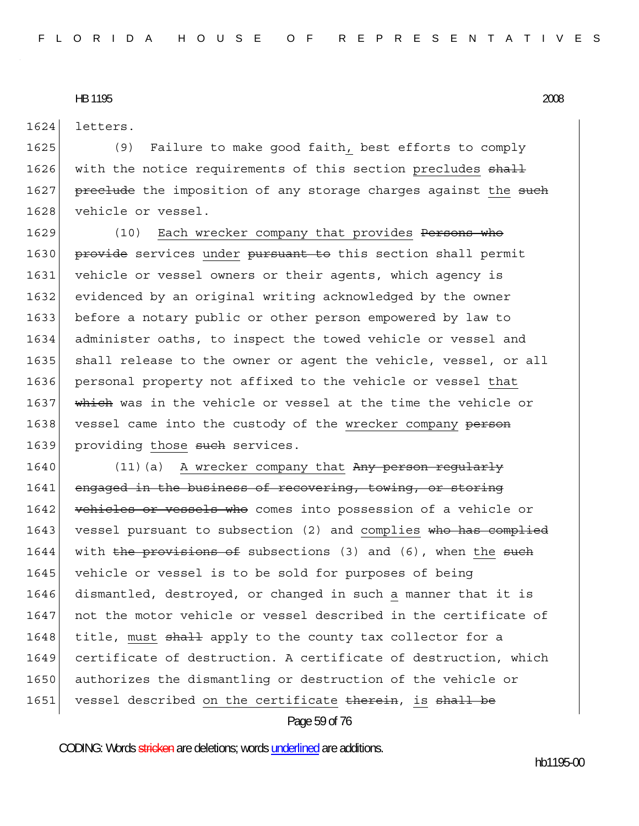1624 letters.

1625 (9) Failure to make good faith, best efforts to comply 1626 with the notice requirements of this section precludes shall 1627 preclude the imposition of any storage charges against the such 1628 vehicle or vessel.

1629 (10) Each wrecker company that provides Persons who 1630 provide services under pursuant to this section shall permit 1631 vehicle or vessel owners or their agents, which agency is 1632 evidenced by an original writing acknowledged by the owner 1633 before a notary public or other person empowered by law to 1634 administer oaths, to inspect the towed vehicle or vessel and 1635 shall release to the owner or agent the vehicle, vessel, or all 1636 personal property not affixed to the vehicle or vessel that 1637 which was in the vehicle or vessel at the time the vehicle or 1638 vessel came into the custody of the wrecker company person 1639 providing those such services.

1640 (11)(a) A wrecker company that  $Any$  person requilarly 1641 engaged in the business of recovering, towing, or storing 1642 vehicles or vessels who comes into possession of a vehicle or 1643 vessel pursuant to subsection (2) and complies who has complied 1644 with the provisions of subsections  $(3)$  and  $(6)$ , when the such 1645 vehicle or vessel is to be sold for purposes of being 1646 dismantled, destroyed, or changed in such a manner that it is 1647 not the motor vehicle or vessel described in the certificate of 1648 title, must shall apply to the county tax collector for a 1649 certificate of destruction. A certificate of destruction, which 1650 authorizes the dismantling or destruction of the vehicle or 1651 vessel described on the certificate therein, is shall be

## Page 59 of 76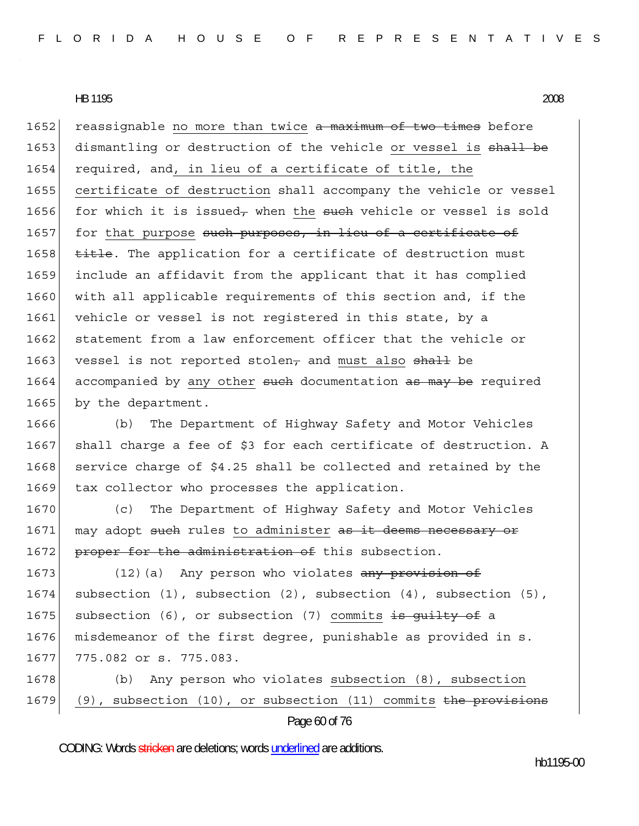1652 reassignable no more than twice a maximum of two times before 1653 dismantling or destruction of the vehicle or vessel is shall be 1654 required, and, in lieu of a certificate of title, the 1655 certificate of destruction shall accompany the vehicle or vessel 1656 for which it is issued<sub>7</sub> when the such vehicle or vessel is sold 1657 for that purpose such purposes, in lieu of a certificate of 1658 title. The application for a certificate of destruction must 1659 include an affidavit from the applicant that it has complied 1660 with all applicable requirements of this section and, if the 1661 vehicle or vessel is not registered in this state, by a 1662 statement from a law enforcement officer that the vehicle or 1663 vessel is not reported stolen<sub>7</sub> and must also  $\frac{1}{3}$  be 1664 accompanied by any other such documentation as may be required 1665 by the department.

1666 (b) The Department of Highway Safety and Motor Vehicles 1667 shall charge a fee of \$3 for each certificate of destruction. A 1668 service charge of  $$4.25$  shall be collected and retained by the 1669 tax collector who processes the application.

1670 (c) The Department of Highway Safety and Motor Vehicles 1671 may adopt such rules to administer as it deems necessary or 1672 proper for the administration of this subsection.

1673 (12)(a) Any person who violates any provision of 1674 subsection (1), subsection (2), subsection (4), subsection (5), 1675 subsection (6), or subsection (7) commits is guilty of a 1676 misdemeanor of the first degree, punishable as provided in s. 1677 775.082 or s. 775.083.

1678 (b) Any person who violates subsection (8), subsection 1679 (9), subsection (10), or subsection (11) commits the provisions

Page 60 of 76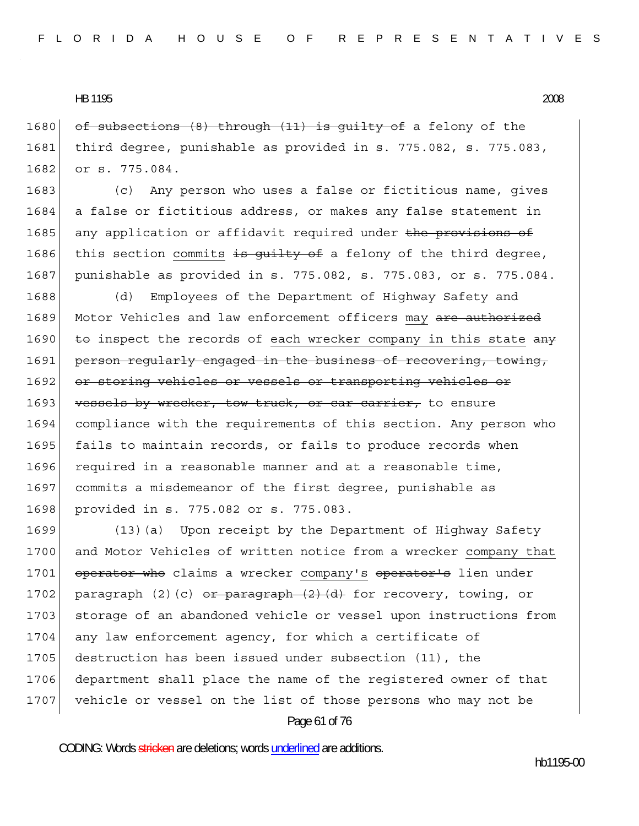1680 of subsections  $(8)$  through  $(11)$  is quilty of a felony of the 1681 third degree, punishable as provided in s. 775.082, s. 775.083, 1682 or s. 775.084.

1683 (c) Any person who uses a false or fictitious name, gives 1684 a false or fictitious address, or makes any false statement in 1685 any application or affidavit required under the provisions of 1686 this section commits is quilty of a felony of the third degree, 1687 punishable as provided in s. 775.082, s. 775.083, or s. 775.084.

1688 (d) Employees of the Department of Highway Safety and 1689 Motor Vehicles and law enforcement officers may are authorized 1690  $\overline{\text{te}}$  inspect the records of each wrecker company in this state  $\overline{\text{any}}$ 1691 person requiarly engaged in the business of recovering, towing, 1692 or storing vehicles or vessels or transporting vehicles or 1693 vessels by wrecker, tow truck, or car carrier, to ensure 1694 compliance with the requirements of this section. Any person who 1695 fails to maintain records, or fails to produce records when 1696 required in a reasonable manner and at a reasonable time, 1697 commits a misdemeanor of the first degree, punishable as 1698 provided in s. 775.082 or s. 775.083.

1699 (13)(a) Upon receipt by the Department of Highway Safety 1700 and Motor Vehicles of written notice from a wrecker company that 1701 operator who claims a wrecker company's operator's lien under 1702 paragraph (2)(c) or paragraph  $(2)$   $(d)$  for recovery, towing, or 1703 storage of an abandoned vehicle or vessel upon instructions from 1704 any law enforcement agency, for which a certificate of 1705 destruction has been issued under subsection (11), the 1706 department shall place the name of the registered owner of that 1707 vehicle or vessel on the list of those persons who may not be

Page 61 of 76

CODING: Words stricken are deletions; words underlined are additions.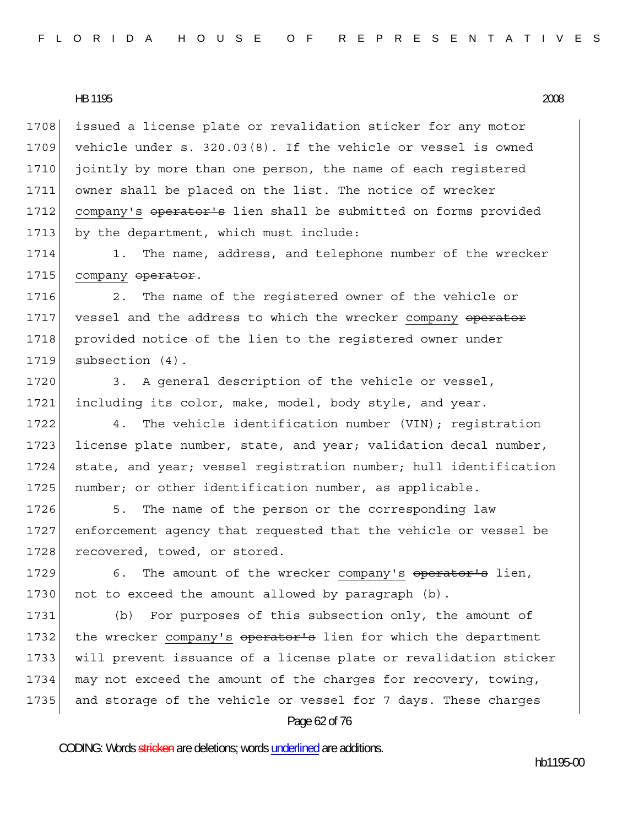1708 issued a license plate or revalidation sticker for any motor 1709 vehicle under s. 320.03(8). If the vehicle or vessel is owned 1710 jointly by more than one person, the name of each registered 1711 owner shall be placed on the list. The notice of wrecker 1712 company's operator's lien shall be submitted on forms provided 1713 by the department, which must include:

1714 1. The name, address, and telephone number of the wrecker 1715 company operator.

1716 2. The name of the registered owner of the vehicle or 1717 vessel and the address to which the wrecker company operator 1718 provided notice of the lien to the registered owner under 1719 subsection (4).

1720 3. A general description of the vehicle or vessel, 1721 including its color, make, model, body style, and year.

1722 4. The vehicle identification number (VIN); registration 1723 license plate number, state, and year; validation decal number, 1724 state, and year; vessel registration number; hull identification 1725 number; or other identification number, as applicable.

1726 5. The name of the person or the corresponding law 1727 enforcement agency that requested that the vehicle or vessel be 1728 recovered, towed, or stored.

1729 6. The amount of the wrecker company's operator's lien, 1730 not to exceed the amount allowed by paragraph (b).

1731 (b) For purposes of this subsection only, the amount of 1732 the wrecker company's operator's lien for which the department 1733 will prevent issuance of a license plate or revalidation sticker 1734 may not exceed the amount of the charges for recovery, towing, 1735 and storage of the vehicle or vessel for 7 days. These charges

#### Page 62 of 76

CODING: Words stricken are deletions; words underlined are additions.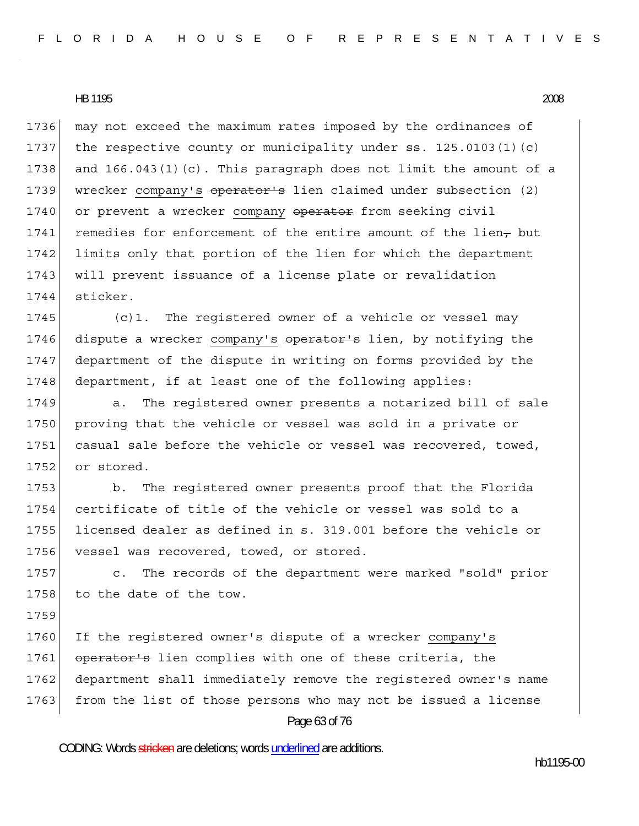1736 may not exceed the maximum rates imposed by the ordinances of 1737 the respective county or municipality under ss. 125.0103(1)(c) 1738 and 166.043(1)(c). This paragraph does not limit the amount of a 1739 wrecker company's operator's lien claimed under subsection (2) 1740 or prevent a wrecker company operator from seeking civil 1741 remedies for enforcement of the entire amount of the lien $_{\tau}$  but 1742 limits only that portion of the lien for which the department 1743 | will prevent issuance of a license plate or revalidation 1744 sticker.

1745 (c)1. The registered owner of a vehicle or vessel may 1746 dispute a wrecker company's operator's lien, by notifying the 1747 department of the dispute in writing on forms provided by the 1748 department, if at least one of the following applies:

1749 a. The registered owner presents a notarized bill of sale 1750 proving that the vehicle or vessel was sold in a private or 1751 casual sale before the vehicle or vessel was recovered, towed, 1752 or stored.

1753 b. The registered owner presents proof that the Florida 1754 certificate of title of the vehicle or vessel was sold to a 1755 licensed dealer as defined in s. 319.001 before the vehicle or 1756 vessel was recovered, towed, or stored.

1757 c. The records of the department were marked "sold" prior 1758 to the date of the tow.

1759

1760 If the registered owner's dispute of a wrecker company's 1761 operator's lien complies with one of these criteria, the 1762 department shall immediately remove the registered owner's name 1763 from the list of those persons who may not be issued a license

## Page 63 of 76

CODING: Words stricken are deletions; words underlined are additions.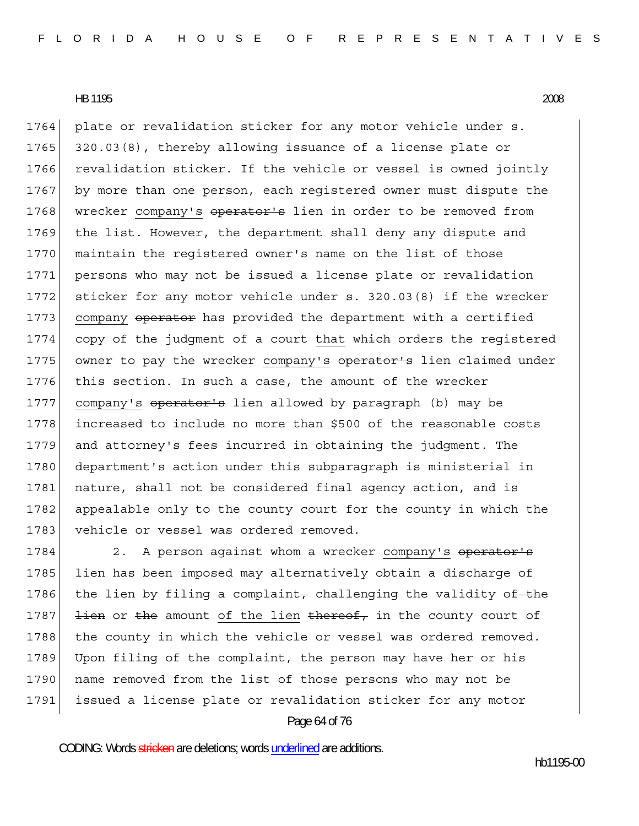1764 plate or revalidation sticker for any motor vehicle under s. 1765 320.03(8), thereby allowing issuance of a license plate or 1766 revalidation sticker. If the vehicle or vessel is owned jointly 1767 by more than one person, each registered owner must dispute the 1768 wrecker company's operator's lien in order to be removed from 1769 the list. However, the department shall deny any dispute and 1770 maintain the registered owner's name on the list of those 1771 persons who may not be issued a license plate or revalidation 1772 sticker for any motor vehicle under s. 320.03(8) if the wrecker 1773 company operator has provided the department with a certified 1774 copy of the judgment of a court that which orders the registered 1775 owner to pay the wrecker company's operator's lien claimed under 1776 this section. In such a case, the amount of the wrecker 1777 company's operator's lien allowed by paragraph (b) may be 1778 increased to include no more than \$500 of the reasonable costs 1779 and attorney's fees incurred in obtaining the judgment. The 1780 department's action under this subparagraph is ministerial in 1781 nature, shall not be considered final agency action, and is 1782 appealable only to the county court for the county in which the 1783 vehicle or vessel was ordered removed.

1784 2. A person against whom a wrecker company's operator's 1785 lien has been imposed may alternatively obtain a discharge of 1786 the lien by filing a complaint, challenging the validity of the 1787  $\frac{1}{1}$   $\frac{1}{1}$   $\frac{1}{1}$  or  $\frac{1}{1}$  amount of the lien  $\frac{1}{1}$   $\frac{1}{1}$   $\frac{1}{1}$  the county court of 1788 the county in which the vehicle or vessel was ordered removed. 1789 Upon filing of the complaint, the person may have her or his 1790 name removed from the list of those persons who may not be 1791 issued a license plate or revalidation sticker for any motor

## Page 64 of 76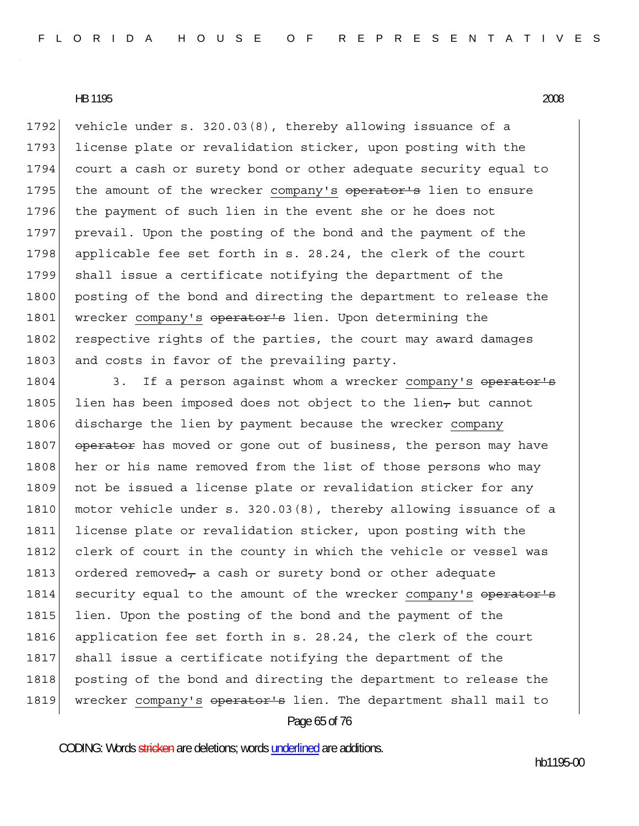1792 vehicle under s.  $320.03(8)$ , thereby allowing issuance of a 1793 license plate or revalidation sticker, upon posting with the 1794 court a cash or surety bond or other adequate security equal to 1795 the amount of the wrecker company's operator's lien to ensure 1796 the payment of such lien in the event she or he does not 1797 prevail. Upon the posting of the bond and the payment of the 1798 applicable fee set forth in s. 28.24, the clerk of the court 1799 shall issue a certificate notifying the department of the 1800 posting of the bond and directing the department to release the 1801 wrecker company's operator's lien. Upon determining the 1802 respective rights of the parties, the court may award damages 1803 and costs in favor of the prevailing party.

Page 65 of 76 1804 3. If a person against whom a wrecker company's operator's 1805 lien has been imposed does not object to the lien<sub> $\tau$ </sub> but cannot 1806 discharge the lien by payment because the wrecker company 1807 operator has moved or gone out of business, the person may have 1808 her or his name removed from the list of those persons who may 1809 not be issued a license plate or revalidation sticker for any 1810 motor vehicle under s. 320.03(8), thereby allowing issuance of a 1811 license plate or revalidation sticker, upon posting with the 1812 clerk of court in the county in which the vehicle or vessel was 1813 ordered removed<sub>7</sub> a cash or surety bond or other adequate 1814 security equal to the amount of the wrecker company's operator's 1815 lien. Upon the posting of the bond and the payment of the 1816 application fee set forth in s. 28.24, the clerk of the court 1817 shall issue a certificate notifying the department of the 1818 posting of the bond and directing the department to release the 1819 wrecker company's operator's lien. The department shall mail to

CODING: Words stricken are deletions; words underlined are additions.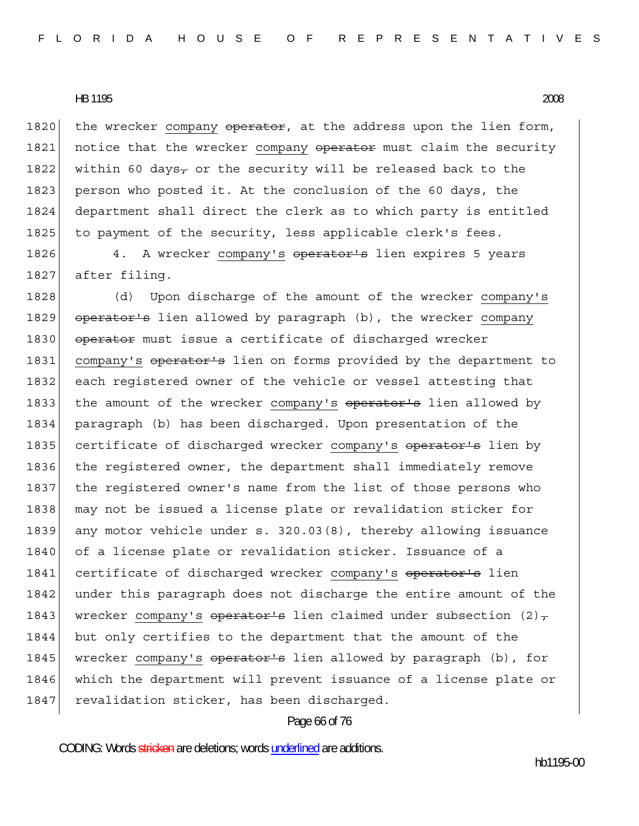1820 the wrecker company operator, at the address upon the lien form, 1821 notice that the wrecker company operator must claim the security 1822 within 60 days<sub>7</sub> or the security will be released back to the 1823 person who posted it. At the conclusion of the 60 days, the 1824 department shall direct the clerk as to which party is entitled 1825 to payment of the security, less applicable clerk's fees.

1826 4. A wrecker company's operator's lien expires 5 years 1827 after filing.

1828 (d) Upon discharge of the amount of the wrecker company's 1829 operator's lien allowed by paragraph (b), the wrecker company 1830 operator must issue a certificate of discharged wrecker 1831 company's operator's lien on forms provided by the department to 1832 each registered owner of the vehicle or vessel attesting that 1833 the amount of the wrecker company's operator's lien allowed by 1834 paragraph (b) has been discharged. Upon presentation of the 1835 certificate of discharged wrecker company's operator's lien by 1836 the registered owner, the department shall immediately remove 1837 the registered owner's name from the list of those persons who 1838 | may not be issued a license plate or revalidation sticker for 1839 any motor vehicle under s. 320.03(8), thereby allowing issuance 1840 of a license plate or revalidation sticker. Issuance of a 1841 certificate of discharged wrecker company's operator's lien 1842 under this paragraph does not discharge the entire amount of the 1843 wrecker company's operator's lien claimed under subsection  $(2)$ , 1844 but only certifies to the department that the amount of the 1845 wrecker company's operator's lien allowed by paragraph (b), for 1846 which the department will prevent issuance of a license plate or 1847 revalidation sticker, has been discharged.

#### Page 66 of 76

CODING: Words stricken are deletions; words underlined are additions.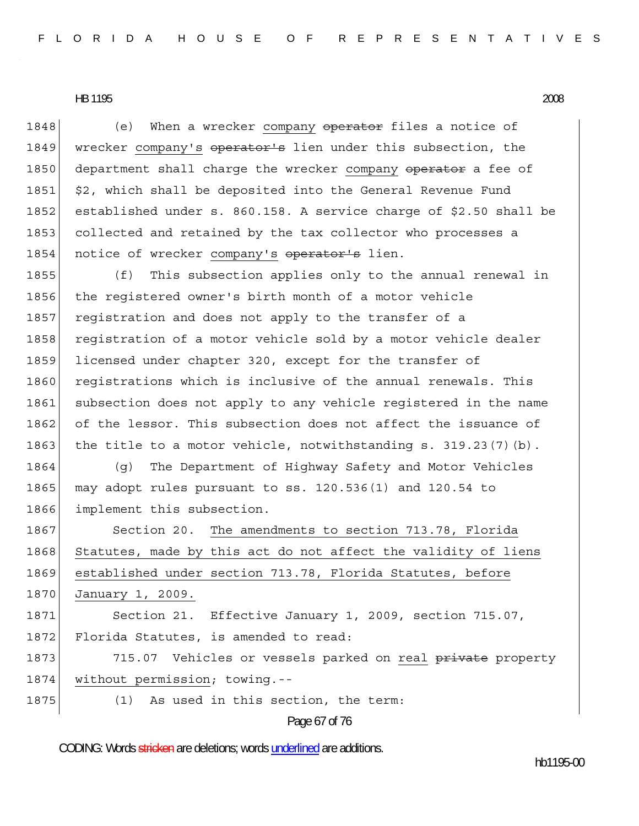1848 (e) When a wrecker company operator files a notice of 1849 wrecker company's operator's lien under this subsection, the 1850 department shall charge the wrecker company operator a fee of 1851 \$2, which shall be deposited into the General Revenue Fund 1852 established under s. 860.158. A service charge of \$2.50 shall be 1853 collected and retained by the tax collector who processes a 1854 notice of wrecker company's operator's lien.

1855 (f) This subsection applies only to the annual renewal in 1856 the registered owner's birth month of a motor vehicle 1857 registration and does not apply to the transfer of a 1858 registration of a motor vehicle sold by a motor vehicle dealer 1859 licensed under chapter 320, except for the transfer of 1860 registrations which is inclusive of the annual renewals. This 1861 subsection does not apply to any vehicle registered in the name 1862 of the lessor. This subsection does not affect the issuance of 1863 the title to a motor vehicle, notwithstanding s.  $319.23(7)(b)$ .

1864 (g) The Department of Highway Safety and Motor Vehicles 1865 may adopt rules pursuant to ss.  $120.536(1)$  and  $120.54$  to 1866 implement this subsection.

1867 Section 20. The amendments to section 713.78, Florida 1868 Statutes, made by this act do not affect the validity of liens 1869 established under section 713.78, Florida Statutes, before 1870 January 1, 2009.

1871 Section 21. Effective January 1, 2009, section 715.07, 1872 Florida Statutes, is amended to read:

1873 715.07 Vehicles or vessels parked on real private property 1874 without permission; towing.--

1875 (1) As used in this section, the term:

Page 67 of 76

CODING: Words stricken are deletions; words underlined are additions.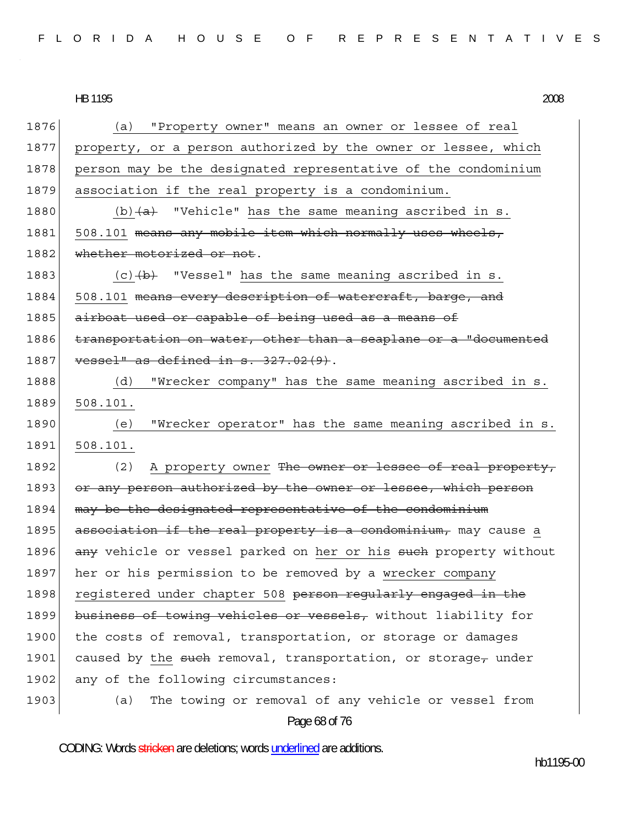Page 68 of 76 1876 (a) "Property owner" means an owner or lessee of real 1877 property, or a person authorized by the owner or lessee, which 1878 person may be the designated representative of the condominium 1879 association if the real property is a condominium. 1880 (b) $\left\{a\right\}$  "Vehicle" has the same meaning ascribed in s. 1881 508.101 means any mobile item which normally uses wheels, 1882 whether motorized or not. 1883  $(c)$   $(b)$  "Vessel" has the same meaning ascribed in s. 1884 508.101 means every description of watercraft, barge, and 1885 airboat used or capable of being used as a means of 1886 transportation on water, other than a seaplane or a "documented  $1887$  vessel" as defined in s. 327.02(9). 1888 (d) "Wrecker company" has the same meaning ascribed in s. 1889 508.101. 1890 (e) "Wrecker operator" has the same meaning ascribed in s. 1891 508.101. 1892 (2) A property owner The owner or lessee of real property, 1893 or any person authorized by the owner or lessee, which person 1894 may be the designated representative of the condominium  $1895$  association if the real property is a condominium, may cause a 1896 any vehicle or vessel parked on her or his such property without 1897 her or his permission to be removed by a wrecker company 1898 registered under chapter 508 person regularly engaged in the 1899 business of towing vehicles or vessels, without liability for 1900 the costs of removal, transportation, or storage or damages 1901 caused by the such removal, transportation, or storage, under 1902 any of the following circumstances: 1903 (a) The towing or removal of any vehicle or vessel from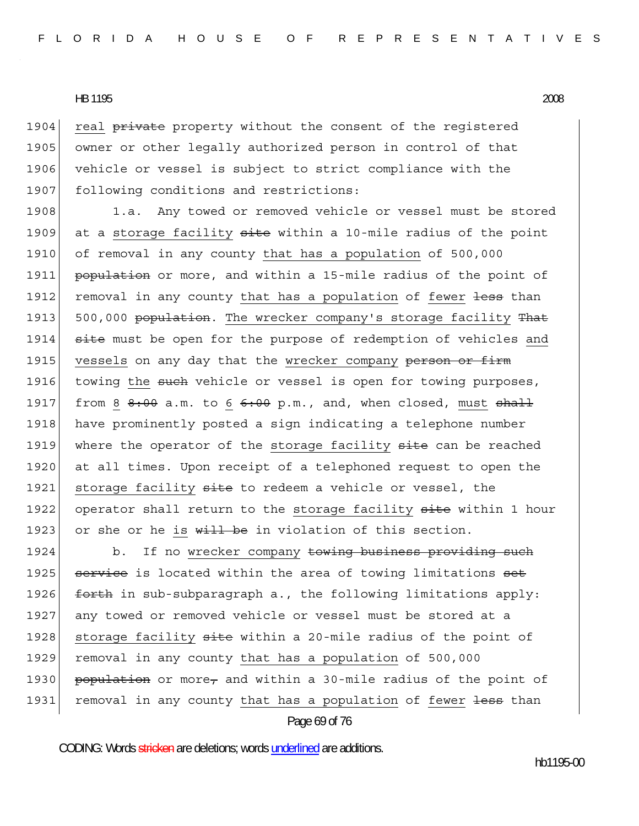1904 real private property without the consent of the reqistered 1905 owner or other legally authorized person in control of that 1906 vehicle or vessel is subject to strict compliance with the 1907 following conditions and restrictions:

1908 1.a. Any towed or removed vehicle or vessel must be stored 1909 at a storage facility  $\frac{1}{10}$  at the noint in the point 1910 of removal in any county that has a population of 500,000 1911 **population** or more, and within a 15-mile radius of the point of 1912 removal in any county that has a population of fewer less than 1913 500,000 population. The wrecker company's storage facility That 1914 site must be open for the purpose of redemption of vehicles and 1915 vessels on any day that the wrecker company person or firm 1916 towing the such vehicle or vessel is open for towing purposes, 1917 from 8  $8:00$  a.m. to 6  $6:00$  p.m., and, when closed, must  $shall$ 1918 have prominently posted a sign indicating a telephone number 1919 where the operator of the storage facility site can be reached 1920 at all times. Upon receipt of a telephoned request to open the 1921 storage facility site to redeem a vehicle or vessel, the 1922 operator shall return to the storage facility site within 1 hour 1923 or she or he is  $with$  be in violation of this section.

1924 b. If no wrecker company towing business providing such 1925 service is located within the area of towing limitations set 1926  $f$  forth in sub-subparagraph a., the following limitations apply: 1927 any towed or removed vehicle or vessel must be stored at a 1928 storage facility site within a 20-mile radius of the point of 1929 | removal in any county that has a population of 500,000 1930 population or more, and within a 30-mile radius of the point of 1931 removal in any county that has a population of fewer less than

#### Page 69 of 76

CODING: Words stricken are deletions; words underlined are additions.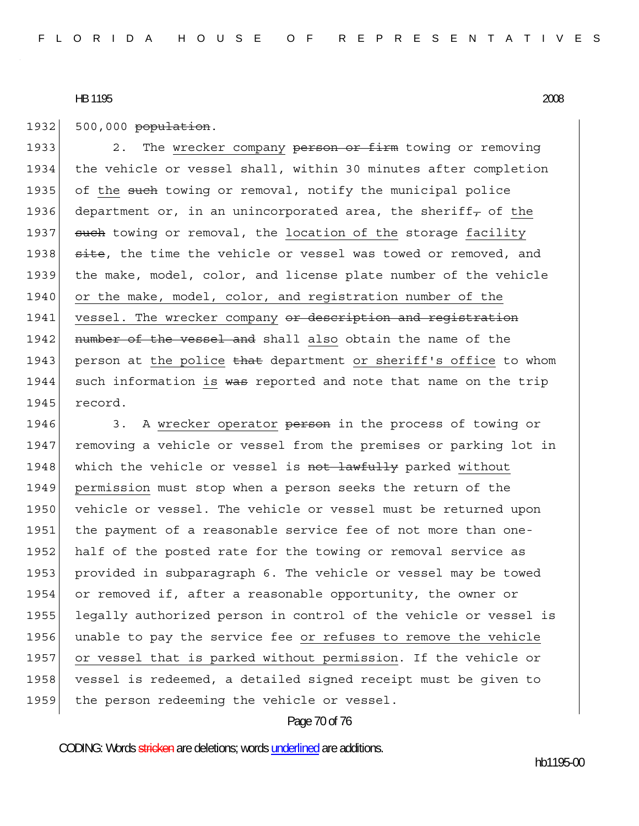1932 500,000 population.

1933 2. The wrecker company person or firm towing or removing 1934 the vehicle or vessel shall, within 30 minutes after completion 1935 of the such towing or removal, notify the municipal police 1936 department or, in an unincorporated area, the sheriff<sub> $\tau$ </sub> of the 1937 such towing or removal, the location of the storage facility 1938 site, the time the vehicle or vessel was towed or removed, and 1939 the make, model, color, and license plate number of the vehicle 1940 or the make, model, color, and registration number of the 1941 vessel. The wrecker company or description and registration 1942 number of the vessel and shall also obtain the name of the 1943 person at the police that department or sheriff's office to whom 1944 such information is was reported and note that name on the trip 1945 record.

1946 3. A wrecker operator person in the process of towing or 1947 removing a vehicle or vessel from the premises or parking lot in 1948 which the vehicle or vessel is not lawfully parked without 1949 permission must stop when a person seeks the return of the 1950 vehicle or vessel. The vehicle or vessel must be returned upon 1951 the payment of a reasonable service fee of not more than one-1952 half of the posted rate for the towing or removal service as 1953 provided in subparagraph 6. The vehicle or vessel may be towed 1954 or removed if, after a reasonable opportunity, the owner or 1955 legally authorized person in control of the vehicle or vessel is 1956 unable to pay the service fee or refuses to remove the vehicle 1957 or vessel that is parked without permission. If the vehicle or 1958 vessel is redeemed, a detailed signed receipt must be given to 1959 the person redeeming the vehicle or vessel.

#### Page 70 of 76

CODING: Words stricken are deletions; words underlined are additions.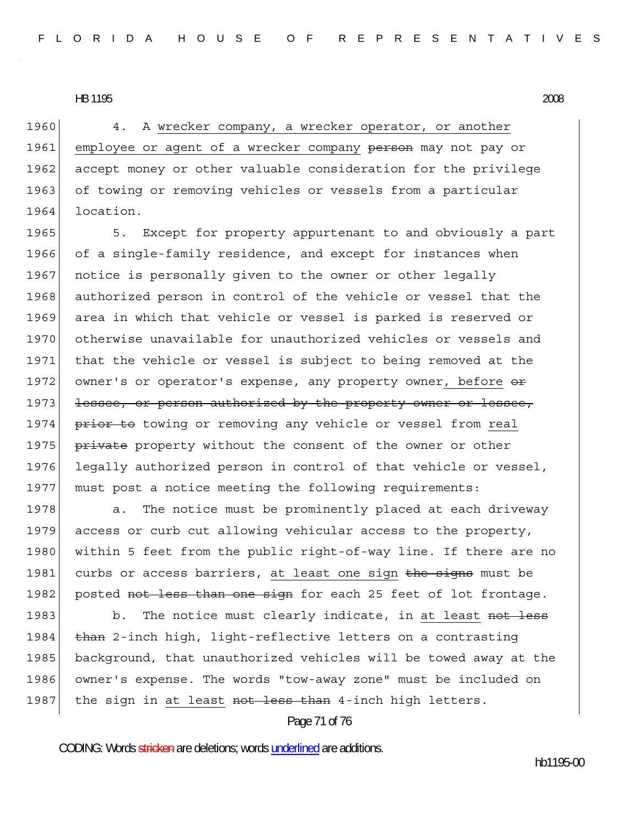1960 4. A wrecker company, a wrecker operator, or another 1961 employee or agent of a wrecker company person may not pay or 1962 accept money or other valuable consideration for the privilege 1963 of towing or removing vehicles or vessels from a particular 1964 location.

1965 5. Except for property appurtenant to and obviously a part 1966 of a single-family residence, and except for instances when 1967 notice is personally given to the owner or other legally 1968 authorized person in control of the vehicle or vessel that the 1969 area in which that vehicle or vessel is parked is reserved or 1970 otherwise unavailable for unauthorized vehicles or vessels and 1971 that the vehicle or vessel is subject to being removed at the 1972 owner's or operator's expense, any property owner, before  $\Theta$ 1973 lessee, or person authorized by the property owner or lessee, 1974 **prior to** towing or removing any vehicle or vessel from real 1975 **private** property without the consent of the owner or other 1976 legally authorized person in control of that vehicle or vessel, 1977 must post a notice meeting the following requirements:

1978 a. The notice must be prominently placed at each driveway 1979 access or curb cut allowing vehicular access to the property, 1980 within 5 feet from the public right-of-way line. If there are no 1981 curbs or access barriers, at least one sign the signs must be 1982 posted not less than one sign for each 25 feet of lot frontage.

1983 b. The notice must clearly indicate, in at least not less 1984 than 2-inch high, light-reflective letters on a contrasting 1985 background, that unauthorized vehicles will be towed away at the 1986 owner's expense. The words "tow-away zone" must be included on 1987 the sign in at least not less than 4-inch high letters.

Page 71 of 76

CODING: Words stricken are deletions; words underlined are additions.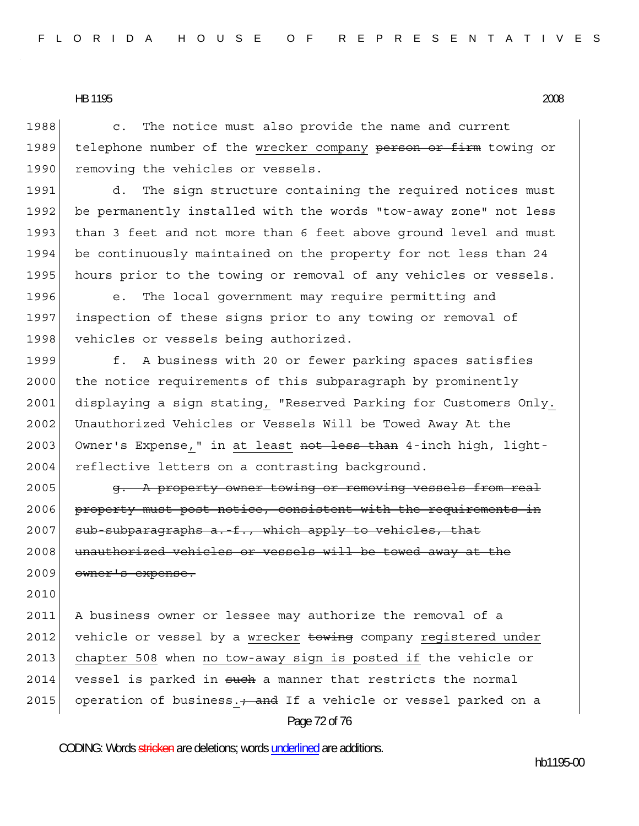1988 c. The notice must also provide the name and current 1989 telephone number of the wrecker company person or firm towing or 1990 removing the vehicles or vessels.

1991 d. The sign structure containing the required notices must 1992 be permanently installed with the words "tow-away zone" not less 1993 than 3 feet and not more than 6 feet above ground level and must 1994 be continuously maintained on the property for not less than 24 1995 hours prior to the towing or removal of any vehicles or vessels.

1996 e. The local government may require permitting and 1997 inspection of these signs prior to any towing or removal of 1998 vehicles or vessels being authorized.

1999 f. A business with 20 or fewer parking spaces satisfies 2000 the notice requirements of this subparagraph by prominently 2001 displaying a sign stating, "Reserved Parking for Customers Only. 2002 Unauthorized Vehicles or Vessels Will be Towed Away At the 2003 Owner's Expense," in at least not less than 4-inch high, light-2004 reflective letters on a contrasting background.

2005 **g.** A property owner towing or removing vessels from real 2006 property must post notice, consistent with the requirements in  $2007$  sub-subparagraphs a. f., which apply to vehicles, that 2008 unauthorized vehicles or vessels will be towed away at the 2009 owner's expense.

2010

Page 72 of 76 2011 A business owner or lessee may authorize the removal of a 2012 vehicle or vessel by a wrecker towing company registered under 2013 chapter 508 when no tow-away sign is posted if the vehicle or  $2014$  vessel is parked in such a manner that restricts the normal 2015 operation of business.  $\frac{1}{2}$  and If a vehicle or vessel parked on a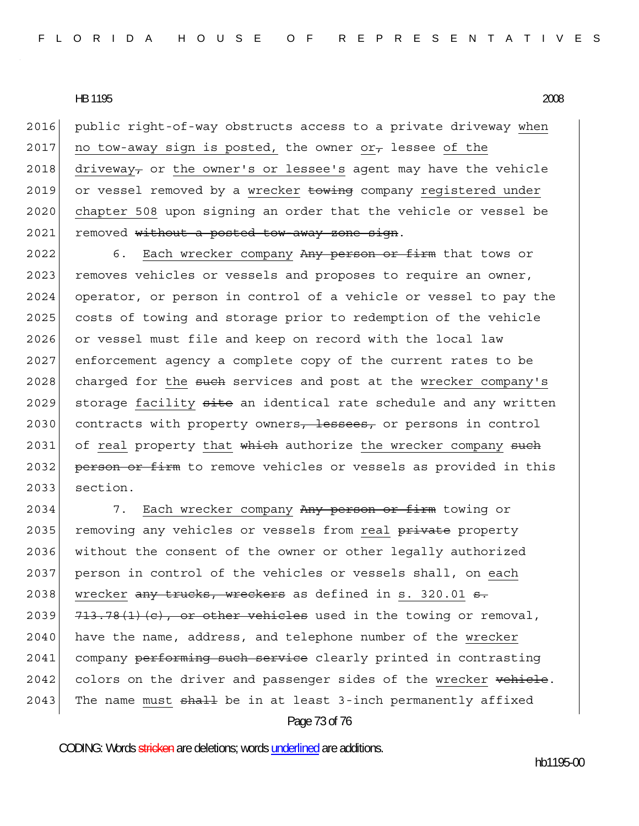2016 public right-of-way obstructs access to a private driveway when 2017 no tow-away sign is posted, the owner  $or_{\tau}$  lessee of the 2018 driveway<sub>7</sub> or the owner's or lessee's agent may have the vehicle 2019 or vessel removed by a wrecker towing company registered under 2020 chapter 508 upon signing an order that the vehicle or vessel be 2021 removed without a posted tow-away zone sign.

2022 6. Each wrecker company Any person or firm that tows or 2023 removes vehicles or vessels and proposes to require an owner, 2024 operator, or person in control of a vehicle or vessel to pay the 2025 costs of towing and storage prior to redemption of the vehicle 2026 or vessel must file and keep on record with the local law 2027 enforcement agency a complete copy of the current rates to be 2028 charged for the such services and post at the wrecker company's 2029 storage facility site an identical rate schedule and any written 2030 contracts with property owners, lessees, or persons in control  $2031$  of real property that which authorize the wrecker company such 2032 person or firm to remove vehicles or vessels as provided in this 2033 section.

Page 73 of 76 2034 7. Each wrecker company Any person or firm towing or 2035 removing any vehicles or vessels from real private property 2036 without the consent of the owner or other legally authorized 2037 person in control of the vehicles or vessels shall, on each 2038 wrecker  $\frac{amy}{2}$  trucks, wreckers as defined in s. 320.01 s. 2039  $\left| 713.78(1)(c) \right|$ , or other vehicles used in the towing or removal,  $2040$  have the name, address, and telephone number of the wrecker 2041 company performing such service clearly printed in contrasting 2042 colors on the driver and passenger sides of the wrecker vehicle.  $2043$  The name must  $sh$ all be in at least 3-inch permanently affixed

CODING: Words stricken are deletions; words underlined are additions.

hb1195-00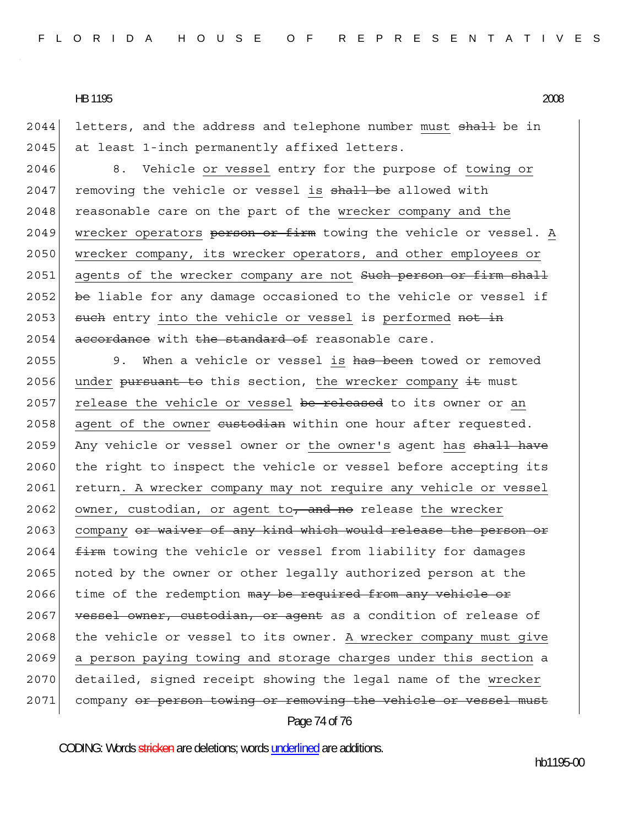2044 letters, and the address and telephone number must shall be in 2045 at least 1-inch permanently affixed letters.

2046 8. Vehicle or vessel entry for the purpose of towing or 2047 removing the vehicle or vessel is shall be allowed with 2048 reasonable care on the part of the wrecker company and the 2049 wrecker operators person or firm towing the vehicle or vessel. A 2050 wrecker company, its wrecker operators, and other employees or 2051 agents of the wrecker company are not Such person or firm shall 2052 be liable for any damage occasioned to the vehicle or vessel if 2053 such entry into the vehicle or vessel is performed not in  $2054$  accordance with the standard of reasonable care.

Page 74 of 76 2055 9. When a vehicle or vessel is has been towed or removed 2056 under pursuant to this section, the wrecker company  $\pm \epsilon$  must 2057 release the vehicle or vessel be released to its owner or an 2058 agent of the owner eustodian within one hour after requested. 2059 Any vehicle or vessel owner or the owner's agent has shall have 2060 the right to inspect the vehicle or vessel before accepting its 2061 return. A wrecker company may not require any vehicle or vessel 2062 owner, custodian, or agent to, and no release the wrecker 2063 company or waiver of any kind which would release the person or  $2064$   $f_{\text{+}}$  firm towing the vehicle or vessel from liability for damages 2065 | noted by the owner or other legally authorized person at the 2066 time of the redemption may be required from any vehicle or 2067 vessel owner, custodian, or agent as a condition of release of 2068 the vehicle or vessel to its owner. A wrecker company must give 2069 a person paying towing and storage charges under this section a 2070 detailed, signed receipt showing the legal name of the wrecker 2071 company or person towing or removing the vehicle or vessel must

CODING: Words stricken are deletions; words underlined are additions.

hb1195-00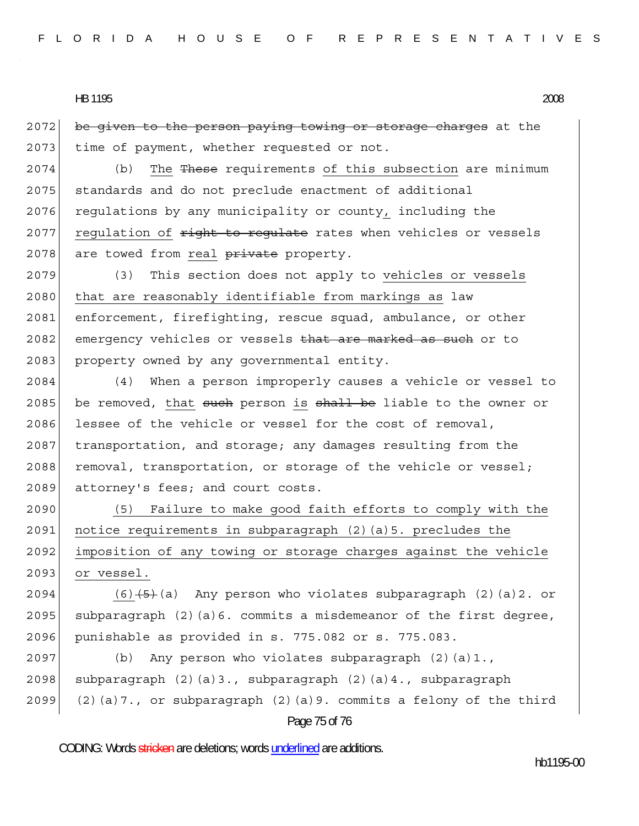2072 be given to the person paying towing or storage charges at the 2073 time of payment, whether requested or not.

2074 (b) The These requirements of this subsection are minimum 2075 standards and do not preclude enactment of additional 2076 regulations by any municipality or county, including the 2077 regulation of  $\frac{right-to-regular}{t}$  rates when vehicles or vessels 2078 are towed from real private property.

2079 (3) This section does not apply to vehicles or vessels 2080 that are reasonably identifiable from markings as law 2081 enforcement, firefighting, rescue squad, ambulance, or other 2082 emergency vehicles or vessels that are marked as such or to 2083 property owned by any governmental entity.

2084 (4) When a person improperly causes a vehicle or vessel to 2085 be removed, that such person is shall be liable to the owner or 2086 lessee of the vehicle or vessel for the cost of removal, 2087 transportation, and storage; any damages resulting from the 2088 removal, transportation, or storage of the vehicle or vessel; 2089 attorney's fees; and court costs.

2090 (5) Failure to make good faith efforts to comply with the 2091 notice requirements in subparagraph  $(2)$  (a)5. precludes the 2092 imposition of any towing or storage charges against the vehicle 2093 or vessel.

2094 (6) $\left(5\right)$  (6) Any person who violates subparagraph (2)(a)2. or 2095 subparagraph  $(2)(a)$ 6. commits a misdemeanor of the first degree, 2096 punishable as provided in s. 775.082 or s. 775.083.

2097 (b) Any person who violates subparagraph  $(2)(a)1$ . 2098 subparagraph  $(2)(a)3.$ , subparagraph  $(2)(a)4.$ , subparagraph 2099 (2)(a)7., or subparagraph (2)(a)9. commits a felony of the third

## Page 75 of 76

CODING: Words stricken are deletions; words underlined are additions.

hb1195-00